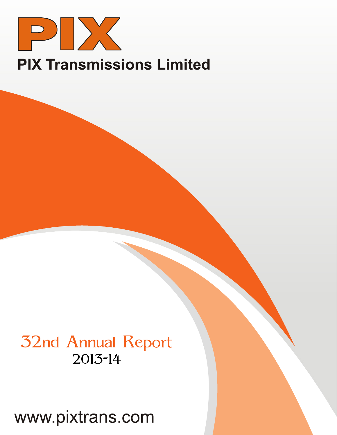

# **32nd Annual Report** 2013-14

www.pixtrans.com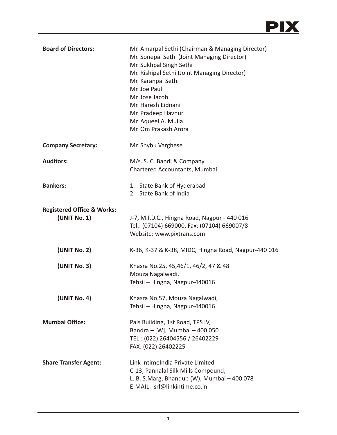

| <b>Board of Directors:</b>                            | Mr. Amarpal Sethi (Chairman & Managing Director)<br>Mr. Sonepal Sethi (Joint Managing Director)<br>Mr. Sukhpal Singh Sethi<br>Mr. Rishipal Sethi (Joint Managing Director)<br>Mr. Karanpal Sethi<br>Mr. Joe Paul<br>Mr. Jose Jacob<br>Mr. Haresh Eidnani<br>Mr. Pradeep Havnur<br>Mr. Aqueel A. Mulla<br>Mr. Om Prakash Arora |
|-------------------------------------------------------|-------------------------------------------------------------------------------------------------------------------------------------------------------------------------------------------------------------------------------------------------------------------------------------------------------------------------------|
| <b>Company Secretary:</b>                             | Mr. Shybu Varghese                                                                                                                                                                                                                                                                                                            |
| <b>Auditors:</b>                                      | M/s. S. C. Bandi & Company<br>Chartered Accountants, Mumbai                                                                                                                                                                                                                                                                   |
| <b>Bankers:</b>                                       | 1. State Bank of Hyderabad<br>2. State Bank of India                                                                                                                                                                                                                                                                          |
| <b>Registered Office &amp; Works:</b><br>(UNIT No. 1) | J-7, M.I.D.C., Hingna Road, Nagpur - 440 016<br>Tel.: (07104) 669000, Fax: (07104) 669007/8<br>Website: www.pixtrans.com                                                                                                                                                                                                      |
| (UNIT No. 2)                                          | K-36, K-37 & K-38, MIDC, Hingna Road, Nagpur-440 016                                                                                                                                                                                                                                                                          |
| (UNIT No. 3)                                          | Khasra No.25, 45,46/1, 46/2, 47 & 48<br>Mouza Nagalwadi,<br>Tehsil - Hingna, Nagpur-440016                                                                                                                                                                                                                                    |
| (UNIT No. 4)                                          | Khasra No.57, Mouza Nagalwadi,<br>Tehsil - Hingna, Nagpur-440016                                                                                                                                                                                                                                                              |
| <b>Mumbai Office:</b>                                 | Pals Building, 1st Road, TPS IV,<br>Bandra - [W], Mumbai - 400 050<br>TEL.: (022) 26404556 / 26402229<br>FAX: (022) 26402225                                                                                                                                                                                                  |
| <b>Share Transfer Agent:</b>                          | Link IntimeIndia Private Limited<br>C-13, Pannalal Silk Mills Compound,<br>L. B. S.Marg, Bhandup (W), Mumbai - 400 078<br>E-MAIL: isrl@linkintime.co.in                                                                                                                                                                       |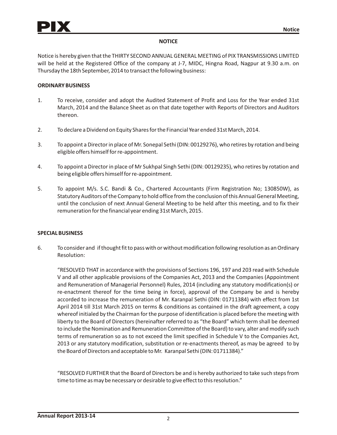# **NOTICE**

Notice is hereby given that the THIRTY SECOND ANNUAL GENERAL MEETING of PIX TRANSMISSIONS LIMITED will be held at the Registered Office of the company at J-7, MIDC, Hingna Road, Nagpur at 9.30 a.m. on Thursday the 18th September, 2014 to transact the following business:

## **ORDINARY BUSINESS**

- 1. To receive, consider and adopt the Audited Statement of Profit and Loss for the Year ended 31st March, 2014 and the Balance Sheet as on that date together with Reports of Directors and Auditors thereon.
- 2. To declare a Dividend on Equity Shares for the Financial Year ended 31st March, 2014.
- 3. To appoint a Director in place of Mr. Sonepal Sethi (DIN: 00129276), who retires by rotation and being eligible offers himself for re-appointment.
- 4. To appoint a Director in place of Mr Sukhpal Singh Sethi (DIN: 00129235), who retires by rotation and being eligible offers himself for re-appointment.
- 5. To appoint M/s. S.C. Bandi & Co., Chartered Accountants (Firm Registration No; 130850W), as Statutory Auditors of the Company to hold office from the conclusion of this Annual General Meeting, until the conclusion of next Annual General Meeting to be held after this meeting, and to fix their remuneration for the financial year ending 31st March, 2015.

## **SPECIAL BUSINESS**

6. To consider and if thought fit to pass with or without modification following resolution as an Ordinary Resolution:

"RESOLVED THAT in accordance with the provisions of Sections 196, 197 and 203 read with Schedule V and all other applicable provisions of the Companies Act, 2013 and the Companies (Appointment and Remuneration of Managerial Personnel) Rules, 2014 (including any statutory modification(s) or re-enactment thereof for the time being in force), approval of the Company be and is hereby accorded to increase the remuneration of Mr. Karanpal Sethi (DIN: 01711384) with effect from 1st April 2014 till 31st March 2015 on terms & conditions as contained in the draft agreement, a copy whereof initialed by the Chairman for the purpose of identification is placed before the meeting with liberty to the Board of Directors (hereinafter referred to as "the Board" which term shall be deemed to include the Nomination and Remuneration Committee of the Board) to vary, alter and modify such terms of remuneration so as to not exceed the limit specified in Schedule V to the Companies Act, 2013 or any statutory modification, substitution or re-enactments thereof, as may be agreed to by the Board of Directors and acceptable to Mr. Karanpal Sethi (DIN: 01711384)."

"RESOLVED FURTHER that the Board of Directors be and is hereby authorized to take such steps from time to time as may be necessary or desirable to give effect to this resolution."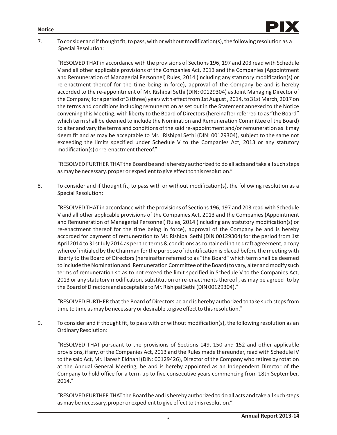

7. To consider and if thought fit, to pass, with or without modification(s), the following resolution as a Special Resolution:

"RESOLVED THAT in accordance with the provisions of Sections 196, 197 and 203 read with Schedule V and all other applicable provisions of the Companies Act, 2013 and the Companies (Appointment and Remuneration of Managerial Personnel) Rules, 2014 (including any statutory modification(s) or re-enactment thereof for the time being in force), approval of the Company be and is hereby accorded to the re-appointment of Mr. Rishipal Sethi (DIN: 00129304) as Joint Managing Director of the Company, for a period of 3 (three) years with effect from 1st August , 2014, to 31st March, 2017 on the terms and conditions including remuneration as set out in the Statement annexed to the Notice convening this Meeting, with liberty to the Board of Directors (hereinafter referred to as "the Board" which term shall be deemed to include the Nomination and Remuneration Committee of the Board) to alter and vary the terms and conditions of the said re-appointment and/or remuneration as it may deem fit and as may be acceptable to Mr. Rishipal Sethi (DIN: 00129304), subject to the same not exceeding the limits specified under Schedule V to the Companies Act, 2013 or any statutory modification(s) or re-enactment thereof."

"RESOLVED FURTHER THAT the Board be and is hereby authorized to do all acts and take all such steps as may be necessary, proper or expedient to give effect to this resolution."

8. To consider and if thought fit, to pass with or without modification(s), the following resolution as a Special Resolution:

"RESOLVED THAT in accordance with the provisions of Sections 196, 197 and 203 read with Schedule V and all other applicable provisions of the Companies Act, 2013 and the Companies (Appointment and Remuneration of Managerial Personnel) Rules, 2014 (including any statutory modification(s) or re-enactment thereof for the time being in force), approval of the Company be and is hereby accorded for payment of remuneration to Mr. Rishipal Sethi (DIN 00129304) for the period from 1st April 2014 to 31st July 2014 as per the terms & conditions as contained in the draft agreement, a copy whereof initialed by the Chairman for the purpose of identification is placed before the meeting with liberty to the Board of Directors (hereinafter referred to as "the Board" which term shall be deemed to include the Nomination and Remuneration Committee of the Board) to vary, alter and modify such terms of remuneration so as to not exceed the limit specified in Schedule V to the Companies Act, 2013 or any statutory modification, substitution or re-enactments thereof , as may be agreed to by the Board of Directors and acceptable to Mr. Rishipal Sethi (DIN 00129304)."

"RESOLVED FURTHER that the Board of Directors be and is hereby authorized to take such steps from time to time as may be necessary or desirable to give effect to this resolution."

9. To consider and if thought fit, to pass with or without modification(s), the following resolution as an Ordinary Resolution:

"RESOLVED THAT pursuant to the provisions of Sections 149, 150 and 152 and other applicable provisions, if any, of the Companies Act, 2013 and the Rules made thereunder, read with Schedule IV to the said Act, Mr. Haresh Eidnani (DIN: 00129426), Director of the Company who retires by rotation at the Annual General Meeting, be and is hereby appointed as an Independent Director of the Company to hold office for a term up to five consecutive years commencing from 18th September, 2014."

"RESOLVED FURTHER THAT the Board be and is hereby authorized to do all acts and take all such steps as may be necessary, proper or expedient to give effect to this resolution."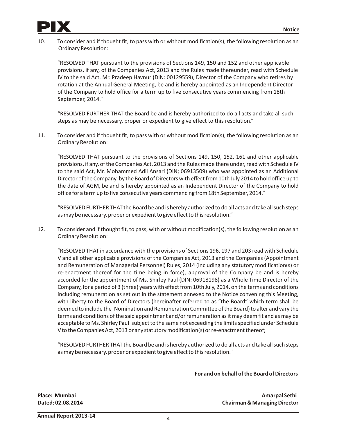

10. To consider and if thought fit, to pass with or without modification(s), the following resolution as an Ordinary Resolution:

"RESOLVED THAT pursuant to the provisions of Sections 149, 150 and 152 and other applicable provisions, if any, of the Companies Act, 2013 and the Rules made thereunder, read with Schedule IV to the said Act, Mr. Pradeep Havnur (DIN: 00129559), Director of the Company who retires by rotation at the Annual General Meeting, be and is hereby appointed as an Independent Director of the Company to hold office for a term up to five consecutive years commencing from 18th September, 2014."

"RESOLVED FURTHER THAT the Board be and is hereby authorized to do all acts and take all such steps as may be necessary, proper or expedient to give effect to this resolution."

11. To consider and if thought fit, to pass with or without modification(s), the following resolution as an Ordinary Resolution:

"RESOLVED THAT pursuant to the provisions of Sections 149, 150, 152, 161 and other applicable provisions, if any, of the Companies Act, 2013 and the Rules made there under, read with Schedule IV to the said Act, Mr. Mohammed Adil Ansari (DIN; 06913509) who was appointed as an Additional Director of the Company by the Board of Directors with effect from 10th July 2014 to hold office up to the date of AGM, be and is hereby appointed as an Independent Director of the Company to hold office for a term up to five consecutive years commencing from 18th September, 2014."

"RESOLVED FURTHER THAT the Board be and is hereby authorized to do all acts and take all such steps as may be necessary, proper or expedient to give effect to this resolution."

12. To consider and if thought fit, to pass, with or without modification(s), the following resolution as an Ordinary Resolution:

"RESOLVED THAT in accordance with the provisions of Sections 196, 197 and 203 read with Schedule V and all other applicable provisions of the Companies Act, 2013 and the Companies (Appointment and Remuneration of Managerial Personnel) Rules, 2014 (including any statutory modification(s) or re-enactment thereof for the time being in force), approval of the Company be and is hereby accorded for the appointment of Ms. Shirley Paul (DIN: 06918198) as a Whole Time Director of the Company, for a period of 3 (three) years with effect from 10th July, 2014, on the terms and conditions including remuneration as set out in the statement annexed to the Notice convening this Meeting, with liberty to the Board of Directors (hereinafter referred to as "the Board" which term shall be deemed to include the Nomination and Remuneration Committee of the Board) to alter and vary the terms and conditions of the said appointment and/or remuneration as it may deem fit and as may be acceptable to Ms. Shirley Paul subject to the same not exceeding the limits specified under Schedule V to the Companies Act, 2013 or any statutory modification(s) or re-enactment thereof;

"RESOLVED FURTHER THAT the Board be and is hereby authorized to do all acts and take all such steps as may be necessary, proper or expedient to give effect to this resolution."

**For and on behalf of the Board of Directors**

**Place: Mumbai Amarpal Sethi Dated: 02.08.2014 Chairman & Managing Director**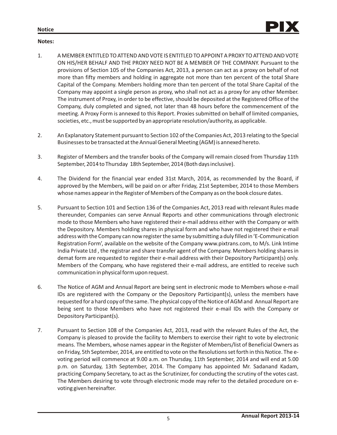

## **Notes:**

- 1. A MEMBER ENTITLED TO ATTEND AND VOTE IS ENTITLED TO APPOINT A PROXY TO ATTEND AND VOTE ON HIS/HER BEHALF AND THE PROXY NEED NOT BE A MEMBER OF THE COMPANY. Pursuant to the provisions of Section 105 of the Companies Act, 2013, a person can act as a proxy on behalf of not more than fifty members and holding in aggregate not more than ten percent of the total Share Capital of the Company. Members holding more than ten percent of the total Share Capital of the Company may appoint a single person as proxy, who shall not act as a proxy for any other Member. The instrument of Proxy, in order to be effective, should be deposited at the Registered Office of the Company, duly completed and signed, not later than 48 hours before the commencement of the meeting. A Proxy Form is annexed to this Report. Proxies submitted on behalf of limited companies, societies, etc., must be supported by an appropriate resolution/authority, as applicable.
- 2. An Explanatory Statement pursuant to Section 102 of the Companies Act, 2013 relating to the Special Businesses to be transacted at the Annual General Meeting (AGM) is annexed hereto.
- 3. Register of Members and the transfer books of the Company will remain closed from Thursday 11th September, 2014 to Thursday 18th September, 2014 (Both days inclusive).
- 4. The Dividend for the financial year ended 31st March, 2014, as recommended by the Board, if approved by the Members, will be paid on or after Friday, 21st September, 2014 to those Members whose names appear in the Register of Members of the Company as on the book closure dates.
- 5. Pursuant to Section 101 and Section 136 of the Companies Act, 2013 read with relevant Rules made thereunder, Companies can serve Annual Reports and other communications through electronic mode to those Members who have registered their e-mail address either with the Company or with the Depository. Members holding shares in physical form and who have not registered their e-mail address with the Company can now register the same by submitting a duly filled in 'E-Communication Registration Form', available on the website of the Company www.pixtrans.com, to M/s. Link Intime India Private Ltd , the registrar and share transfer agent of the Company. Members holding shares in demat form are requested to register their e-mail address with their Depository Participant(s) only. Members of the Company, who have registered their e-mail address, are entitled to receive such communication in physical form upon request.
- 6. The Notice of AGM and Annual Report are being sent in electronic mode to Members whose e-mail IDs are registered with the Company or the Depository Participant(s), unless the members have requested for a hard copy of the same. The physical copy of the Notice of AGM and Annual Report are being sent to those Members who have not registered their e-mail IDs with the Company or Depository Participant(s).
- 7. Pursuant to Section 108 of the Companies Act, 2013, read with the relevant Rules of the Act, the Company is pleased to provide the facility to Members to exercise their right to vote by electronic means. The Members, whose names appear in the Register of Members/list of Beneficial Owners as on Friday, 5th September, 2014, are entitled to vote on the Resolutions set forth in this Notice. The evoting period will commence at 9.00 a.m. on Thursday, 11th September, 2014 and will end at 5.00 p.m. on Saturday, 13th September, 2014. The Company has appointed Mr. Sadanand Kadam, practicing Company Secretary, to act as the Scrutinizer, for conducting the scrutiny of the votes cast. The Members desiring to vote through electronic mode may refer to the detailed procedure on evoting given hereinafter.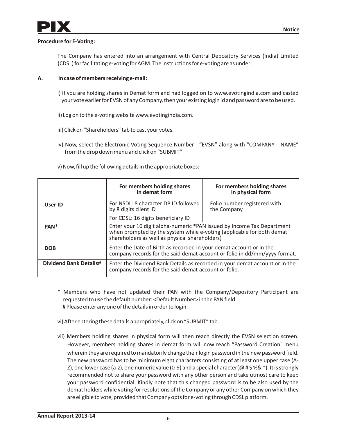## **Procedure for E-Voting:**

The Company has entered into an arrangement with Central Depository Services (India) Limited (CDSL) for facilitating e-voting for AGM. The instructions for e-voting are as under:

## **A. In case of members receiving e-mail:**

- i) If you are holding shares in Demat form and had logged on to www.evotingindia.com and casted your vote earlier for EVSN of any Company, then your existing login id and password are to be used.
- ii) Log on to the e-voting website www.evotingindia.com.
- iii) Click on "Shareholders" tab to cast your votes.
- iv) Now, select the Electronic Voting Sequence Number "EVSN" along with "COMPANY NAME" from the drop down menu and click on "SUBMIT"

|                               | For members holding shares<br>in demat form                                                                                                                                                       | For members holding shares<br>in physical form |
|-------------------------------|---------------------------------------------------------------------------------------------------------------------------------------------------------------------------------------------------|------------------------------------------------|
| User ID                       | For NSDL: 8 character DP ID followed<br>by 8 digits client ID                                                                                                                                     | Folio number registered with<br>the Company    |
|                               | For CDSL: 16 digits beneficiary ID                                                                                                                                                                |                                                |
| PAN <sup>*</sup>              | Enter your 10 digit alpha-numeric *PAN issued by Income Tax Department<br>when prompted by the system while e-voting (applicable for both demat<br>shareholders as well as physical shareholders) |                                                |
| <b>DOB</b>                    | Enter the Date of Birth as recorded in your demat account or in the<br>company records for the said demat account or folio in dd/mm/yyyy format.                                                  |                                                |
| <b>Dividend Bank Details#</b> | Enter the Dividend Bank Details as recorded in your demat account or in the<br>company records for the said demat account or folio.                                                               |                                                |

v) Now, fill up the following details in the appropriate boxes:

- \* Members who have not updated their PAN with the Company/Depository Participant are requested to use the default number: <Default Number> in the PAN field. # Please enter any one of the details in order to login.
- vi) After entering these details appropriately, click on "SUBMIT" tab.
- vii) Members holding shares in physical form will then reach directly the EVSN selection screen. However, members holding shares in demat form will now reach "Password Creation? menu wherein they are required to mandatorily change their login password in the new password field. The new password has to be minimum eight characters consisting of at least one upper case (A-Z), one lower case (a-z), one numeric value (0-9) and a special character( $\omega$  # \$ %& \*). It is strongly recommended not to share your password with any other person and take utmost care to keep your password confidential. Kindly note that this changed password is to be also used by the demat holders while voting for resolutions of the Company or any other Company on which they are eligible to vote, provided that Company opts for e-voting through CDSL platform.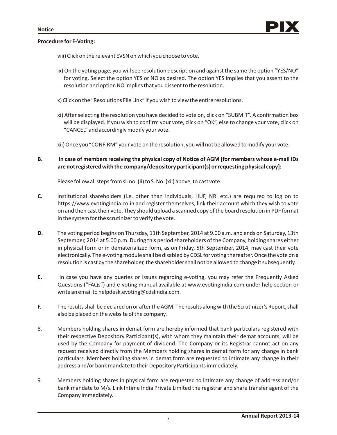viii) Click on the relevant EVSN on which you choose to vote.

- ix) On the voting page, you will see resolution description and against the same the option "YES/NO" for voting. Select the option YES or NO as desired. The option YES implies that you assent to the resolution and option NO implies that you dissent to the resolution.
- x) Click on the "Resolutions File Link" if you wish to view the entire resolutions.
- xi) After selecting the resolution you have decided to vote on, click on "SUBMIT". A confirmation box will be displayed. If you wish to confirm your vote, click on "OK", else to change your vote, click on "CANCEL" and accordingly modify your vote.

xii) Once you "CONFIRM" your vote on the resolution, you will not be allowed to modify your vote.

# **B. In case of members receiving the physical copy of Notice of AGM [for members whose e-mail IDs are not registered with the company/depository participant(s) or requesting physical copy]:**

Please follow all steps from sl. no. (ii) to S. No. (xii) above, to cast vote.

- **C.** Institutional shareholders (i.e. other than individuals, HUF, NRI etc.) are required to log on to https://www.evotingindia.co.in and register themselves, link their account which they wish to vote on and then cast their vote. They should upload a scanned copy of the board resolution in PDF format in the system for the scrutinizer to verify the vote.
- **D.** The voting period begins on Thursday, 11th September, 2014 at 9.00 a.m. and ends on Saturday, 13th September, 2014 at 5.00 p.m. During this period shareholders of the Company, holding shares either in physical form or in dematerialized form, as on Friday, 5th September, 2014, may cast their vote electronically. The e-voting module shall be disabled by CDSL for voting thereafter. Once the vote on a resolution is cast by the shareholder, the shareholder shall not be allowed to change it subsequently.
- **E.** In case you have any queries or issues regarding e-voting, you may refer the Frequently Asked Questions ("FAQs") and e-voting manual available at www.evotingindia.com under help section or write an email to helpdesk.evoting@cdslindia.com.
- **F.** The results shall be declared on or after the AGM. The results along with the Scrutinizer's Report, shall also be placed on the website of the company.
- 8. Members holding shares in demat form are hereby informed that bank particulars registered with their respective Depository Participant(s), with whom they maintain their demat accounts, will be used by the Company for payment of dividend. The Company or its Registrar cannot act on any request received directly from the Members holding shares in demat form for any change in bank particulars. Members holding shares in demat form are requested to intimate any change in their address and/or bank mandate to their Depository Participants immediately.
- 9. Members holding shares in physical form are requested to intimate any change of address and/or bank mandate to M/s. Link Intime India Private Limited the registrar and share transfer agent of the Company immediately.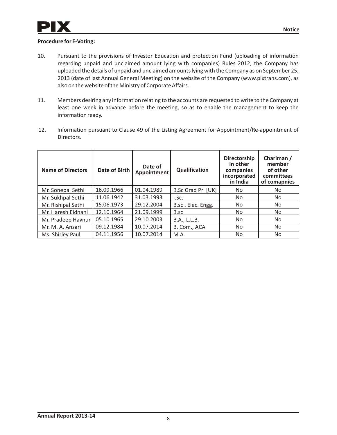# **Procedure for E-Voting:**

- 10. Pursuant to the provisions of Investor Education and protection Fund (uploading of information regarding unpaid and unclaimed amount lying with companies) Rules 2012, the Company has uploaded the details of unpaid and unclaimed amounts lying with the Company as on September 25, 2013 (date of last Annual General Meeting) on the website of the Company (www.pixtrans.com), as also on the website of the Ministry of Corporate Affairs.
- 11. Members desiring any information relating to the accounts are requested to write to the Company at least one week in advance before the meeting, so as to enable the management to keep the information ready.
- 12. Information pursuant to Clause 49 of the Listing Agreement for Appointment/Re-appointment of Directors.

| <b>Name of Directors</b> | Date of Birth | Date of<br><b>Appointment</b> | Qualification      | <b>Directorship</b><br>in other<br>companies<br>incorporated<br>in India | Chariman /<br>member<br>of other<br>committees<br>of comapnies |
|--------------------------|---------------|-------------------------------|--------------------|--------------------------------------------------------------------------|----------------------------------------------------------------|
| Mr. Sonepal Sethi        | 16.09.1966    | 01.04.1989                    | B.Sc Grad Pri [UK] | No.                                                                      | No.                                                            |
| Mr. Sukhpal Sethi        | 11.06.1942    | 31.03.1993                    | I.Sc.              | No.                                                                      | No.                                                            |
| Mr. Rishipal Sethi       | 15.06.1973    | 29.12.2004                    | B.sc. Elec. Engg.  | No.                                                                      | No.                                                            |
| Mr. Haresh Eidnani       | 12.10.1964    | 21.09.1999                    | B.sc               | No.                                                                      | No.                                                            |
| Mr. Pradeep Havnur       | 05.10.1965    | 29.10.2003                    | B.A., L.L.B.       | No.                                                                      | No.                                                            |
| Mr. M. A. Ansari         | 09.12.1984    | 10.07.2014                    | B. Com., ACA       | No.                                                                      | No.                                                            |
| Ms. Shirley Paul         | 04.11.1956    | 10.07.2014                    | M.A.               | No.                                                                      | No.                                                            |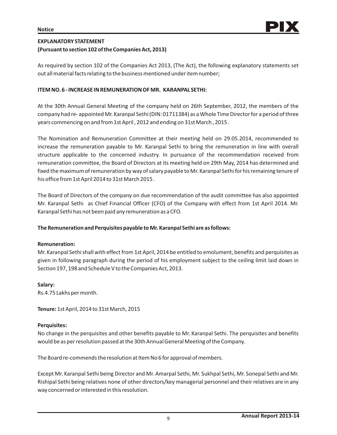## **EXPLANATORY STATEMENT**

## **(Pursuant to section 102 of the Companies Act, 2013)**

As required by section 102 of the Companies Act 2013, (The Act), the following explanatory statements set out all material facts relating to the business mentioned under item number;

## **ITEM NO. 6 - INCREASE IN REMUNERATION OF MR. KARANPAL SETHI:**

At the 30th Annual General Meeting of the company held on 26th September, 2012, the members of the company had re- appointed Mr. Karanpal Sethi (DIN: 01711384) as a Whole Time Director for a period of three years commencing on and from 1st April , 2012 and ending on 31st March , 2015 .

The Nomination and Remuneration Committee at their meeting held on 29.05.2014, recommended to increase the remuneration payable to Mr. Karanpal Sethi to bring the remuneration in line with overall structure applicable to the concerned industry. In pursuance of the recommendation received from remuneration committee, the Board of Directors at its meeting held on 29th May, 2014 has determined and fixed the maximum of remuneration by way of salary payable to Mr. Karanpal Sethi for his remaining tenure of his office from 1st April 2014 to 31st March 2015 .

The Board of Directors of the company on due recommendation of the audit committee has also appointed Mr. Karanpal Sethi as Chief Financial Officer (CFO) of the Company with effect from 1st April 2014. Mr. Karanpal Sethi has not been paid any remuneration as a CFO.

## **The Remuneration and Perquisites payable to Mr. Karanpal Sethi are as follows:**

## **Remuneration:**

Mr. Karanpal Sethi shall with effect from 1st April, 2014 be entitled to emolument, benefits and perquisites as given in following paragraph during the period of his employment subject to the ceiling limit laid down in Section 197, 198 and Schedule V to the Companies Act, 2013.

**Salary:** Rs.4.75 Lakhs per month.

**Tenure:** 1st April, 2014 to 31st March, 2015

# **Perquisites:**

No change in the perquisites and other benefits payable to Mr. Karanpal Sethi. The perquisites and benefits would be as per resolution passed at the 30th Annual General Meeting of the Company.

The Board re-commends the resolution at Item No 6 for approval of members.

Except Mr. Karanpal Sethi being Director and Mr. Amarpal Sethi, Mr. Sukhpal Sethi, Mr. Sonepal Sethi and Mr. Rishipal Sethi being relatives none of other directors/key managerial personnel and their relatives are in any way concerned or interested in this resolution.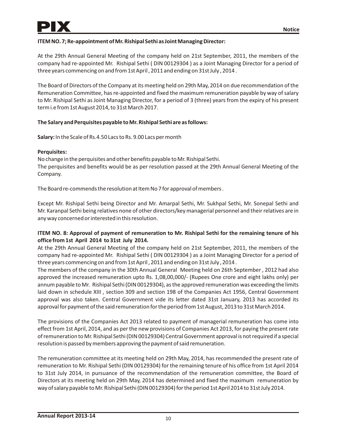# **ITEM NO. 7; Re-appointment of Mr. Rishipal Sethi as Joint Managing Director:**

At the 29th Annual General Meeting of the company held on 21st September, 2011, the members of the company had re-appointed Mr. Rishipal Sethi ( DIN 00129304 ) as a Joint Managing Director for a period of three years commencing on and from 1st April , 2011 and ending on 31st July , 2014 .

The Board of Directors of the Company at its meeting held on 29th May, 2014 on due recommendation of the Remuneration Committee, has re-appointed and fixed the maximum remuneration payable by way of salary to Mr. Rishipal Sethi as Joint Managing Director, for a period of 3 (three) years from the expiry of his present term i.e from 1st August 2014, to 31st March 2017.

# **The Salary and Perquisites payable to Mr. Rishipal Sethi are as follows:**

**Salary:**In the Scale of Rs.4.50 Lacs to Rs. 9.00 Lacs per month

## **Perquisites:**

No change in the perquisites and other benefits payable to Mr. Rishipal Sethi. The perquisites and benefits would be as per resolution passed at the 29th Annual General Meeting of the Company.

The Board re-commends the resolution at Item No 7 for approval of members .

Except Mr. Rishipal Sethi being Director and Mr. Amarpal Sethi, Mr. Sukhpal Sethi, Mr. Sonepal Sethi and Mr. Karanpal Sethi being relatives none of other directors/key managerial personnel and their relatives are in any way concerned or interested in this resolution.

# **ITEM NO. 8: Approval of payment of remuneration to Mr. Rishipal Sethi for the remaining tenure of his office from 1st April 2014 to 31st July 2014.**

At the 29th Annual General Meeting of the company held on 21st September, 2011, the members of the company had re-appointed Mr. Rishipal Sethi ( DIN 00129304 ) as a Joint Managing Director for a period of three years commencing on and from 1st April , 2011 and ending on 31st July , 2014 .

The members of the company in the 30th Annual General Meeting held on 26th September , 2012 had also approved the increased remuneration upto Rs. 1,08,00,000/- (Rupees One crore and eight lakhs only) per annum payable to Mr. Rishipal Sethi (DIN 00129304), as the approved remuneration was exceeding the limits laid down in schedule XIII , section 309 and section 198 of the Companies Act 1956, Central Government approval was also taken. Central Government vide its letter dated 31st January, 2013 has accorded its approval for payment of the said remuneration for the period from 1st August, 2013 to 31st March 2014.

The provisions of the Companies Act 2013 related to payment of managerial remuneration has come into effect from 1st April, 2014, and as per the new provisions of Companies Act 2013, for paying the present rate of remuneration to Mr. Rishipal Sethi (DIN 00129304) Central Government approval is not required if a special resolution is passed by members approving the payment of said remuneration.

The remuneration committee at its meeting held on 29th May, 2014, has recommended the present rate of remuneration to Mr. Rishipal Sethi (DIN 00129304) for the remaining tenure of his office from 1st April 2014 to 31st July 2014, in pursuance of the recommendation of the remuneration committee, the Board of Directors at its meeting held on 29th May, 2014 has determined and fixed the maximum remuneration by way of salary payable to Mr. Rishipal Sethi (DIN 00129304) for the period 1st April 2014 to 31st July 2014.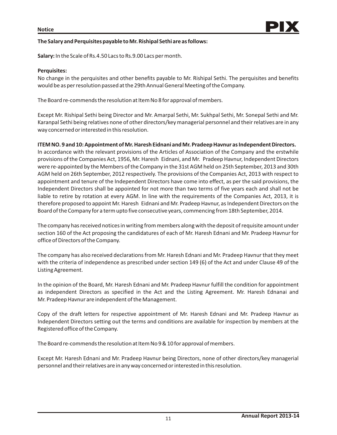## **The Salary and Perquisites payable to Mr. Rishipal Sethi are as follows:**

**Salary:** In the Scale of Rs.4.50 Lacs to Rs.9.00 Lacs per month.

## **Perquisites:**

No change in the perquisites and other benefits payable to Mr. Rishipal Sethi. The perquisites and benefits would be as per resolution passed at the 29th Annual General Meeting of the Company.

The Board re-commends the resolution at Item No 8 for approval of members.

Except Mr. Rishipal Sethi being Director and Mr. Amarpal Sethi, Mr. Sukhpal Sethi, Mr. Sonepal Sethi and Mr. Karanpal Sethi being relatives none of other directors/key managerial personnel and their relatives are in any way concerned or interested in this resolution.

## **ITEM NO. 9 and 10: Appointment of Mr. Haresh Eidnani and Mr. Pradeep Havnur as Independent Directors.**

In accordance with the relevant provisions of the Articles of Association of the Company and the erstwhile provisions of the Companies Act, 1956, Mr. Haresh Eidnani, and Mr. Pradeep Havnur, Independent Directors were re-appointed by the Members of the Company in the 31st AGM held on 25th September, 2013 and 30th AGM held on 26th September, 2012 respectively. The provisions of the Companies Act, 2013 with respect to appointment and tenure of the Independent Directors have come into effect, as per the said provisions, the Independent Directors shall be appointed for not more than two terms of five years each and shall not be liable to retire by rotation at every AGM. In line with the requirements of the Companies Act, 2013, it is therefore proposed to appoint Mr. Haresh Eidnani and Mr. Pradeep Havnur, as Independent Directors on the Board of the Company for a term upto five consecutive years, commencing from 18th September, 2014.

The company has received notices in writing from members along with the deposit of requisite amount under section 160 of the Act proposing the candidatures of each of Mr. Haresh Ednani and Mr. Pradeep Havnur for office of Directors of the Company.

The company has also received declarations from Mr. Haresh Ednani and Mr. Pradeep Havnur that they meet with the criteria of independence as prescribed under section 149 (6) of the Act and under Clause 49 of the Listing Agreement.

In the opinion of the Board, Mr. Haresh Ednani and Mr. Pradeep Havnur fulfill the condition for appointment as independent Directors as specified in the Act and the Listing Agreement. Mr. Haresh Ednanai and Mr. Pradeep Havnur are independent of the Management.

Copy of the draft letters for respective appointment of Mr. Haresh Ednani and Mr. Pradeep Havnur as Independent Directors setting out the terms and conditions are available for inspection by members at the Registered office of the Company.

The Board re-commends the resolution at Item No 9 & 10 for approval of members.

Except Mr. Haresh Ednani and Mr. Pradeep Havnur being Directors, none of other directors/key managerial personnel and their relatives are in any way concerned or interested in this resolution.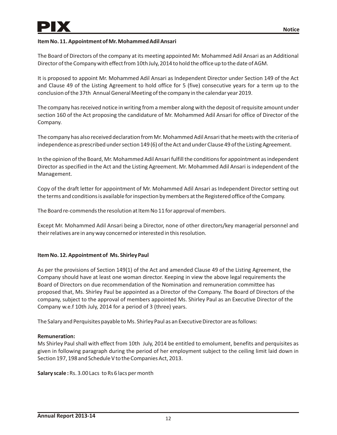# **Item No. 11. Appointment of Mr. Mohammed Adil Ansari**

The Board of Directors of the company at its meeting appointed Mr. Mohammed Adil Ansari as an Additional Director of the Company with effect from 10th July, 2014 to hold the office up to the date of AGM.

It is proposed to appoint Mr. Mohammed Adil Ansari as Independent Director under Section 149 of the Act and Clause 49 of the Listing Agreement to hold office for 5 (five) consecutive years for a term up to the conclusion of the 37th Annual General Meeting of the company in the calendar year 2019.

The company has received notice in writing from a member along with the deposit of requisite amount under section 160 of the Act proposing the candidature of Mr. Mohammed Adil Ansari for office of Director of the Company.

The company has also received declaration from Mr. Mohammed Adil Ansari that he meets with the criteria of independence as prescribed under section 149 (6) of the Act and under Clause 49 of the Listing Agreement.

In the opinion of the Board, Mr. Mohammed Adil Ansari fulfill the conditions for appointment as independent Director as specified in the Act and the Listing Agreement. Mr. Mohammed Adil Ansari is independent of the Management.

Copy of the draft letter for appointment of Mr. Mohammed Adil Ansari as Independent Director setting out the terms and conditions is available for inspection by members at the Registered office of the Company.

The Board re-commends the resolution at Item No 11 for approval of members.

Except Mr. Mohammed Adil Ansari being a Director, none of other directors/key managerial personnel and their relatives are in any way concerned or interested in this resolution.

## **Item No. 12. Appointment of Ms. Shirley Paul**

As per the provisions of Section 149(1) of the Act and amended Clause 49 of the Listing Agreement, the Company should have at least one woman director. Keeping in view the above legal requirements the Board of Directors on due recommendation of the Nomination and remuneration committee has proposed that, Ms. Shirley Paul be appointed as a Director of the Company. The Board of Directors of the company, subject to the approval of members appointed Ms. Shirley Paul as an Executive Director of the Company w.e.f 10th July, 2014 for a period of 3 (three) years.

The Salary and Perquisites payable to Ms. Shirley Paul as an Executive Director are as follows:

## **Remuneration:**

Ms Shirley Paul shall with effect from 10th July, 2014 be entitled to emolument, benefits and perquisites as given in following paragraph during the period of her employment subject to the ceiling limit laid down in Section 197, 198 and Schedule V to the Companies Act, 2013.

**Salary scale :** Rs. 3.00 Lacs to Rs 6 lacs per month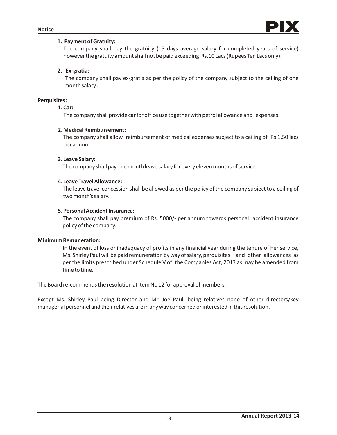

## **1. Payment of Gratuity:**

The company shall pay the gratuity (15 days average salary for completed years of service) however the gratuity amount shall not be paid exceeding Rs.10 Lacs (Rupees Ten Lacs only).

# **2. Ex-gratia:**

The company shall pay ex-gratia as per the policy of the company subject to the ceiling of one month salary .

## **Perquisites:**

## **1. Car:**

The company shall provide car for office use together with petrol allowance and expenses.

## **2. Medical Reimbursement:**

The company shall allow reimbursement of medical expenses subject to a ceiling of Rs 1.50 lacs per annum.

## **3. Leave Salary:**

The company shall pay one month leave salary for every eleven months of service.

## **4. Leave Travel Allowance:**

The leave travel concession shall be allowed as per the policy of the company subject to a ceiling of two month's salary.

## **5. Personal Accident Insurance:**

The company shall pay premium of Rs. 5000/- per annum towards personal accident insurance policy of the company.

## **Minimum Remuneration:**

In the event of loss or inadequacy of profits in any financial year during the tenure of her service, Ms. Shirley Paul will be paid remuneration by way of salary, perquisites and other allowances as per the limits prescribed under Schedule V of the Companies Act, 2013 as may be amended from time to time.

The Board re-commends the resolution at Item No 12 for approval of members.

Except Ms. Shirley Paul being Director and Mr. Joe Paul, being relatives none of other directors/key managerial personnel and their relatives are in any way concerned or interested in this resolution.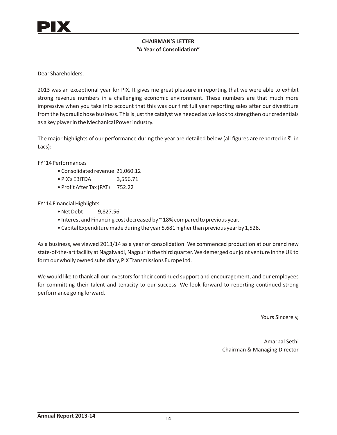# **CHAIRMAN'S LETTER "A Year of Consolidation"**

Dear Shareholders,

2013 was an exceptional year for PIX. It gives me great pleasure in reporting that we were able to exhibit strong revenue numbers in a challenging economic environment. These numbers are that much more impressive when you take into account that this was our first full year reporting sales after our divestiture from the hydraulic hose business. This is just the catalyst we needed as we look to strengthen our credentials as a key player in the Mechanical Power industry.

The major highlights of our performance during the year are detailed below (all figures are reported in  $\bar{\tau}$  in Lacs):

FY '14 Performances

- Consolidated revenue 21,060.12
- PIX's EBITDA 3,556.71
- Profit After Tax (PAT) 752.22

FY '14 Financial Highlights

- Net Debt 9,827.56
- Interest and Financing cost decreased by ~ 18% compared to previous year.
- Capital Expenditure made during the year 5,681 higher than previous year by 1,528. •

As a business, we viewed 2013/14 as a year of consolidation. We commenced production at our brand new state-of-the-art facility at Nagalwadi, Nagpur in the third quarter. We demerged our joint venture in the UK to form our wholly owned subsidiary, PIX Transmissions Europe Ltd.

We would like to thank all our investors for their continued support and encouragement, and our employees for committing their talent and tenacity to our success. We look forward to reporting continued strong performance going forward.

Yours Sincerely,

Amarpal Sethi Chairman & Managing Director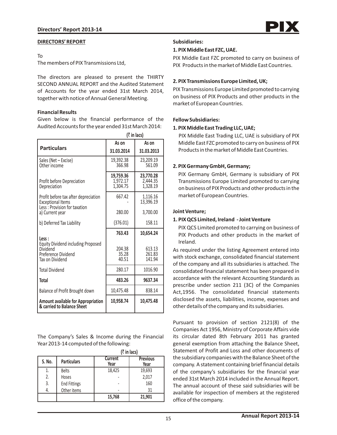#### **DIRECTORS' REPORT**

#### To

The members of PIX Transmissions Ltd,

The directors are pleased to present the THIRTY SECOND ANNUAL REPORT and the Audited Statement of Accounts for the year ended 31st March 2014, together with notice of Annual General Meeting.

#### **Financial Results**

Given below is the financial performance of the Audited Accounts for the year ended 31st March 2014:

|                                                                                                           |                                   | $(\bar{z}$ in lacs)               |
|-----------------------------------------------------------------------------------------------------------|-----------------------------------|-----------------------------------|
|                                                                                                           | As on                             | As on                             |
| <b>Particulars</b>                                                                                        | 31.03.2014                        | 31.03.2013                        |
| Sales (Net - Excise)<br>Other income                                                                      | 19,392.38<br>366.98               | 23,209.19<br>561.09               |
| Profit before Depreciation<br>Depreciation                                                                | 19,759.36<br>1,972.17<br>1,304.75 | 23,770.28<br>2,444.35<br>1,328.19 |
| Profit before tax after depreciation<br><b>Exceptional Items</b><br>Less : Provision for taxation         | 667.42                            | 1,116.16<br>13,396.19             |
| a) Current year                                                                                           | 280.00                            | 3,700.00                          |
| b) Deferred Tax Liability                                                                                 | (376.01)                          | 158.11                            |
|                                                                                                           | 763.43                            | 10,654.24                         |
| Less :<br><b>Equity Dividend including Proposed</b><br>Dividend<br>Preference Dividend<br>Tax on Dividend | 204.38<br>35.28<br>40.51          | 613.13<br>261.83<br>141.94        |
| <b>Total Dividend</b>                                                                                     | 280.17                            | 1016.90                           |
| <b>Total</b>                                                                                              | 483.26                            | 9637.34                           |
| Balance of Profit Brought down                                                                            | 10,475.48                         | 838.14                            |
| <b>Amount available for Appropriation</b><br>& carried to Balance Sheet                                   | 10.958.74                         | 10.475.48                         |

The Company's Sales & Income during the Financial Year 2013-14 computed of the following:

 $\sim$  . . .

|        |                     |                 | (र in lacs)             |
|--------|---------------------|-----------------|-------------------------|
| S. No. | <b>Particulars</b>  | Current<br>Year | <b>Previous</b><br>Year |
|        | <b>Belts</b>        | 18,425          | 19,693                  |
| 2.     | Hoses               |                 | 2,017                   |
| 3.     | <b>End Fittings</b> |                 | 160                     |
| 4.     | Other items         |                 | 31                      |
|        |                     | 15,768          | 21,901                  |

## **Subsidiaries:**

## **1. PIX Middle East FZC, UAE.**

PIX Middle East FZC promoted to carry on business of PIX Products in the market of Middle East Countries.

## **2. PIX Transmissions Europe Limited, UK;**

PIX Transmissions Europe Limited promoted to carrying on business of PIX Products and other products in the market of European Countries.

## **Fellow Subsidiaries:**

## **1. PIX Middle East Trading LLC, UAE;**

PIX Middle East Trading LLC, UAE is subsidiary of PIX Middle East FZC promoted to carry on business of PIX Products in the market of Middle East Countries.

## **2. PIX Germany GmbH, Germany;**

PIX Germany GmbH, Germany is subsidiary of PIX Transmissions Europe Limited promoted to carrying on business of PIX Products and other products in the market of European Countries.

## **Joint Venture;**

## **1. PIX QCS Limited, Ireland - Joint Venture**

PIX QCS Limited promoted to carrying on business of PIX Products and other products in the market of Ireland.

As required under the listing Agreement entered into with stock exchange, consolidated financial statement of the company and all its subsidiaries is attached. The consolidated financial statement has been prepared in accordance with the relevant Accounting Standards as prescribe under section 211 (3C) of the Companies Act,1956. The consolidated financial statements disclosed the assets, liabilities, income, expenses and other details of the company and its subsidiaries.

Pursuant to provision of section 2121(8) of the Companies Act 1956, Ministry of Corporate Affairs vide its circular dated 8th February 2011 has granted general exemption from attaching the Balance Sheet, Statement of Profit and Loss and other documents of the subsidiary companies with the Balance Sheet of the company. A statement containing brief financial details of the company's subsidiaries for the financial year ended 31st March 2014 included in the Annual Report. The annual account of these said subsidiaries will be available for inspection of members at the registered office of the company.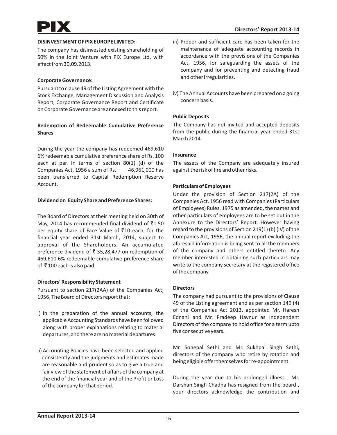

#### **DISINVESTMENT OF PIX EUROPE LIMITED:**

The company has disinvested existing shareholding of 50% in the Joint Venture with PIX Europe Ltd. with effect from 30.09.2013.

#### **Corporate Governance:**

Pursuant to clause 49 of the Listing Agreement with the Stock Exchange, Management Discussion and Analysis Report, Corporate Governance Report and Certificate on Corporate Governance are annexed to this report.

## **Redemption of Redeemable Cumulative Preference Shares**

During the year the company has redeemed 469,610 6% redeemable cumulative preference share of Rs. 100 each at par. In terms of section 80(1) (d) of the Companies Act, 1956 a sum of Rs. 46,961,000 has been transferred to Capital Redemption Reserve Account.

#### **Dividend on Equity Share and Preference Shares:**

The Board of Directors at their meeting held on 30th of May, 2014 has recommended final dividend of  $\bar{z}$ 1.50 per equity share of Face Value of ₹10 each, for the financial year ended 31st March, 2014, subject to approval of the Shareholders. An accumulated preference dividend of ₹ 35,28,477 on redemption of 469,610 6% redeemable cumulative preference share of  $\bar{\mathfrak{c}}$  100 each is also paid.

#### **Directors' Responsibility Statement**

Pursuant to section 217(2AA) of the Companies Act, 1956, The Board of Directors report that:

- I) In the preparation of the annual accounts, the applicable Accounting Standards have been followed along with proper explanations relating to material departures, and there are no material departures.
- ii) Accounting Policies have been selected and applied consistently and the judgments and estimates made are reasonable and prudent so as to give a true and fair view of the statement of affairs of the company at the end of the financial year and of the Profit or Loss of the company for that period.
- iii) Proper and sufficient care has been taken for the maintenance of adequate accounting records in accordance with the provisions of the Companies Act, 1956, for safeguarding the assets of the company and for preventing and detecting fraud and other irregularities.
- iv) The Annual Accounts have been prepared on a going concern basis.

## **Public Deposits**

The Company has not invited and accepted deposits from the public during the financial year ended 31st March 2014.

#### **Insurance**

The assets of the Company are adequately insured against the risk of fire and other risks.

#### **Particulars of Employees**

Under the provision of Section 217(2A) of the Companies Act, 1956 read with Companies (Particulars of Employees) Rules, 1975 as amended, the names and other particulars of employees are to be set out in the Annexure to the Directors' Report. However having regard to the provisions of Section 219(1) (b) (IV) of the Companies Act, 1956, the annual report excluding the aforesaid information is being sent to all the members of the company and others entitled thereto. Any member interested in obtaining such particulars may write to the company secretary at the registered office of the company.

## **Directors**

The company had pursuant to the provisions of Clause 49 of the Listing agreement and as per section 149 (4) of the Companies Act 2013, appointed Mr. Haresh Ednani and Mr. Pradeep Havnur as Independent Directors of the company to hold office for a term upto five consecutive years.

Mr. Sonepal Sethi and Mr. Sukhpal Singh Sethi, directors of the company who retire by rotation and being eligible offer themselves for re-appointment.

During the year due to his prolonged illness , Mr. Darshan Singh Chadha has resigned from the board , your directors acknowledge the contribution and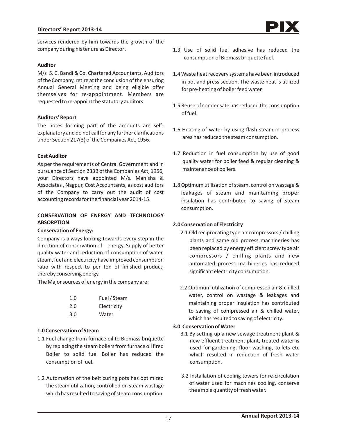services rendered by him towards the growth of the company during his tenure as Director .

## **Auditor**

M/s S. C. Bandi & Co. Chartered Accountants, Auditors of the Company, retire at the conclusion of the ensuring Annual General Meeting and being eligible offer themselves for re-appointment. Members are requested to re-appoint the statutory auditors.

## **Auditors' Report**

The notes forming part of the accounts are selfexplanatory and do not call for any further clarifications under Section 217(3) of the Companies Act, 1956.

#### **Cost Auditor**

As per the requirements of Central Government and in pursuance of Section 233B of the Companies Act, 1956, your Directors have appointed M/s. Manisha & Associates , Nagpur, Cost Accountants, as cost auditors of the Company to carry out the audit of cost accounting records for the financial year 2014-15.

## **CONSERVATION OF ENERGY AND TECHNOLOGY ABSORPTION**

#### **Conservation of Energy:**

Company is always looking towards every step in the direction of conservation of energy. Supply of better quality water and reduction of consumption of water, steam, fuel and electricity have improved consumption ratio with respect to per ton of finished product, thereby conserving energy.

The Major sources of energy in the company are:

| 1.0 | Fuel / Steam |
|-----|--------------|
| 2.0 | Electricity  |
| 3.0 | Water        |

## **1.0 Conservation of Steam**

- 1.1 Fuel change from furnace oil to Biomass briquette by replacing the steam boilers from furnace oil fired Boiler to solid fuel Boiler has reduced the consumption of fuel.
- 1.2 Automation of the belt curing pots has optimized the steam utilization, controlled on steam wastage which has resulted to saving of steam consumption
- 1.3 Use of solid fuel adhesive has reduced the consumption of Biomass briquette fuel.
- 1.4 Waste heat recovery systems have been introduced in pot and press section. The waste heat is utilized for pre-heating of boiler feed water.
- 1.5 Reuse of condensate has reduced the consumption of fuel.
- 1.6 Heating of water by using flash steam in process area has reduced the steam consumption.
- 1.7 Reduction in fuel consumption by use of good quality water for boiler feed & regular cleaning & maintenance of boilers.
- 1.8 Optimum utilization of steam, control on wastage & leakages of steam and maintaining proper insulation has contributed to saving of steam consumption.

## **2.0 Conservation of Electricity**

- 2.1 Old reciprocating type air compressors / chilling plants and same old process machineries has been replaced by energy efficient screw type air compressors / chilling plants and new automated process machineries has reduced significant electricity consumption.
- 2.2 Optimum utilization of compressed air & chilled water, control on wastage & leakages and maintaining proper insulation has contributed to saving of compressed air & chilled water, which has resulted to saving of electricity.

## **3.0 Conservation of Water**

- 3.1 By setting up a new sewage treatment plant & new effluent treatment plant, treated water is used for gardening, floor washing, toilets etc which resulted in reduction of fresh water consumption.
- 3.2 Installation of cooling towers for re-circulation of water used for machines cooling, conserve the ample quantity of fresh water.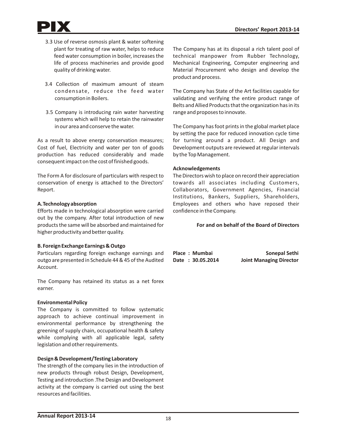

- 3.3 Use of reverse osmosis plant & water softening plant for treating of raw water, helps to reduce feed water consumption in boiler, increases the life of process machineries and provide good quality of drinking water.
- 3.4 Collection of maximum amount of steam condensate, reduce the feed water consumption in Boilers.
- 3.5 Company is introducing rain water harvesting systems which will help to retain the rainwater in our area and conserve the water.

As a result to above energy conservation measures; Cost of fuel, Electricity and water per ton of goods production has reduced considerably and made consequent impact on the cost of finished goods.

The Form A for disclosure of particulars with respect to conservation of energy is attached to the Directors' Report.

#### **A.Technology absorption**

Efforts made in technological absorption were carried out by the company. After total introduction of new products the same will be absorbed and maintained for higher productivity and better quality.

## **B.Foreign Exchange Earnings & Outgo**

Particulars regarding foreign exchange earnings and outgo are presented in Schedule 44 & 45 of the Audited Account.

The Company has retained its status as a net forex earner.

#### **Environmental Policy**

The Company is committed to follow systematic approach to achieve continual improvement in environmental performance by strengthening the greening of supply chain, occupational health & safety while complying with all applicable legal, safety legislation and other requirements.

#### **Design & Development/Testing Laboratory**

The strength of the company lies in the introduction of new products through robust Design, Development, Testing and introduction .The Design and Development activity at the company is carried out using the best resources and facilities.

The Company has at its disposal a rich talent pool of technical manpower from Rubber Technology, Mechanical Engineering, Computer engineering and Material Procurement who design and develop the product and process.

The Company has State of the Art facilities capable for validating and verifying the entire product range of Belts and Allied Products that the organization has in its range and proposes to innovate.

The Company has foot prints in the global market place by setting the pace for reduced innovation cycle time for turning around a product. All Design and Development outputs are reviewed at regular intervals by the Top Management.

#### **Acknowledgements**

The Directors wish to place on record their appreciation towards all associates including Customers, Collaborators, Government Agencies, Financial Institutions, Bankers, Suppliers, Shareholders, Employees and others who have reposed their confidence in the Company.

#### **For and on behalf of the Board of Directors**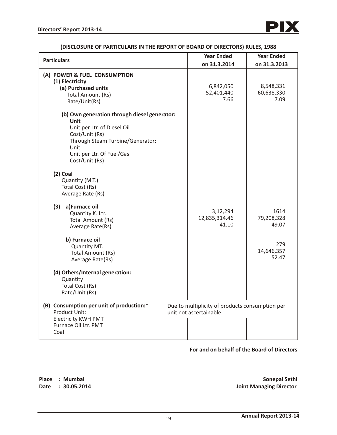| (DISCLOSURE OF PARTICULARS IN THE REPORT OF BOARD OF DIRECTORS) RULES, 1988 |  |  |
|-----------------------------------------------------------------------------|--|--|
|-----------------------------------------------------------------------------|--|--|

|                                                                                                                                                                                                  | <b>Year Ended</b>                                                          | <b>Year Ended</b>               |
|--------------------------------------------------------------------------------------------------------------------------------------------------------------------------------------------------|----------------------------------------------------------------------------|---------------------------------|
| <b>Particulars</b>                                                                                                                                                                               | on 31.3.2014                                                               | on 31.3.2013                    |
| (A) POWER & FUEL CONSUMPTION<br>(1) Electricity<br>(a) Purchased units<br>Total Amount (Rs)<br>Rate/Unit(Rs)                                                                                     | 6,842,050<br>52,401,440<br>7.66                                            | 8,548,331<br>60,638,330<br>7.09 |
| (b) Own generation through diesel generator:<br>Unit<br>Unit per Ltr. of Diesel Oil<br>Cost/Unit (Rs)<br>Through Steam Turbine/Generator:<br>Unit<br>Unit per Ltr. Of Fuel/Gas<br>Cost/Unit (Rs) |                                                                            |                                 |
| $(2)$ Coal<br>Quantity (M.T.)<br>Total Cost (Rs)<br>Average Rate (Rs)                                                                                                                            |                                                                            |                                 |
| a)Furnace oil<br>(3)<br>Quantity K. Ltr.<br>Total Amount (Rs)<br>Average Rate(Rs)                                                                                                                | 3,12,294<br>12,835,314.46<br>41.10                                         | 1614<br>79,208,328<br>49.07     |
| b) Furnace oil<br>Quantity MT.<br>Total Amount (Rs)<br>Average Rate(Rs)                                                                                                                          |                                                                            | 279<br>14,646,357<br>52.47      |
| (4) Others/Internal generation:<br>Quantity<br>Total Cost (Rs)<br>Rate/Unit (Rs)                                                                                                                 |                                                                            |                                 |
| (B) Consumption per unit of production:*<br>Product Unit:<br><b>Electricity KWH PMT</b><br>Furnace Oil Ltr. PMT<br>Coal                                                                          | Due to multiplicity of products consumption per<br>unit not ascertainable. |                                 |

#### **For and on behalf of the Board of Directors**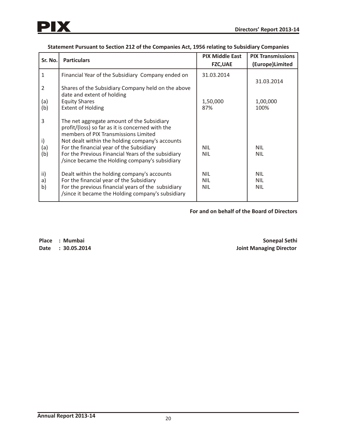

| Sr. No.          | <b>Particulars</b>                                                                                                                                | <b>PIX Middle East</b> | <b>PIX Transmissions</b> |
|------------------|---------------------------------------------------------------------------------------------------------------------------------------------------|------------------------|--------------------------|
|                  |                                                                                                                                                   | <b>FZC, UAE</b>        | (Europe)Limited          |
| $\mathbf{1}$     | Financial Year of the Subsidiary Company ended on                                                                                                 | 31.03.2014             | 31.03.2014               |
| 2                | Shares of the Subsidiary Company held on the above<br>date and extent of holding                                                                  |                        |                          |
| (a)<br>(b)       | <b>Equity Shares</b><br><b>Extent of Holding</b>                                                                                                  | 1,50,000<br>87%        | 1,00,000<br>100%         |
|                  |                                                                                                                                                   |                        |                          |
| 3                | The net aggregate amount of the Subsidiary<br>profit/(loss) so far as it is concerned with the<br>members of PIX Transmissions Limited            |                        |                          |
| i)<br>(a)<br>(b) | Not dealt within the holding company's accounts<br>For the financial year of the Subsidiary<br>For the Previous Financial Years of the subsidiary | <b>NIL</b><br>NIL      | <b>NIL</b><br><b>NIL</b> |
|                  | /since became the Holding company's subsidiary                                                                                                    |                        |                          |
| ii)<br>a)        | Dealt within the holding company's accounts<br>For the financial year of the Subsidiary                                                           | NIL<br><b>NIL</b>      | <b>NIL</b><br><b>NIL</b> |
| b)               | For the previous financial years of the subsidiary<br>/since it became the Holding company's subsidiary                                           | NIL                    | <b>NIL</b>               |

# **Statement Pursuant to Section 212 of the Companies Act, 1956 relating to Subsidiary Companies**

**For and on behalf of the Board of Directors**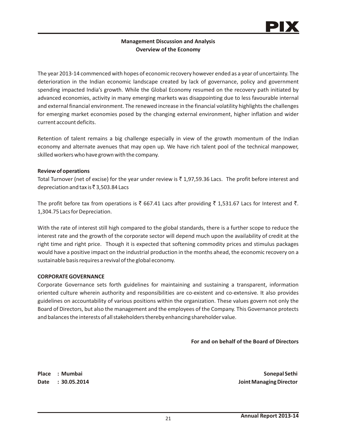# **Management Discussion and Analysis Overview of the Economy**

The year 2013-14 commenced with hopes of economic recovery however ended as a year of uncertainty. The deterioration in the Indian economic landscape created by lack of governance, policy and government spending impacted India's growth. While the Global Economy resumed on the recovery path initiated by advanced economies, activity in many emerging markets was disappointing due to less favourable internal and external financial environment. The renewed increase in the financial volatility highlights the challenges for emerging market economies posed by the changing external environment, higher inflation and wider current account deficits.

Retention of talent remains a big challenge especially in view of the growth momentum of the Indian economy and alternate avenues that may open up. We have rich talent pool of the technical manpower, skilled workers who have grown with the company.

## **Review of operations**

Total Turnover (net of excise) for the year under review is  $\bar{\bar{\tau}}$  1,97,59.36 Lacs. The profit before interest and depreciation and tax is  $\bar{\mathfrak{c}}$  3,503.84 Lacs

The profit before tax from operations is  $\bar{\tau}$  667.41 Lacs after providing  $\bar{\tau}$  1,531.67 Lacs for Interest and  $\bar{\tau}$ . 1,304.75 Lacs for Depreciation.

With the rate of interest still high compared to the global standards, there is a further scope to reduce the interest rate and the growth of the corporate sector will depend much upon the availability of credit at the right time and right price. Though it is expected that softening commodity prices and stimulus packages would have a positive impact on the industrial production in the months ahead, the economic recovery on a sustainable basis requires a revival of the global economy.

# **CORPORATE GOVERNANCE**

Corporate Governance sets forth guidelines for maintaining and sustaining a transparent, information oriented culture wherein authority and responsibilities are co-existent and co-extensive. It also provides guidelines on accountability of various positions within the organization. These values govern not only the Board of Directors, but also the management and the employees of the Company. This Governance protects and balances the interests of all stakeholders thereby enhancing shareholder value.

# **For and on behalf of the Board of Directors**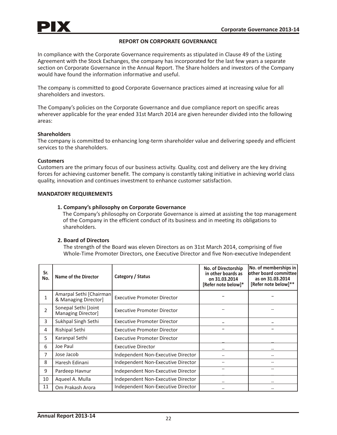#### **REPORT ON CORPORATE GOVERNANCE**

In compliance with the Corporate Governance requirements as stipulated in Clause 49 of the Listing Agreement with the Stock Exchanges, the company has incorporated for the last few years a separate section on Corporate Governance in the Annual Report. The Share holders and investors of the Company would have found the information informative and useful.

The company is committed to good Corporate Governance practices aimed at increasing value for all shareholders and investors.

The Company's policies on the Corporate Governance and due compliance report on specific areas wherever applicable for the year ended 31st March 2014 are given hereunder divided into the following areas:

#### **Shareholders**

The company is committed to enhancing long-term shareholder value and delivering speedy and efficient services to the shareholders.

#### **Customers**

Customers are the primary focus of our business activity. Quality, cost and delivery are the key driving forces for achieving customer benefit. The company is constantly taking initiative in achieving world class quality, innovation and continues investment to enhance customer satisfaction.

#### **MANDATORY REQUIREMENTS**

#### **1. Company's philosophy on Corporate Governance**

The Company's philosophy on Corporate Governance is aimed at assisting the top management of the Company in the efficient conduct of its business and in meeting its obligations to shareholders.

## **2. Board of Directors**

The strength of the Board was eleven Directors as on 31st March 2014, comprising of five Whole-Time Promoter Directors, one Executive Director and five Non-executive Independent

| Sr.<br>No.     | <b>Name of the Director</b>                     | Category / Status                  | <b>No. of Directorship</b><br>in other boards as<br>on 31.03.2014<br>[Refer note below]* | No. of memberships in<br>other board committee<br>as on 31.03.2014<br>[Refer note below]** |
|----------------|-------------------------------------------------|------------------------------------|------------------------------------------------------------------------------------------|--------------------------------------------------------------------------------------------|
| 1              | Amarpal Sethi [Chairman<br>& Managing Director] | <b>Executive Promoter Director</b> |                                                                                          |                                                                                            |
| $\overline{2}$ | Sonepal Sethi [Joint<br>Managing Director]      | <b>Executive Promoter Director</b> |                                                                                          |                                                                                            |
| 3              | Sukhpal Singh Sethi                             | <b>Executive Promoter Director</b> |                                                                                          |                                                                                            |
| 4              | Rishipal Sethi                                  | <b>Executive Promoter Director</b> |                                                                                          |                                                                                            |
| 5.             | Karanpal Sethi                                  | <b>Executive Promoter Director</b> |                                                                                          |                                                                                            |
| 6              | Joe Paul                                        | <b>Executive Director</b>          |                                                                                          |                                                                                            |
| 7              | Jose Jacob                                      | Independent Non-Executive Director |                                                                                          |                                                                                            |
| 8              | Haresh Edinani                                  | Independent Non-Executive Director |                                                                                          |                                                                                            |
| 9              | Pardeep Havnur                                  | Independent Non-Executive Director | --                                                                                       | --                                                                                         |
| 10             | Aqueel A. Mulla                                 | Independent Non-Executive Director |                                                                                          |                                                                                            |
| 11             | Om Prakash Arora                                | Independent Non-Executive Director |                                                                                          |                                                                                            |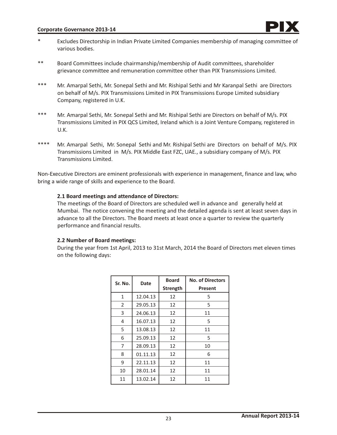- \* Excludes Directorship in Indian Private Limited Companies membership of managing committee of various bodies.
- \*\* Board Committees include chairmanship/membership of Audit committees, shareholder grievance committee and remuneration committee other than PIX Transmissions Limited.
- \*\*\* Mr. Amarpal Sethi, Mr. Sonepal Sethi and Mr. Rishipal Sethi and Mr Karanpal Sethi are Directors on behalf of M/s. PIX Transmissions Limited in PIX Transmissions Europe Limited subsidiary Company, registered in U.K.
- \*\*\* Mr. Amarpal Sethi, Mr. Sonepal Sethi and Mr. Rishipal Sethi are Directors on behalf of M/s. PIX Transmissions Limited in PIX QCS Limited, Ireland which is a Joint Venture Company, registered in U.K.
- \*\*\*\* Mr. Amarpal Sethi, Mr. Sonepal Sethi and Mr. Rishipal Sethi are Directors on behalf of M/s. PIX Transmissions Limited in M/s. PIX Middle East FZC, UAE., a subsidiary company of M/s. PIX Transmissions Limited.

Non-Executive Directors are eminent professionals with experience in management, finance and law, who bring a wide range of skills and experience to the Board.

# **2.1 Board meetings and attendance of Directors:**

The meetings of the Board of Directors are scheduled well in advance and generally held at Mumbai. The notice convening the meeting and the detailed agenda is sent at least seven days in advance to all the Directors. The Board meets at least once a quarter to review the quarterly performance and financial results.

# **2.2 Number of Board meetings:**

During the year from 1st April, 2013 to 31st March, 2014 the Board of Directors met eleven times on the following days:

| Sr. No.      | Date     | Board    | <b>No. of Directors</b> |
|--------------|----------|----------|-------------------------|
|              |          | Strength | Present                 |
| $\mathbf{1}$ | 12.04.13 | 12       | 5                       |
| 2            | 29.05.13 | 12       | 5                       |
| 3            | 24.06.13 | 12       | 11                      |
| 4            | 16.07.13 | 12       | 5                       |
| 5            | 13.08.13 | 12       | 11                      |
| 6            | 25.09.13 | 12       | 5                       |
| 7            | 28.09.13 | 12       | 10                      |
| 8            | 01.11.13 | 12       | 6                       |
| 9            | 22.11.13 | 12       | 11                      |
| 10           | 28.01.14 | 12       | 11                      |
| 11           | 13.02.14 | 12       | 11                      |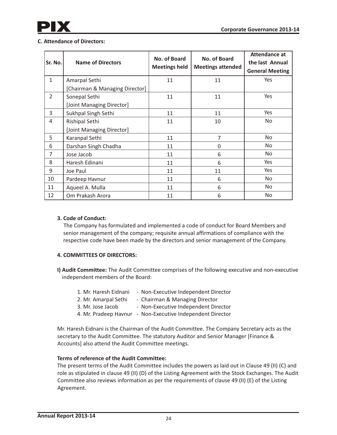

## **C. Attendance of Directors:**

|                |                                | No. of Board         | No. of Board             | <b>Attendance at</b>   |
|----------------|--------------------------------|----------------------|--------------------------|------------------------|
| Sr. No.        | <b>Name of Directors</b>       |                      |                          | the last Annual        |
|                |                                | <b>Meetings held</b> | <b>Meetings attended</b> | <b>General Meeting</b> |
| $\mathbf{1}$   | Amarpal Sethi                  | 11                   | 11                       | Yes                    |
|                | [Chairman & Managing Director] |                      |                          |                        |
| $\overline{2}$ | Sonepal Sethi                  | 11                   | 11                       | Yes                    |
|                | [Joint Managing Director]      |                      |                          |                        |
| 3              | Sukhpal Singh Sethi            | 11                   | 11                       | Yes                    |
| 4              | Rishipal Sethi                 | 11                   | 10                       | No                     |
|                | [Joint Managing Director]      |                      |                          |                        |
| 5              | Karanpal Sethi                 | 11                   | 7                        | No.                    |
| 6              | Darshan Singh Chadha           | 11                   | 0                        | No                     |
| 7              | Jose Jacob                     | 11                   | 6                        | No                     |
| 8              | Haresh Edinani                 | 11                   | 6                        | Yes                    |
| 9              | Joe Paul                       | 11                   | 11                       | Yes                    |
| 10             | Pardeep Havnur                 | 11                   | 6                        | No                     |
| 11             | Aqueel A. Mulla                | 11                   | 6                        | No                     |
| 12             | Om Prakash Arora               | 11                   | 6                        | No.                    |

## **3. Code of Conduct:**

The Company has formulated and implemented a code of conduct for Board Members and senior management of the company; requisite annual affirmations of compliance with the respective code have been made by the directors and senior management of the Company.

## **4. COMMITTEES OF DIRECTORS:**

- **I) Audit Committee:** The Audit Committee comprises of the following executive and non-executive independent members of the Board:
	- 1. Mr. Haresh Eidnani Non-Executive Independent Director
	- 2. Mr. Amarpal Sethi Chairman & Managing Director
	- 3. Mr. Jose Jacob Non-Executive Independent Director
	- 4. Mr. Pradeep Havnur Non-Executive Independent Director

Mr. Haresh Eidnani is the Chairman of the Audit Committee. The Company Secretary acts as the secretary to the Audit Committee. The statutory Auditor and Senior Manager [Finance & Accounts] also attend the Audit Committee meetings.

## **Terms of reference of the Audit Committee:**

The present terms of the Audit Committee includes the powers as laid out in Clause 49 (II) (C) and role as stipulated in clause 49 (II) (D) of the Listing Agreement with the Stock Exchanges. The Audit Committee also reviews information as per the requirements of clause 49 (II) (E) of the Listing Agreement.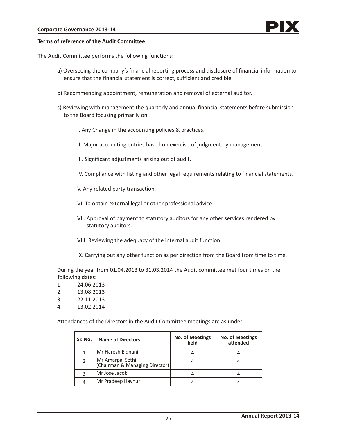## **Terms of reference of the Audit Committee:**

The Audit Committee performs the following functions:

- a) Overseeing the company's financial reporting process and disclosure of financial information to ensure that the financial statement is correct, sufficient and credible.
- b) Recommending appointment, remuneration and removal of external auditor.
- c) Reviewing with management the quarterly and annual financial statements before submission to the Board focusing primarily on.
	- I. Any Change in the accounting policies & practices.
	- II. Major accounting entries based on exercise of judgment by management
	- III. Significant adjustments arising out of audit.
	- IV. Compliance with listing and other legal requirements relating to financial statements.
	- V. Any related party transaction.
	- VI. To obtain external legal or other professional advice.
	- VII. Approval of payment to statutory auditors for any other services rendered by statutory auditors.
	- VIII. Reviewing the adequacy of the internal audit function.
	- IX. Carrying out any other function as per direction from the Board from time to time.

During the year from 01.04.2013 to 31.03.2014 the Audit committee met four times on the following dates:

- 1. 24.06.2013
- 2. 13.08.2013
- 3. 22.11.2013
- 4. 13.02.2014

Attendances of the Directors in the Audit Committee meetings are as under:

| Sr. No. | <b>Name of Directors</b>                           | <b>No. of Meetings</b><br>held | <b>No. of Meetings</b><br>attended |
|---------|----------------------------------------------------|--------------------------------|------------------------------------|
|         | Mr Haresh Eidnani                                  |                                |                                    |
| 2       | Mr Amarpal Sethi<br>(Chairman & Managing Director) |                                |                                    |
| ς       | Mr Jose Jacob                                      |                                |                                    |
| 4       | Mr Pradeep Havnur                                  |                                |                                    |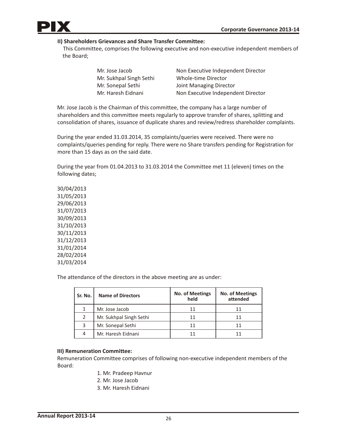

## **II) Shareholders Grievances and Share Transfer Committee:**

This Committee, comprises the following executive and non-executive independent members of the Board;

| Mr. Jose Jacob          | Non Executive Independent Director |
|-------------------------|------------------------------------|
| Mr. Sukhpal Singh Sethi | Whole-time Director                |
| Mr. Sonepal Sethi       | Joint Managing Director            |
| Mr. Haresh Eidnani      | Non Executive Independent Director |

Mr. Jose Jacob is the Chairman of this committee, the company has a large number of shareholders and this committee meets regularly to approve transfer of shares, splitting and consolidation of shares, issuance of duplicate shares and review/redress shareholder complaints.

During the year ended 31.03.2014, 35 complaints/queries were received. There were no complaints/queries pending for reply. There were no Share transfers pending for Registration for more than 15 days as on the said date.

During the year from 01.04.2013 to 31.03.2014 the Committee met 11 (eleven) times on the following dates;

30/04/2013 31/05/2013 29/06/2013 31/07/2013 30/09/2013 31/10/2013 30/11/2013 31/12/2013 31/01/2014 28/02/2014 31/03/2014

The attendance of the directors in the above meeting are as under:

| Sr. No.        | <b>Name of Directors</b> | <b>No. of Meetings</b><br>held | <b>No. of Meetings</b><br>attended |
|----------------|--------------------------|--------------------------------|------------------------------------|
|                | Mr. Jose Jacob           |                                | 11                                 |
| $\overline{2}$ | Mr. Sukhpal Singh Sethi  | 11                             |                                    |
| 3              | Mr. Sonepal Sethi        |                                |                                    |
| 4              | Mr. Haresh Eidnani       |                                |                                    |

#### **III) Remuneration Committee:**

Remuneration Committee comprises of following non-executive independent members of the Board:

- 1. Mr. Pradeep Havnur
- 2. Mr. Jose Jacob
- 3. Mr. Haresh Eidnani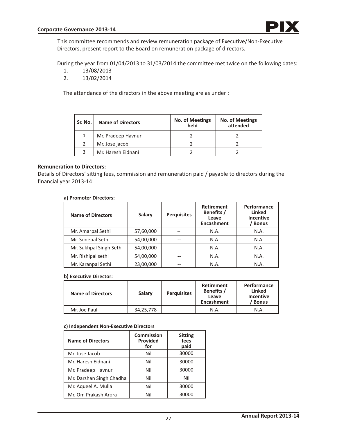This committee recommends and review remuneration package of Executive/Non-Executive Directors, present report to the Board on remuneration package of directors.

During the year from 01/04/2013 to 31/03/2014 the committee met twice on the following dates:

- 1. 13/08/2013
- 2. 13/02/2014

The attendance of the directors in the above meeting are as under :

| Sr. No. I | <b>Name of Directors</b> | <b>No. of Meetings</b><br>held | <b>No. of Meetings</b><br>attended |
|-----------|--------------------------|--------------------------------|------------------------------------|
|           | Mr. Pradeep Havnur       |                                |                                    |
|           | Mr. Jose jacob           |                                |                                    |
| З         | Mr. Haresh Eidnani       |                                |                                    |

## **Remuneration to Directors:**

Details of Directors' sitting fees, commission and remuneration paid / payable to directors during the financial year 2013-14:

#### **a) Promoter Directors:**

| <b>Name of Directors</b> | <b>Salary</b> | <b>Perquisites</b> | <b>Retirement</b><br>Benefits /<br>Leave<br><b>Encashment</b> | Performance<br>Linked<br><b>Incentive</b><br>/ Bonus |
|--------------------------|---------------|--------------------|---------------------------------------------------------------|------------------------------------------------------|
| Mr. Amarpal Sethi        | 57,60,000     |                    | N.A.                                                          | N.A.                                                 |
| Mr. Sonepal Sethi        | 54,00,000     |                    | N.A.                                                          | N.A.                                                 |
| Mr. Sukhpal Singh Sethi  | 54,00,000     |                    | N.A.                                                          | N.A.                                                 |
| Mr. Rishipal sethi       | 54,00,000     |                    | N.A.                                                          | N.A.                                                 |
| Mr. Karanpal Sethi       | 23,00,000     |                    | N.A.                                                          | N.A.                                                 |

#### **b) Executive Director:**

| <b>Name of Directors</b> | Salary    | <b>Perquisites</b> | <b>Retirement</b><br>Benefits /<br>Leave<br>Encashment | Performance<br>Linked<br><b>Incentive</b><br>Bonus |
|--------------------------|-----------|--------------------|--------------------------------------------------------|----------------------------------------------------|
| Mr. Joe Paul             | 34,25,778 |                    | N.A.                                                   | N.A.                                               |

#### **c) Independent Non-Executive Directors**

| <b>Name of Directors</b> | Commission<br><b>Provided</b><br>for | <b>Sitting</b><br>fees<br>paid |
|--------------------------|--------------------------------------|--------------------------------|
| Mr. Jose Jacob           | Nil                                  | 30000                          |
| Mr. Haresh Eidnani       | Nil                                  | 30000                          |
| Mr. Pradeep Havnur       | Nil                                  | 30000                          |
| Mr. Darshan Singh Chadha | Nil                                  | Nil                            |
| Mr. Aqueel A. Mulla      | Nil                                  | 30000                          |
| Mr. Om Prakash Arora     | Nil                                  | 30000                          |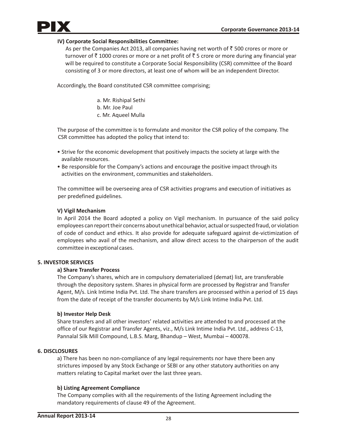

## **IV) Corporate Social Responsibilities Committee:**

As per the Companies Act 2013, all companies having net worth of  $\bar{\tau}$  500 crores or more or turnover of  $\bar{\mathfrak{c}}$  1000 crores or more or a net profit of  $\bar{\mathfrak{c}}$  5 crore or more during any financial year will be required to constitute a Corporate Social Responsibility (CSR) committee of the Board consisting of 3 or more directors, at least one of whom will be an independent Director.

Accordingly, the Board constituted CSR committee comprising;

- a. Mr. Rishipal Sethi
- b. Mr. Joe Paul
- c. Mr. Aqueel Mulla

The purpose of the committee is to formulate and monitor the CSR policy of the company. The CSR committee has adopted the policy that intend to:

- Strive for the economic development that positively impacts the society at large with the available resources.
- Be responsible for the Company's actions and encourage the positive impact through its activities on the environment, communities and stakeholders.

The committee will be overseeing area of CSR activities programs and execution of initiatives as per predefined guidelines.

## **V) Vigil Mechanism**

In April 2014 the Board adopted a policy on Vigil mechanism. In pursuance of the said policy employees can report their concerns about unethical behavior, actual or suspected fraud, or violation of code of conduct and ethics. It also provide for adequate safeguard against de-victimization of employees who avail of the mechanism, and allow direct access to the chairperson of the audit committee in exceptional cases.

## **5. INVESTOR SERVICES**

## **a) Share Transfer Process**

The Company's shares, which are in compulsory dematerialized (demat) list, are transferable through the depository system. Shares in physical form are processed by Registrar and Transfer Agent, M/s. Link Intime India Pvt. Ltd. The share transfers are processed within a period of 15 days from the date of receipt of the transfer documents by M/s Link Intime India Pvt. Ltd.

# **b) Investor Help Desk**

Share transfers and all other investors' related activities are attended to and processed at the office of our Registrar and Transfer Agents, viz., M/s Link Intime India Pvt. Ltd., address C-13, Pannalal Silk Mill Compound, L.B.S. Marg, Bhandup – West, Mumbai – 400078.

## **6. DISCLOSURES**

a) There has been no non-compliance of any legal requirements nor have there been any strictures imposed by any Stock Exchange or SEBI or any other statutory authorities on any matters relating to Capital market over the last three years.

## **b) Listing Agreement Compliance**

The Company complies with all the requirements of the listing Agreement including the mandatory requirements of clause 49 of the Agreement.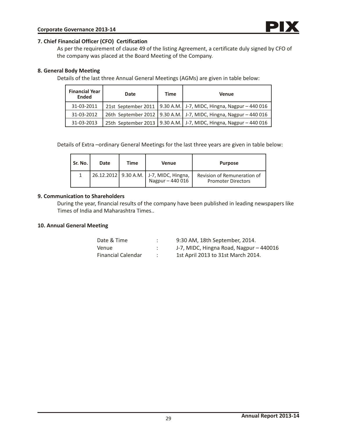## **7. Chief Financial Officer (CFO) Certification**

As per the requirement of clause 49 of the listing Agreement, a certificate duly signed by CFO of the company was placed at the Board Meeting of the Company.

## **8. General Body Meeting**

Details of the last three Annual General Meetings (AGMs) are given in table below:

| <b>Financial Year</b><br><b>Ended</b> | Date | <b>Time</b> | <b>Venue</b>                                                          |
|---------------------------------------|------|-------------|-----------------------------------------------------------------------|
| 31-03-2011                            |      |             | 21st September 2011   9.30 A.M.   J-7, MIDC, Hingna, Nagpur - 440 016 |
| 31-03-2012                            |      |             | 26th September 2012   9.30 A.M.   J-7, MIDC, Hingna, Nagpur - 440 016 |
| 31-03-2013                            |      |             | 25th September 2013   9.30 A.M.   J-7, MIDC, Hingna, Nagpur - 440 016 |

Details of Extra –ordinary General Meetings for the last three years are given in table below:

| Sr. No. l | <b>Date</b> | Time | Venue                                                             | <b>Purpose</b>                                           |
|-----------|-------------|------|-------------------------------------------------------------------|----------------------------------------------------------|
|           |             |      | , 26.12.2012   9.30 A.M.   J-7, MIDC, Hingna,<br>Nagpur - 440 016 | Revision of Remuneration of<br><b>Promoter Directors</b> |

## **9. Communication to Shareholders**

During the year, financial results of the company have been published in leading newspapers like Times of India and Maharashtra Times..

## **10. Annual General Meeting**

| Date & Time               | 9:30 AM, 18th September, 2014.          |
|---------------------------|-----------------------------------------|
| Venue                     | J-7, MIDC, Hingna Road, Nagpur – 440016 |
| <b>Financial Calendar</b> | 1st April 2013 to 31st March 2014.      |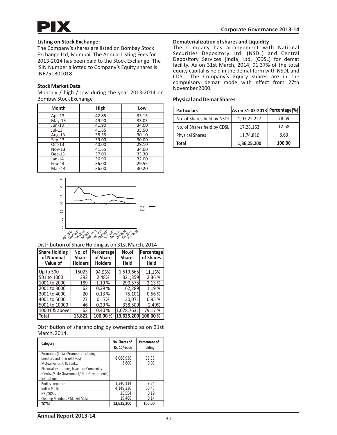

#### **Listing on Stock Exchange:**

The Company's shares are listed on Bombay Stock Exchange Ltd, Mumbai. The Annual Listing Fees for 2013-2014 has been paid to the Stock Exchange. The ISIN Number allotted to Company's Equity shares is INE751B01018.

#### **Stock Market Data**

Monthly / high / low during the year 2013-2014 on Bombay Stock Exchange

| Month     | High  | Low   |
|-----------|-------|-------|
| Apr- $13$ | 42.85 | 33.15 |
| $May-13$  | 49.90 | 33.05 |
| $Jun-13$  | 41.90 | 34.00 |
| $Jul-13$  | 41.65 | 35.50 |
| Aug- $13$ | 38.55 | 30.10 |
| $Sep-13$  | 39.00 | 30.00 |
| $Oct-13$  | 40.00 | 29.10 |
| $Nov-13$  | 41.65 | 34.00 |
| $Dec-13$  | 37.00 | 33.30 |
| $Jan-14$  | 36.90 | 32.00 |
| $Feb-14$  | 36.00 | 29.55 |
| $Mar-14$  | 36.00 | 30.20 |



Distribution of Share Holding as on 31st March, 2014

| <b>Share Holding</b><br>of Nominal<br>Value of | No. of<br><b>Share</b><br><b>Holders</b> | Percentage<br>of Share<br><b>Holders</b> | No.of<br><b>Shares</b><br><b>Held</b> | Percentage<br>of Shares<br>Held |
|------------------------------------------------|------------------------------------------|------------------------------------------|---------------------------------------|---------------------------------|
| Up to 500                                      | 15023                                    | 94.95%                                   | 1,519,665                             | 11.15%                          |
| 501 to 1000                                    | 392                                      | 2.48%                                    | 321.359                               | 2.36 %                          |
| 1001 to 2000                                   | 189                                      | 1.19%                                    | 290.575                               | 2.13 %                          |
| 2001 to 3000                                   | 62                                       | 0.39%                                    | 162.289                               | 1.19%                           |
| 3001 to 4000                                   | 20                                       | 0.13%                                    | 75.101                                | 0.56%                           |
| 4001 to 5000                                   | 27                                       | 0.17%                                    | 130,071                               | 0.95%                           |
| 5001 to 10000                                  | 46                                       | 0.29%                                    | 338.509                               | 2.49%                           |
| 10001 & above                                  | 63                                       | 0.40%                                    | 1,078,7631                            | 79.17 %                         |
| l Total                                        | 15.822                                   | 100.00%                                  | 13,625,200                            | 100.00 %                        |

Distribution of shareholding by ownership as on 31st March, 2014.

| Category                                    | No. Shares of<br>Rs. 10/-each | Percentage of<br>holding |
|---------------------------------------------|-------------------------------|--------------------------|
| Promoters (Indian Promoters including       |                               |                          |
| directors and their relatives)              | 8,086,936                     | 59.35                    |
| Mutual Funds, UTI, Banks,                   | 3,800                         | 0.03                     |
| Financial Institutions, Insurance Companies |                               |                          |
| (Central/State Government/ Non-Governments) |                               |                          |
| Institutions                                |                               |                          |
| Bodies corporate                            | 1,340,114                     | 9.84                     |
| Indian Public                               | 4,149,330                     | 30.45                    |
| NRI/OCB's                                   | 25,554                        | 0.19                     |
| Clearing Members / Market Maker             | 19.466                        | 0.14                     |
| TOTAL                                       | 13,625,200                    | 100.00                   |

#### **Dematerialization of shares and Liquidity**

The Company has arrangement with National Securities Depository Ltd. (NSDL) and Central Depository Services [India] Ltd. (CDSL) for demat facility. As on 31st March, 2014, 91.37% of the total equity capital is held in the demat form with NSDL and CDSL. The Company's Equity shares are in the compulsory demat mode with effect from 27th November 2000.

#### **Physical and Demat Shares**

| <b>Particulars</b>         | As on 31-03-2013 Percentage[%] |        |
|----------------------------|--------------------------------|--------|
| No. of Shares held by NSDL | 1,07,22,227                    | 78.69  |
| No. of Shares held by CDSL | 17,28,163                      | 12.68  |
| <b>Physical Shares</b>     | 11,74,810                      | 8.63   |
| Total                      | 1,36,25,200                    | 100.00 |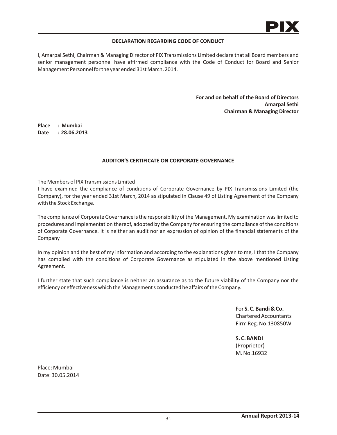

## **DECLARATION REGARDING CODE OF CONDUCT**

I, Amarpal Sethi, Chairman & Managing Director of PIX Transmissions Limited declare that all Board members and senior management personnel have affirmed compliance with the Code of Conduct for Board and Senior Management Personnel for the year ended 31st March, 2014.

> **For and on behalf of the Board of Directors Amarpal Sethi Chairman & Managing Director**

**Place : Mumbai Date : 28.06.2013**

#### **AUDITOR'S CERTIFICATE ON CORPORATE GOVERNANCE**

The Members of PIX Transmissions Limited

I have examined the compliance of conditions of Corporate Governance by PIX Transmissions Limited (the Company), for the year ended 31st March, 2014 as stipulated in Clause 49 of Listing Agreement of the Company with the Stock Exchange.

The compliance of Corporate Governance is the responsibility of the Management. My examination was limited to procedures and implementation thereof, adopted by the Company for ensuring the compliance of the conditions of Corporate Governance. It is neither an audit nor an expression of opinion of the financial statements of the Company

In my opinion and the best of my information and according to the explanations given to me, I that the Company has complied with the conditions of Corporate Governance as stipulated in the above mentioned Listing Agreement.

I further state that such compliance is neither an assurance as to the future viability of the Company nor the efficiency or effectiveness which the Management s conducted he affairs of the Company.

> For **S. C. Bandi & Co.** Chartered Accountants Firm Reg. No.130850W

**S. C. BANDI** (Proprietor) M. No.16932

Place: Mumbai Date: 30.05.2014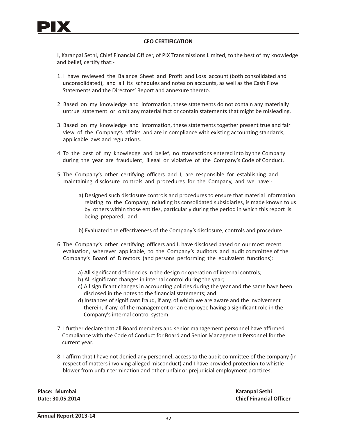## **CFO CERTIFICATION**

I, Karanpal Sethi, Chief Financial Officer, of PIX Transmissions Limited, to the best of my knowledge and belief, certify that:-

- 1. I have reviewed the Balance Sheet and Profit and Loss account (both consolidated and unconsolidated), and all its schedules and notes on accounts, as well as the Cash Flow Statements and the Directors' Report and annexure thereto.
- 2. Based on my knowledge and information, these statements do not contain any materially untrue statement or omit any material fact or contain statements that might be misleading.
- 3. Based on my knowledge and information, these statements together present true and fair view of the Company's affairs and are in compliance with existing accounting standards, applicable laws and regulations.
- 4. To the best of my knowledge and belief, no transactions entered into by the Company during the year are fraudulent, illegal or violative of the Company's Code of Conduct.
- 5. The Company's other certifying officers and I, are responsible for establishing and maintaining disclosure controls and procedures for the Company, and we have:
	- a) Designed such disclosure controls and procedures to ensure that material information relating to the Company, including its consolidated subsidiaries, is made known to us by others within those entities, particularly during the period in which this report is being prepared; and
	- b) Evaluated the effectiveness of the Company's disclosure, controls and procedure.
- 6. The Company's other certifying officers and I, have disclosed based on our most recent evaluation, wherever applicable, to the Company's auditors and audit committee of the Company's Board of Directors (and persons performing the equivalent functions):
	- a) All significant deficiencies in the design or operation of internal controls;
	- b) All significant changes in internal control during the year;
	- c) All significant changes in accounting policies during the year and the same have been disclosed in the notes to the financial statements; and
	- d) Instances of significant fraud, if any, of which we are aware and the involvement therein, if any, of the management or an employee having a significant role in the Company's internal control system.
- 7. I further declare that all Board members and senior management personnel have affirmed Compliance with the Code of Conduct for Board and Senior Management Personnel for the current year.
- 8. I affirm that I have not denied any personnel, access to the audit committee of the company (in respect of matters involving alleged misconduct) and I have provided protection to whistleblower from unfair termination and other unfair or prejudicial employment practices.

**Place: Mumbai Karanpal Sethi**

**Date: 30.05.2014 Chief Financial Officer**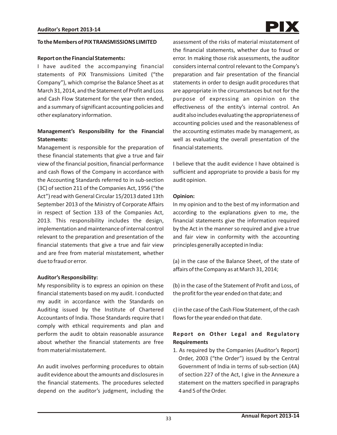#### **To the Members of PIX TRANSMISSIONS LIMITED**

#### **Report on the Financial Statements:**

I have audited the accompanying financial statements of PIX Transmissions Limited ("the Company"), which comprise the Balance Sheet as at March 31, 2014, and the Statement of Profit and Loss and Cash Flow Statement for the year then ended, and a summary of significant accounting policies and other explanatory information.

# **Management's Responsibility for the Financial Statements:**

Management is responsible for the preparation of these financial statements that give a true and fair view of the financial position, financial performance and cash flows of the Company in accordance with the Accounting Standards referred to in sub-section (3C) of section 211 of the Companies Act, 1956 ("the Act") read with General Circular 15/2013 dated 13th September 2013 of the Ministry of Corporate Affairs in respect of Section 133 of the Companies Act, 2013. This responsibility includes the design, implementation and maintenance of internal control relevant to the preparation and presentation of the financial statements that give a true and fair view and are free from material misstatement, whether due to fraud or error.

## **Auditor's Responsibility:**

My responsibility is to express an opinion on these financial statements based on my audit. I conducted my audit in accordance with the Standards on Auditing issued by the Institute of Chartered Accountants of India. Those Standards require that I comply with ethical requirements and plan and perform the audit to obtain reasonable assurance about whether the financial statements are free from material misstatement.

An audit involves performing procedures to obtain audit evidence about the amounts and disclosures in the financial statements. The procedures selected depend on the auditor's judgment, including the assessment of the risks of material misstatement of the financial statements, whether due to fraud or error. In making those risk assessments, the auditor considers internal control relevant to the Company's preparation and fair presentation of the financial statements in order to design audit procedures that are appropriate in the circumstances but not for the purpose of expressing an opinion on the effectiveness of the entity's internal control. An audit also includes evaluating the appropriateness of accounting policies used and the reasonableness of the accounting estimates made by management, as well as evaluating the overall presentation of the financial statements.

I believe that the audit evidence I have obtained is sufficient and appropriate to provide a basis for my audit opinion.

## **Opinion:**

In my opinion and to the best of my information and according to the explanations given to me, the financial statements give the information required by the Act in the manner so required and give a true and fair view in conformity with the accounting principles generally accepted in India:

(a) in the case of the Balance Sheet, of the state of affairs of the Company as at March 31, 2014;

(b) in the case of the Statement of Profit and Loss, of the profit for the year ended on that date; and

c) in the case of the Cash Flow Statement, of the cash flows for the year ended on that date.

# **Report on Other Legal and Regulatory Requirements**

1. As required by the Companies (Auditor's Report) Order, 2003 ("the Order") issued by the Central Government of India in terms of sub-section (4A) of section 227 of the Act, I give in the Annexure a statement on the matters specified in paragraphs 4 and 5 of the Order.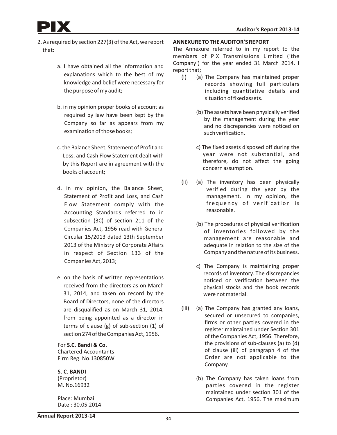

- 2. As required by section 227(3) of the Act, we report that:
	- a. I have obtained all the information and explanations which to the best of my knowledge and belief were necessary for the purpose of my audit;
	- b. in my opinion proper books of account as required by law have been kept by the Company so far as appears from my examination of those books;
	- c. the Balance Sheet, Statement of Profit and Loss, and Cash Flow Statement dealt with by this Report are in agreement with the books of account;
	- d. in my opinion, the Balance Sheet, Statement of Profit and Loss, and Cash Flow Statement comply with the Accounting Standards referred to in subsection (3C) of section 211 of the Companies Act, 1956 read with General Circular 15/2013 dated 13th September 2013 of the Ministry of Corporate Affairs in respect of Section 133 of the Companies Act, 2013;
	- e. on the basis of written representations received from the directors as on March 31, 2014, and taken on record by the Board of Directors, none of the directors are disqualified as on March 31, 2014, from being appointed as a director in terms of clause (g) of sub-section (1) of section 274 of the Companies Act, 1956.

For **S.C. Bandi & Co.** Chartered Accountants Firm Reg. No.130850W

# **S. C. BANDI**

(Proprietor) M. No.16932

Place: Mumbai Date : 30.05.2014

## **ANNEXURE TO THE AUDITOR'S REPORT**

The Annexure referred to in my report to the members of PIX Transmissions Limited ('the Company') for the year ended 31 March 2014. I report that;

- (I) (a) The Company has maintained proper records showing full particulars including quantitative details and situation of fixed assets.
	- (b) The assets have been physically verified by the management during the year and no discrepancies were noticed on such verification.
	- c) The fixed assets disposed off during the year were not substantial, and therefore, do not affect the going concern assumption.
- (ii) (a) The inventory has been physically verified during the year by the management. In my opinion, the frequency of verification is reasonable.
	- (b) The procedures of physical verification of inventories followed by the management are reasonable and adequate in relation to the size of the Company and the nature of its business.
	- c) The Company is maintaining proper records of inventory. The discrepancies noticed on verification between the physical stocks and the book records were not material.
- (iii) (a) The Company has granted any loans, secured or unsecured to companies, firms or other parties covered in the register maintained under Section 301 of the Companies Act, 1956. Therefore, the provisions of sub-clauses (a) to (d) of clause (iii) of paragraph 4 of the Order are not applicable to the Company.
	- (b) The Company has taken loans from parties covered in the register maintained under section 301 of the Companies Act, 1956. The maximum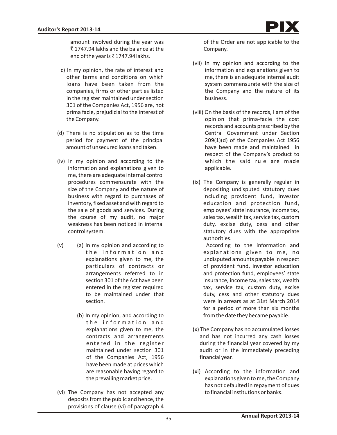amount involved during the year was  $\bar{\mathfrak{c}}$  1747.94 lakhs and the balance at the end of the year is  $\bar{\bar{\mathfrak{c}}}$  1747.94 lakhs.

- c) In my opinion, the rate of interest and other terms and conditions on which loans have been taken from the companies, firms or other parties listed in the register maintained under section 301 of the Companies Act, 1956 are, not prima facie, prejudicial to the interest of the Company.
- (d) There is no stipulation as to the time period for payment of the principal amount of unsecured loans and taken.
- (iv) In my opinion and according to the information and explanations given to me, there are adequate internal control procedures commensurate with the size of the Company and the nature of business with regard to purchases of inventory, fixed asset and with regard to the sale of goods and services. During the course of my audit, no major weakness has been noticed in internal control system.
- (v) (a) In my opinion and according to the information and explanations given to me, the particulars of contracts or arrangements referred to in section 301 of the Act have been entered in the register required to be maintained under that section.
	- (b) In my opinion, and according to the information and explanations given to me, the contracts and arrangements entered in the register maintained under section 301 of the Companies Act, 1956 have been made at prices which are reasonable having regard to the prevailing market price.
- (vi) The Company has not accepted any deposits from the public and hence, the provisions of clause (vi) of paragraph 4

of the Order are not applicable to the Company.

- (vii) In my opinion and according to the information and explanations given to me, there is an adequate internal audit system commensurate with the size of the Company and the nature of its business.
- (viii) On the basis of the records, I am of the opinion that prima-facie the cost records and accounts prescribed by the Central Government under Section 209(1)(d) of the Companies Act 1956 have been made and maintained in respect of the Company's product to which the said rule are made applicable.
- (ix) The Company is generally regular in depositing undisputed statutory dues including provident fund, investor education and protection fund, employees' state insurance, income tax, sales tax, wealth tax, service tax, custom duty, excise duty, cess and other statutory dues with the appropriate authorities.

According to the information and explanations given to me, no undisputed amounts payable in respect of provident fund, investor education and protection fund, employees' state insurance, income tax, sales tax, wealth tax, service tax, custom duty, excise duty, cess and other statutory dues were in arrears as at 31st March 2014 for a period of more than six months from the date they became payable.

- (x) The Company has no accumulated losses and has not incurred any cash losses during the financial year covered by my audit or in the immediately preceding financial year.
- (xi) According to the information and explanations given to me, the Company has not defaulted in repayment of dues to financial institutions or banks.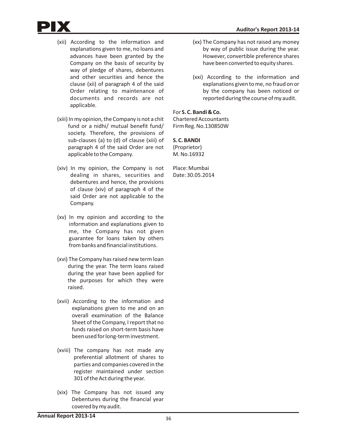

- (xii) According to the information and explanations given to me, no loans and advances have been granted by the Company on the basis of security by way of pledge of shares, debentures and other securities and hence the clause (xii) of paragraph 4 of the said Order relating to maintenance of documents and records are not applicable.
- (xiii) In my opinion, the Company is not a chit fund or a nidhi/ mutual benefit fund/ society. Therefore, the provisions of sub-clauses (a) to (d) of clause (xiii) of paragraph 4 of the said Order are not applicable to the Company.
- (xiv) In my opinion, the Company is not dealing in shares, securities and debentures and hence, the provisions of clause (xiv) of paragraph 4 of the said Order are not applicable to the Company.
- (xv) In my opinion and according to the information and explanations given to me, the Company has not given guarantee for loans taken by others from banks and financial institutions.
- (xvi) The Company has raised new term loan during the year. The term loans raised during the year have been applied for the purposes for which they were raised.
- (xvii) According to the information and explanations given to me and on an overall examination of the Balance Sheet of the Company, I report that no funds raised on short-term basis have been used for long-term investment.
- (xviii) The company has not made any preferential allotment of shares to parties and companies covered in the register maintained under section 301 of the Act during the year.
- (xix) The Company has not issued any Debentures during the financial year covered by my audit.

(xx) The Company has not raised any money by way of public issue during the year. However, convertible preference shares have been converted to equity shares.

**Auditor's Report 2013-14**

(xxi) According to the information and explanations given to me, no fraud on or by the company has been noticed or reported during the course of my audit.

## For **S. C. Bandi & Co.**

Chartered Accountants Firm Reg. No.130850W

## **S. C. BANDI**

(Proprietor) M. No.16932

Place: Mumbai Date: 30.05.2014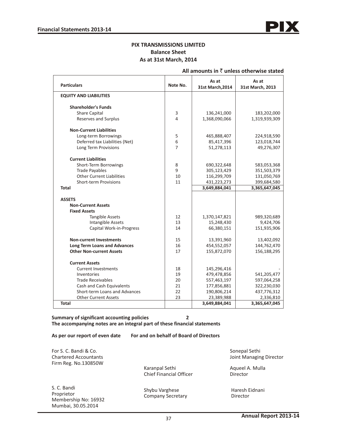## **PIX TRANSMISSIONS LIMITED Balance Sheet As at 31st March, 2014**

| <b>Particulars</b>                  | Note No.       | As at<br>31st March, 2014 | As at<br>31st March, 2013 |
|-------------------------------------|----------------|---------------------------|---------------------------|
| <b>EQUITY AND LIABILITIES</b>       |                |                           |                           |
| <b>Shareholder's Funds</b>          |                |                           |                           |
| <b>Share Capital</b>                | 3              | 136,241,000               | 183,202,000               |
| <b>Reserves and Surplus</b>         | 4              | 1,368,090,066             | 1,319,939,309             |
| <b>Non-Current Liabilities</b>      |                |                           |                           |
| Long-term Borrowings                | 5              | 465,888,407               | 224,918,590               |
| Deferred tax Liabilities (Net)      | 6              | 85,417,396                | 123,018,744               |
| Long Term Provisions                | $\overline{7}$ | 51,278,113                | 49,276,307                |
| <b>Current Liabilities</b>          |                |                           |                           |
| <b>Short-Term Borrowings</b>        | 8              | 690,322,648               | 583,053,368               |
| <b>Trade Payables</b>               | 9              | 305,123,429               | 351,503,379               |
| <b>Other Current Liabilities</b>    | 10             | 116,299,709               | 131,050,769               |
| <b>Short-term Provisions</b>        | 11             | 431,223,273               | 399,684,580               |
| <b>Total</b>                        |                | 3,649,884,041             | 3,365,647,045             |
| <b>ASSETS</b>                       |                |                           |                           |
| <b>Non-Current Assets</b>           |                |                           |                           |
| <b>Fixed Assets</b>                 |                |                           |                           |
| <b>Tangible Assets</b>              | 12             | 1,370,147,821             | 989,320,689               |
| <b>Intangible Assets</b>            | 13             | 15,248,430                | 9,424,706                 |
| Capital Work-in-Progress            | 14             | 66,380,151                | 151,935,906               |
| <b>Non-current Investments</b>      | 15             | 13,391,960                | 13,402,092                |
| <b>Long Term Loans and Advances</b> | 16             | 454,552,057               | 144,762,470               |
| <b>Other Non-current Assets</b>     | 17             | 155,872,070               | 156,188,295               |
| <b>Current Assets</b>               |                |                           |                           |
| <b>Current Investments</b>          | 18             | 145,296,416               |                           |
| Inventories                         | 19             | 479,478,856               | 541,205,477               |
| <b>Trade Receivables</b>            | 20             | 557,463,197               | 597,064,258               |
| Cash and Cash Equivalents           | 21             | 177,856,881               | 322,230,030               |
| Short-term Loans and Advances       | 22             | 190,806,214               | 437,776,312               |
| <b>Other Current Assets</b>         | 23             | 23,389,988                | 2,336,810                 |
| <b>Total</b>                        |                | 3,649,884,041             | 3,365,647,045             |

**All amounts in** ` **unless otherwise stated**

**Summary of significant accounting policies 2 The accompanying notes are an integral part of these financial statements**

**As per our report of even date For and on behalf of Board of Directors**

For S. C. Bandi & Co. Chartered Accountants Firm Reg. No.130850W

Karanpal Sethi Chief Financial Officer

S. C. Bandi Proprietor Membership No: 16932 Mumbai, 30.05.2014

Shybu Varghese Company Secretary

 Sonepal Sethi Joint Managing Director

Aqueel A. Mulla Director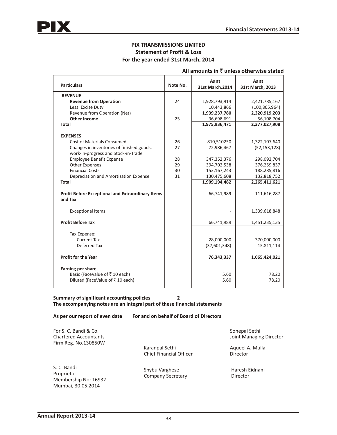## **PIX TRANSMISSIONS LIMITED Statement of Profit & Loss For the year ended 31st March, 2014**

| <b>Particulars</b>                                                                    | Note No. | As at<br>31st March, 2014  | As at<br>31st March, 2013 |
|---------------------------------------------------------------------------------------|----------|----------------------------|---------------------------|
| <b>REVENUE</b>                                                                        |          |                            |                           |
| <b>Revenue from Operation</b>                                                         | 24       | 1,928,793,914              | 2,421,785,167             |
| Less: Excise Duty                                                                     |          | 10,443,866                 | (100, 865, 964)           |
| Revenue from Operation (Net)                                                          |          | 1,939,237,780              | 2,320,919,203             |
| <b>Other Income</b>                                                                   | 25       | 36,698,691                 | 56,108,704                |
| <b>Total</b>                                                                          |          | 1,975,936,471              | 2,377,027,908             |
|                                                                                       |          |                            |                           |
| <b>EXPENSES</b>                                                                       |          |                            |                           |
| <b>Cost of Materials Consumed</b>                                                     | 26       | 810,510250                 | 1,322,107,640             |
| Changes in inventories of finished goods,                                             | 27       | 72,986,467                 | (52, 153, 128)            |
| work-in-progress and Stock-in-Trade                                                   |          |                            |                           |
| <b>Employee Benefit Expense</b>                                                       | 28       | 347,352,376                | 298,092,704               |
| <b>Other Expenses</b>                                                                 | 29       | 394,702,538                | 376,259,837               |
| <b>Financial Costs</b>                                                                | 30       | 153, 167, 243              | 188,285,816               |
| Depreciation and Amortization Expense                                                 | 31       | 130,475,608                | 132,818,752               |
| <b>Total</b>                                                                          |          | 1,909,194,482              | 2,265,411,621             |
| <b>Profit Before Exceptional and Extraordinary Items</b><br>and Tax                   |          | 66,741,989                 | 111,616,287               |
| <b>Exceptional Items</b>                                                              |          |                            | 1,339,618,848             |
| <b>Profit Before Tax</b>                                                              |          | 66,741,989                 | 1,451,235,135             |
| Tax Expense:<br><b>Current Tax</b><br>Deferred Tax                                    |          | 28,000,000<br>(37,601,348) | 370,000,000<br>15,811,114 |
| <b>Profit for the Year</b>                                                            |          | 76,343,337                 | 1,065,424,021             |
| Earning per share<br>Basic (FaceValue of ₹10 each)<br>Diluted (FaceValue of ₹10 each) |          | 5.60<br>5.60               | 78.20<br>78.20            |

## **All amounts in** ` **unless otherwise stated**

**Summary of significant accounting policies 2 The accompanying notes are an integral part of these financial statements**

**As per our report of even date For and on behalf of Board of Directors**

For S. C. Bandi & Co. Chartered Accountants Firm Reg. No.130850W

Karanpal Sethi Chief Financial Officer

S. C. Bandi Proprietor Membership No: 16932 Mumbai, 30.05.2014

Shybu Varghese Company Secretary

 Sonepal Sethi Joint Managing Director

Aqueel A. Mulla Director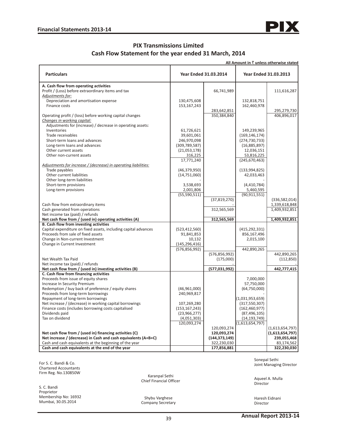

# **PIX Transmissions Limited Cash Flow Statement for the year ended 31 March, 2014**

| All Amount in $\bar{z}$ unless otherwise stated                 |                 |                              |                 |                              |  |  |
|-----------------------------------------------------------------|-----------------|------------------------------|-----------------|------------------------------|--|--|
| <b>Particulars</b>                                              |                 | <b>Year Ended 31.03.2014</b> |                 | <b>Year Ended 31.03.2013</b> |  |  |
| A. Cash flow from operating activities                          |                 |                              |                 |                              |  |  |
| Profit / (Loss) before extraordinary items and tax              |                 | 66,741,989                   |                 | 111,616,287                  |  |  |
| Adjustments for:                                                |                 |                              |                 |                              |  |  |
| Depreciation and amortisation expense                           | 130,475,608     |                              | 132,818,751     |                              |  |  |
| Finance costs                                                   | 153, 167, 243   |                              | 162,460,978     |                              |  |  |
|                                                                 |                 | 283,642,851                  |                 | 295,279,730                  |  |  |
| Operating profit / (loss) before working capital changes        |                 | 350,384,840                  |                 | 406,896,017                  |  |  |
| Changes in working capital:                                     |                 |                              |                 |                              |  |  |
| Adjustments for (increase) / decrease in operating assets:      |                 |                              |                 |                              |  |  |
| Inventories                                                     | 61,726,621      |                              | 149,239,965     |                              |  |  |
| Trade receivables                                               | 39,601,061      |                              | (169, 146, 174) |                              |  |  |
| Short-term loans and advances                                   | 246,970,098     |                              | (274, 730, 733) |                              |  |  |
| Long-term loans and advances                                    | (309, 789, 587) |                              | (16,885,897)    |                              |  |  |
| Other current assets                                            | (21,053,178)    |                              | 12,036,151      |                              |  |  |
| Other non-current assets                                        | 316,225         |                              | 53,816,225      |                              |  |  |
|                                                                 | 17,771,240      |                              | (245, 670, 463) |                              |  |  |
| Adjustments for increase / (decrease) in operating liabilities: |                 |                              |                 |                              |  |  |
| Trade payables                                                  | (46, 379, 950)  |                              | (133,994,825)   |                              |  |  |
| Other current liabilities                                       | (14, 751, 060)  |                              | 42,033,463      |                              |  |  |
| Other long-term liabilities                                     |                 |                              |                 |                              |  |  |
| Short-term provisions                                           | 3,538,693       |                              | (4,410,784)     |                              |  |  |
| Long-term provisions                                            | 2,001,806       |                              | 5,460,595       |                              |  |  |
|                                                                 | (55, 590, 511)  |                              | (90, 911, 551)  |                              |  |  |
|                                                                 |                 | (37, 819, 270)               |                 | (336,582,014)                |  |  |
| Cash flow from extraordinary items                              |                 |                              |                 | 1,339,618,848                |  |  |
| Cash generated from operations                                  |                 | 312,565,569                  |                 | 1,409,932,851                |  |  |
| Net income tax (paid) / refunds                                 |                 |                              |                 |                              |  |  |
| Net cash flow from / (used in) operating activities (A)         |                 | 312,565,569                  |                 | 1,409,932,851                |  |  |
| <b>B. Cash flow from investing activities</b>                   |                 |                              |                 |                              |  |  |
| Capital expenditure on fixed assets, including capital advances | (523, 412, 560) |                              | (415, 292, 331) |                              |  |  |
| Proceeds from sale of fixed assets                              | 91,841,853      |                              | 856,167,496     |                              |  |  |
| Change in Non-current Investment                                | 10,132          |                              | 2,015,100       |                              |  |  |
| Change in Current Investment                                    | (145, 296, 416) |                              |                 |                              |  |  |
|                                                                 | (576, 856, 992) |                              | 442,890,265     |                              |  |  |
|                                                                 |                 | (576, 856, 992)              |                 | 442,890,265                  |  |  |
| Net Wealth Tax Paid                                             |                 | (175,000)                    |                 | (112, 850)                   |  |  |
| Net income tax (paid) / refunds                                 |                 |                              |                 |                              |  |  |
| Net cash flow from / (used in) investing activities (B)         |                 | (577, 031, 992)              |                 | 442,777,415                  |  |  |
| C. Cash flow from financing activities                          |                 |                              |                 |                              |  |  |
| Proceeds from issue of equity shares                            |                 |                              | 7,000,000       |                              |  |  |
| Increase In Security Premium                                    |                 |                              | 57,750,000      |                              |  |  |
| Redemption / buy back of preference / equity shares             | (46,961,000)    |                              | (64, 750, 000)  |                              |  |  |
| Proceeds from long-term borrowings                              | 240,969,817     |                              |                 |                              |  |  |
| Repayment of long-term borrowings                               |                 |                              | (1,031,953,659) |                              |  |  |
| Net increase / (decrease) in working capital borrowings         | 107,269,280     |                              | (317, 550, 307) |                              |  |  |
| Finance costs (includes borrowing costs capitalised             | (153, 167, 243) |                              | (162, 460, 977) |                              |  |  |
| Dividends paid                                                  | (23,966,277)    |                              | (87, 496, 105)  |                              |  |  |
| Tax on dividend                                                 | (4,051,303)     |                              | (14, 193, 749)  |                              |  |  |
|                                                                 | 120,093,274     |                              | (1,613,654,797) |                              |  |  |
|                                                                 |                 | 120,093,274                  |                 | (1,613,654,797)              |  |  |
| Net cash flow from / (used in) financing activities (C)         |                 | 120,093,274                  |                 | (1,613,654,797)              |  |  |
| Net increase / (decrease) in Cash and cash equivalents (A+B+C)  |                 | (144, 373, 149)              |                 | 239,055,468                  |  |  |
| Cash and cash equivalents at the beginning of the year          |                 | 322,230,030                  |                 | 83,174,562                   |  |  |
| Cash and cash equivalents at the end of the year                |                 | 177,856,881                  |                 | 322,230,030                  |  |  |

For S. C. Bandi & Co. Chartered Accountants Firm Reg. No.130850W

S. C. Bandi Proprietor Membership No: 16932 Mumbai, 30.05.2014

Karanpal Sethi Karanpai Setni<br>Chief Financial Officer Action Aqueel A. Mulla

Shybu Varghese Company Secretary  Sonepal Sethi Joint Managing Director

Director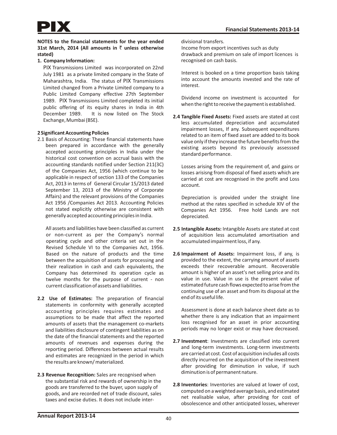

#### **1. Company Information:**

PIX Transmissions Limited was incorporated on 22nd July 1981 as a private limited company in the State of Maharashtra, India. The status of PIX Transmissions Limited changed from a Private Limited company to a Public Limited Company effective 27th September 1989. PIX Transmissions Limited completed its initial public offering of its equity shares in India in 4th December 1989. It is now listed on The Stock Exchange, Mumbai (BSE).

#### **2 Significant Accounting Policies**

2.1 Basis of Accounting: These financial statements have been prepared in accordance with the generally accepted accounting principles in India under the historical cost convention on accrual basis with the accounting standards notified under Section 211(3C) of the Companies Act, 1956 (which continue to be applicable in respect of section 133 of the Companies Act, 2013 in terms of General Circular 15/2013 dated September 13, 2013 of the Ministry of Corporate Affairs) and the relevant provisions of the Companies Act 1956 /Companies Act 2013. Accounting Policies not stated explicitly otherwise are consistent with generally accepted accounting principles in India.

All assets and liabilities have been classified as current or non-current as per the Company's normal operating cycle and other criteria set out in the Revised Schedule VI to the Companies Act, 1956. Based on the nature of products and the time between the acquisition of assets for processing and their realization in cash and cash equivalents, the Company has determined its operation cycle as twelve months for the purpose of current - non current classification of assets and liabilities.

- **2.2 Use of Estimates:** The preparation of financial statements in conformity with generally accepted accounting principles requires estimates and assumptions to be made that affect the reported amounts of assets that the management co-markets and liabilities disclosure of contingent liabilities as on the date of the financial statements and the reported amounts of revenues and expenses during the reporting period. Differences between actual results and estimates are recognized in the period in which the results are known/ materialized.
- **2.3 Revenue Recognition:** Sales are recognised when the substantial risk and rewards of ownership in the goods are transferred to the buyer, upon supply of goods, and are recorded net of trade discount, sales taxes and excise duties. It does not include inter-

divisional transfers.

Income from export incentives such as duty drawback and premium on sale of import licences is recognised on cash basis.

Interest is booked on a time proportion basis taking into account the amounts invested and the rate of interest.

Dividend income on investment is accounted for when the right to receive the payment is established.

**2.4 Tangible Fixed Assets:** Fixed assets are stated at cost less accumulated depreciation and accumulated impairment losses, If any. Subsequent expenditures related to an item of fixed asset are added to its book value only if they increase the future benefits from the existing assets beyond its previously assesssed standard performance.

Losses arising from the requirement of, and gains or losses arisisng from disposal of fixed assets which are carried at cost are recognised in the profit and Loss account.

Depreciation is provided under the straight line method at the rates specified in schedule XIV of the Companies Act 1956. Free hold Lands are not depreciated.

- **2.5 Intangible Assets:** Intangible Assets are stated at cost of acquisition less accumulated amortisation and accumulated impairment loss, if any.
- **2.6 Impairment of Assets:** Impairment loss, if any, is provided to the extent, the carrying amount of assets exceeds their recoverable amount. Recoverable amount is higher of an asset's net selling price and its value in use. Value in use is the present value of estimated future cash flows expected to arise from the continuing use of an asset and from its disposal at the end of its useful life.

Assessment is done at each balance sheet date as to whether there is any indication that an impairment loss recognised for an asset in prior accounting periods may no longer exist or may have decreased.

- **2.7 Investment**: Investments are classified into current and long-term investments. Long-term investments are carried at cost. Cost of acquisition includes all costs directly incurred on the acquisition of the investment after providing for diminution in value, if such diminution is of permanent nature.
- **2.8 Inventories**: Inventories are valued at lower of cost, computed on a weighted average basis, and estimated net realisable value, after providing for cost of obsolescence and other anticipated losses, wherever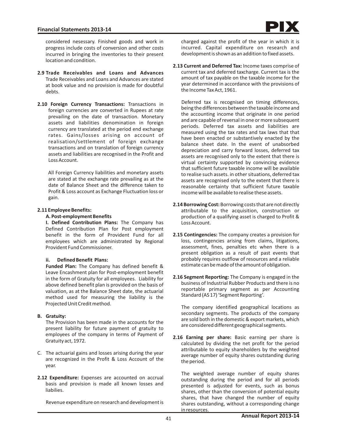considered nesessary. Finished goods and work in progress include costs of conversion and other costs incurred in bringing the inventories to their present location and condition.

- **2.9 Trade Receivables and Loans and Advances** Trade Receivables and Loans and Advances are stated at book value and no provision is made for doubtful debts.
- **2.10 Foreign Currency Transactions:** Transactions in foreign currencies are converted in Rupees at rate prevailing on the date of transaction. Monetary assets and liabilities denomination in foreign currency are translated at the period end exchange rates. Gains/losses arising on account of realisation/settlement of foreign exchange transactions and on translation of foreign currency assets and liabilities are recognised in the Profit and Loss Account.

All Foreign Currency liabilities and monetary assets are stated at the exchange rate prevailing as at the date of Balance Sheet and the difference taken to Profit & Loss account as Exchange Fluctuation loss or gain.

#### **2.11 Employee Benefits:**

#### **A. Post-employment Benefits**

**I. Defined Contribution Plans:** The Company has Defined Contribution Plan for Post employment benefit in the form of Provident Fund for all employees which are administrated by Regional Provident Fund Commissioner.

#### **ii. Defined Benefit Plans:**

**Funded Plan:** The Company has defined benefit & Leave Encashment plan for Post-employment benefit in the form of Gratuity for all employees. Liability for above defined benefit plan is provided on the basis of valuation, as at the Balance Sheet date, the actuarial method used for measuring the liability is the Projected Unit Credit method.

#### **B. Gratuity:**

The Provision has been made in the accounts for the present liability for future payment of gratuity to employees of the company in terms of Payment of Gratuity act, 1972.

- C. The actuarial gains and losses arising during the year are recognized in the Profit & Loss Account of the year.
- **2.12 Expenditure:** Expenses are accounted on accrual basis and provision is made all known losses and liabilies.

Revenue expenditure on research and development is

charged against the profit of the year in which it is incurred. Capital expenditure on research and development is shown as an addition to fixed assets.

**2.13 Current and Deferred Tax:** Income taxes comprise of current tax and deferred taxcharge. Current tax is the amount of tax payable on the taxable income for the year determined in accordance with the provisions of the Income Tax Act, 1961.

Deferred tax is recognised on timing differences, being the differences between the taxable income and the accounting income that originate in one period and are capable of reversal in one or more subsequent periods. Deferred tax assets and liabilities are measured using the tax rates and tax laws that that have been enacted or substantively enacted by the balance sheet date. In the event of unabsorbed depreciation and carry forward losses, deferred tax assets are recognised only to the extent that there is virtual certainty supported by convincing evidence that sufficient future taxable income will be available to realise such assets. in other situations, deferred tax assets are recognised only to the extent that there is reasonable certainty that sufficient future taxable income will be available to realise these assets.

- **2.14 Borrowing Cost:** Borrowing costs that are not directly attributable to the acquisition, construction or production of a qualifying asset is charged to Profit & Loss Account.
- **2.15 Contingencies:** The company creates a provision for loss, contingencies arising from claims, litigations, assessment, fines, penalties etc when there is a present obligation as a result of past events that probably requires outflow of resources and a reliable estimate can be made of the amount of obligation.
- **2.16 Segment Reporting:** The Company is engaged in the business of Industrial Rubber Products and there is no reportable primary segment as per Accounting Standard (AS 17) 'Segment Reporting'.

The company identified geographical locations as secondary segments. The products of the company are sold both in the domestic & export markets, which are considered different geographical segments.

**2.16 Earning per share:** Basic earning per share is calculated by dividing the net profit for the period attributable to equity shareholders by the weighted average number of equity shares outstanding during the period.

The weighted average number of equity shares outstanding during the period and for all periods presented is adjusted for events, such as bonus shares, other than the conversion of potential equity shares, that have changed the number of equity shares outstanding, without a corresponding change in resources.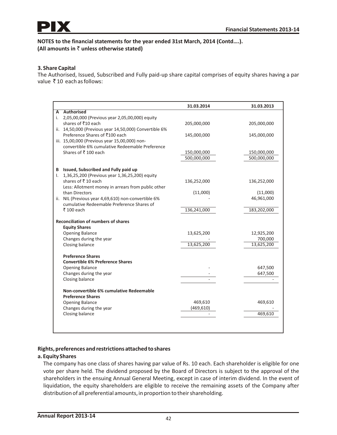

### **3. Share Capital**

The Authorised, Issued, Subscribed and Fully paid-up share capital comprises of equity shares having a par value  $\bar{\bar{\xi}}$  10 each as follows:

|    |                                                                                                   | 31.03.2014  | 31.03.2013         |
|----|---------------------------------------------------------------------------------------------------|-------------|--------------------|
|    | A Authorised                                                                                      |             |                    |
| i. | 2,05,00,000 (Previous year 2,05,00,000) equity                                                    |             |                    |
|    | shares of ₹10 each                                                                                | 205,000,000 | 205,000,000        |
|    | ii. 14,50,000 (Previous year 14,50,000) Convertible 6%<br>Preference Shares of ₹100 each          | 145,000,000 | 145,000,000        |
|    | iii. 15,00,000 (Previous year 15,00,000) non-                                                     |             |                    |
|    | convertible 6% cumulative Redeemable Preference                                                   |             |                    |
|    | Shares of ₹100 each                                                                               | 150,000,000 | 150,000,000        |
|    |                                                                                                   | 500,000,000 | 500,000,000        |
|    |                                                                                                   |             |                    |
|    | B Issued, Subscribed and Fully paid up                                                            |             |                    |
| L. | 1,36,25,200 (Previous year 1,36,25,200) equity                                                    |             |                    |
|    | shares of ₹10 each                                                                                | 136,252,000 | 136,252,000        |
|    | Less: Allotment money in arrears from public other                                                |             |                    |
|    | than Directors                                                                                    | (11,000)    | (11,000)           |
|    | ii. NIL (Previous year 4,69,610) non-convertible 6%<br>cumulative Redeemable Preference Shares of |             | 46,961,000         |
|    | ₹ 100 each                                                                                        | 136,241,000 | 183,202,000        |
|    |                                                                                                   |             |                    |
|    | <b>Reconciliation of numbers of shares</b>                                                        |             |                    |
|    | <b>Equity Shares</b>                                                                              |             |                    |
|    | <b>Opening Balance</b>                                                                            | 13,625,200  | 12,925,200         |
|    | Changes during the year                                                                           |             | 700,000            |
|    | Closing balance                                                                                   | 13,625,200  | 13,625,200         |
|    |                                                                                                   |             |                    |
|    | <b>Preference Shares</b>                                                                          |             |                    |
|    | <b>Convertible 6% Preference Shares</b>                                                           |             |                    |
|    | <b>Opening Balance</b><br>Changes during the year                                                 |             | 647,500<br>647,500 |
|    | Closing balance                                                                                   |             |                    |
|    |                                                                                                   |             |                    |
|    | Non-convertible 6% cumulative Redeemable                                                          |             |                    |
|    | <b>Preference Shares</b>                                                                          |             |                    |
|    | <b>Opening Balance</b>                                                                            | 469,610     | 469,610            |
|    | Changes during the year                                                                           | (469, 610)  |                    |
|    | Closing balance                                                                                   |             | 469,610            |
|    |                                                                                                   |             |                    |
|    |                                                                                                   |             |                    |

## **Rights, preferences and restrictions attached to shares**

### **a. Equity Shares**

The company has one class of shares having par value of Rs. 10 each. Each shareholder is eligible for one vote per share held. The dividend proposed by the Board of Directors is subject to the approval of the shareholders in the ensuing Annual General Meeting, except in case of interim dividend. In the event of liquidation, the equity shareholders are eligible to receive the remaining assets of the Company after distribution of all preferential amounts, in proportion to their shareholding.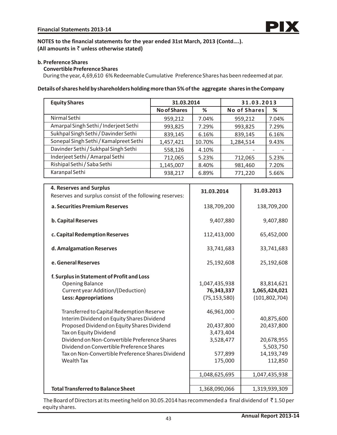## **b. Preference Shares**

## **Convertible Preference Shares**

During the year, 4,69,610 6% Redeemable Cumulative Preference Shares has been redeemed at par.

## **Details of shares held by shareholders holding more than 5% of the aggregate shares in the Company**

| <b>Equity Shares</b>                   | 31.03.2014          |        | 31.03.2013          |       |
|----------------------------------------|---------------------|--------|---------------------|-------|
|                                        | <b>No of Shares</b> | %      | <b>No of Shares</b> | %     |
| Nirmal Sethi                           | 959,212             | 7.04%  | 959,212             | 7.04% |
| Amarpal Singh Sethi / Inderjeet Sethi  | 993,825             | 7.29%  | 993,825             | 7.29% |
| Sukhpal Singh Sethi / Davinder Sethi   | 839,145             | 6.16%  | 839,145             | 6.16% |
| Sonepal Singh Sethi / Kamalpreet Sethi | 1,457,421           | 10.70% | 1,284,514           | 9.43% |
| Davinder Sethi / Sukhpal Singh Sethi   | 558,126             | 4.10%  |                     |       |
| Inderjeet Sethi / Amarpal Sethi        | 712,065             | 5.23%  | 712,065             | 5.23% |
| Rishipal Sethi / Saba Sethi            | 1,145,007           | 8.40%  | 981,460             | 7.20% |
| Karanpal Sethi                         | 938,217             | 6.89%  | 771,220             | 5.66% |

| 4. Reserves and Surplus                                                                                                                                                                                                                                                                                             | 31.03.2014                                                    | 31.03.2013                                                        |
|---------------------------------------------------------------------------------------------------------------------------------------------------------------------------------------------------------------------------------------------------------------------------------------------------------------------|---------------------------------------------------------------|-------------------------------------------------------------------|
| Reserves and surplus consist of the following reserves:                                                                                                                                                                                                                                                             |                                                               |                                                                   |
| a. Securities Premium Reserves                                                                                                                                                                                                                                                                                      | 138,709,200                                                   | 138,709,200                                                       |
| <b>b. Capital Reserves</b>                                                                                                                                                                                                                                                                                          | 9,407,880                                                     | 9,407,880                                                         |
| c. Capital Redemption Reserves                                                                                                                                                                                                                                                                                      | 112,413,000                                                   | 65,452,000                                                        |
| d. Amalgamation Reserves                                                                                                                                                                                                                                                                                            | 33,741,683                                                    | 33,741,683                                                        |
| e. General Reserves                                                                                                                                                                                                                                                                                                 | 25,192,608                                                    | 25,192,608                                                        |
| f. Surplus in Statement of Profit and Loss<br><b>Opening Balance</b><br>Current year Addition/(Deduction)<br><b>Less: Appropriations</b>                                                                                                                                                                            | 1,047,435,938<br>76,343,337<br>(75, 153, 580)                 | 83,814,621<br>1,065,424,021<br>(101, 802, 704)                    |
| Transferred to Capital Redemption Reserve<br>Interim Dividend on Equity Shares Dividend<br>Proposed Dividend on Equity Shares Dividend<br>Tax on Equity Dividend<br>Dividend on Non-Convertible Preference Shares<br>Dividend on Convertible Preference Shares<br>Tax on Non-Convertible Preference Shares Dividend | 46,961,000<br>20,437,800<br>3,473,404<br>3,528,477<br>577,899 | 40,875,600<br>20,437,800<br>20,678,955<br>5,503,750<br>14,193,749 |
| <b>Wealth Tax</b>                                                                                                                                                                                                                                                                                                   | 175,000<br>1,048,625,695                                      | 112,850<br>1,047,435,938                                          |
|                                                                                                                                                                                                                                                                                                                     |                                                               |                                                                   |
| <b>Total Transferred to Balance Sheet</b>                                                                                                                                                                                                                                                                           | 1,368,090,066                                                 | 1,319,939,309                                                     |

The Board of Directors at its meeting held on 30.05.2014 has recommended a final dividend of  $\bar{\bar{\tau}}$  1.50 per equity shares.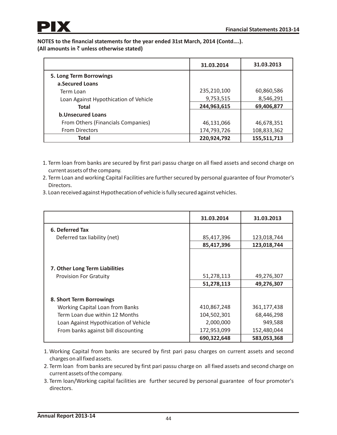

|                                       | 31.03.2014  | 31.03.2013  |
|---------------------------------------|-------------|-------------|
| 5. Long Term Borrowings               |             |             |
| a.Secured Loans                       |             |             |
| Term Loan                             | 235,210,100 | 60,860,586  |
| Loan Against Hypothication of Vehicle | 9,753,515   | 8,546,291   |
| Total                                 | 244,963,615 | 69,406,877  |
| <b>b.Unsecured Loans</b>              |             |             |
| From Others (Financials Companies)    | 46,131,066  | 46,678,351  |
| <b>From Directors</b>                 | 174,793,726 | 108,833,362 |
| Total                                 | 220,924,792 | 155,511,713 |

- 1. Term loan from banks are secured by first pari passu charge on all fixed assets and second charge on current assets of the company.
- 2. Term Loan and working Capital Facilities are further secured by personal guarantee of four Promoter's Directors.
- 3. Loan received against Hypothecation of vehicle is fully secured against vehicles.

|                                       | 31.03.2014  | 31.03.2013  |
|---------------------------------------|-------------|-------------|
| 6. Deferred Tax                       |             |             |
| Deferred tax liability (net)          | 85,417,396  | 123,018,744 |
|                                       | 85,417,396  | 123,018,744 |
| 7. Other Long Term Liabilities        |             |             |
|                                       | 51,278,113  | 49,276,307  |
| <b>Provision For Gratuity</b>         |             |             |
|                                       | 51,278,113  | 49,276,307  |
| 8. Short Term Borrowings              |             |             |
| Working Capital Loan from Banks       | 410,867,248 | 361,177,438 |
| Term Loan due within 12 Months        | 104,502,301 | 68,446,298  |
| Loan Against Hypothication of Vehicle | 2,000,000   | 949,588     |
| From banks against bill discounting   | 172,953,099 | 152,480,044 |
|                                       | 690,322,648 | 583,053,368 |

- 1.Working Capital from banks are secured by first pari pasu charges on current assets and second charges on all fixed assets.
- 2. Term loan from banks are secured by first pari passu charge on all fixed assets and second charge on current assets of the company.
- 3. Term loan/Working capital facilities are further secured by personal guarantee of four promoter's directors.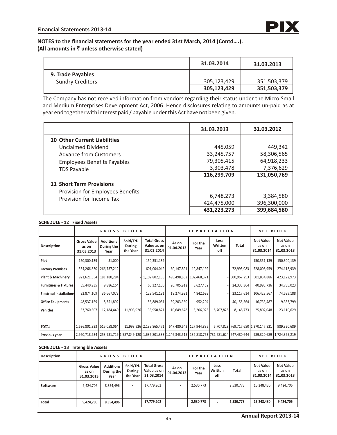|                         | 31.03.2014  | 31.03.2013  |
|-------------------------|-------------|-------------|
| 9. Trade Payables       |             |             |
| <b>Sundry Creditors</b> | 305,123,429 | 351,503,379 |
|                         | 305,123,429 | 351,503,379 |

The Company has not received information from vendors regarding their status under the Micro Small and Medium Enterprises Development Act, 2006. Hence disclosures relating to amounts un-paid as at year end together with interest paid / payable under this Act have not been given.

|                                     | 31.03.2013  | 31.03.2012  |
|-------------------------------------|-------------|-------------|
| <b>10 Other Current Liabilities</b> |             |             |
| <b>Unclaimed Dividend</b>           | 445.059     | 449,342     |
| Advance from Customers              | 33,245,757  | 58,306,565  |
| <b>Employees Benefits Payables</b>  | 79,305,415  | 64,918,233  |
| <b>TDS Payable</b>                  | 3,303,478   | 7,376,629   |
|                                     | 116,299,709 | 131,050,769 |
| <b>11 Short Term Provisions</b>     |             |             |
| Provision for Employees Benefits    |             |             |
| Provision for Income Tax            | 6,748,273   | 3,384,580   |
|                                     | 424,475,000 | 396,300,000 |
|                                     | 431,223,273 | 399,684,580 |

#### **SCHEDULE - 12 Fixed Assets**

|                                  | <b>GROSS BLOCK</b>                        |                                        |                                 |                                                                                                         |                     | <b>DEPRECIATION</b> |                        | <b>NET BLOCK</b> |                                         |                                         |
|----------------------------------|-------------------------------------------|----------------------------------------|---------------------------------|---------------------------------------------------------------------------------------------------------|---------------------|---------------------|------------------------|------------------|-----------------------------------------|-----------------------------------------|
| <b>Description</b>               | <b>Gross Value</b><br>as on<br>31.03.2013 | <b>Additions</b><br>During the<br>Year | Sold/Trf.<br>During<br>the Year | <b>Total Gross</b><br>Value as on<br>31.03.2014                                                         | As on<br>01.04.2013 | For the<br>Year     | Less<br>Written<br>off | <b>Total</b>     | <b>Net Value</b><br>as on<br>31.03.2014 | <b>Net Value</b><br>as on<br>31.03.2013 |
| Plot                             | 150,300,139                               | 51,000                                 |                                 | 150,351,139                                                                                             |                     |                     |                        |                  | 150,351,139                             | 150,300,139                             |
| <b>Factory Premises</b>          |                                           | 334,266,830 266,737,212                |                                 | 601,004,042                                                                                             | 60,147,891          | 12,847,192          |                        | 72,995,083       | 528,008,959                             | 274,118,939                             |
| <b>Plant &amp; Machinery</b>     | 921,621,854                               | 181,180,284                            |                                 | 1,102,802,138                                                                                           | 498,498,882         | 102,468,371         |                        | $-600,967,253$   | 501,834,886                             | 423,122,973                             |
| <b>Furnitures &amp; Fixtures</b> | 55,440,935                                | 9,886,164                              |                                 | 65,327,100                                                                                              | 20,705,912          | 3,627,452           |                        | 24,333,364       | 40,993,736                              | 34,735,023                              |
| <b>Electrical Installations</b>  | 92,874,109                                | 36,667,072                             |                                 | 129,541,181                                                                                             | 18,274,921          | 4,842,693           |                        | 23,117,614       | 106,423,567                             | 74,599,188                              |
| <b>Office Equipments</b>         | 48,537,159                                | 8,351,892                              |                                 | 56,889,051                                                                                              | 39,203,360          | 952,204             |                        | 40,155,564       | 16,733,487                              | 9,333,799                               |
| <b>Vehicles</b>                  | 33,760,307                                | 12,184,440                             | 11,993,926                      | 33,950,821                                                                                              | 10,649,678          | 3,206,923           | 5,707,828              | 8,148,773        | 25,802,048                              | 23,110,629                              |
|                                  |                                           |                                        |                                 |                                                                                                         |                     |                     |                        |                  |                                         |                                         |
| <b>TOTAL</b>                     | 1,636,801,333                             | 515,058,064                            |                                 | 11,993,926 2,139,865,471                                                                                | 647,480,643         | 127,944,835         |                        |                  | 5,707,828 769,717,650 1,370,147,821     | 989,320,689                             |
| Previous year                    |                                           |                                        |                                 | 2,970,718,734 253,931,719 1,587,849,120 1,636,801,333 1,246,343,515 132,818,753 731,681,624 647,480,644 |                     |                     |                        |                  |                                         | 989,320,689 1,724,375,219               |

#### **SCHEDULE - 13 Intengible Assets**

| <b>Description</b> | <b>GROSS BLOCK</b>                        |                                        |                                 |                                                 | <b>DEPRICIATION</b> |                 |                        |              | BLOCK                                   |                                         |
|--------------------|-------------------------------------------|----------------------------------------|---------------------------------|-------------------------------------------------|---------------------|-----------------|------------------------|--------------|-----------------------------------------|-----------------------------------------|
|                    | <b>Gross Value</b><br>as on<br>31.03.2013 | <b>Additions</b><br>During the<br>Year | Sold/Trf.<br>During<br>the Year | <b>Total Gross</b><br>Value as on<br>31.03.2014 | As on<br>01.04.2013 | For the<br>Year | Less<br>Written<br>off | <b>Total</b> | <b>Net Value</b><br>as on<br>31.03.2014 | <b>Net Value</b><br>as on<br>31.03.2013 |
| Software           | 9,424,706                                 | 8,354,496                              |                                 | 17,779,202                                      |                     | 2,530,773       |                        | 2,530,773    | 15,248,430                              | 9,424,706                               |
| l Total            | 9,424,706                                 | 8,354,496                              |                                 | 17,779,202                                      |                     | 2,530,773       | ٠                      | 2,530,773    | 15,248,430                              | 9,424,706                               |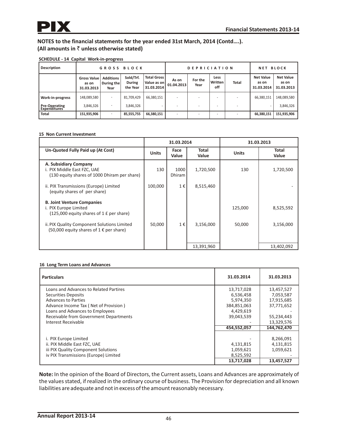#### **SCHEDULE - 14 Capital Work-in-progress**

| <b>Description</b>                   |                                           |                                        | <b>GROSS BLOCK</b>              |                                                   | <b>DEPRICIATION</b> |                 |                        | <b>BLOCK</b><br><b>NET</b> |                                         |                                         |
|--------------------------------------|-------------------------------------------|----------------------------------------|---------------------------------|---------------------------------------------------|---------------------|-----------------|------------------------|----------------------------|-----------------------------------------|-----------------------------------------|
|                                      | <b>Gross Value</b><br>as on<br>31.03.2013 | <b>Additions</b><br>During the<br>Year | Sold/Trf.<br>During<br>the Year | <b>Total Gross</b><br>Value as on l<br>31.03.2014 | As on<br>01.04.2013 | For the<br>Year | Less<br>Written<br>off | <b>Total</b>               | <b>Net Value</b><br>as on<br>31.03.2014 | <b>Net Value</b><br>as on<br>31.03.2013 |
| Work-in-progress                     | 148,089,580                               |                                        | 81,709,429                      | 66,380,151                                        |                     |                 |                        |                            | 66,380,151                              | 148,089,580                             |
| <b>Pre-Operating</b><br>Expenditures | 3,846,326                                 |                                        | 3,846,326                       |                                                   |                     |                 | ٠                      |                            |                                         | 3,846,326                               |
| <b>Total</b>                         | 151,935,906                               | ٠                                      | 85,555,755                      | 66,380,151                                        |                     |                 |                        |                            | 66,380,151                              | 151,935,906                             |

#### **15 Non Current Investment**

|                                                                                                        | 31.03.2014   |                |                       | 31.03.2013   |                |
|--------------------------------------------------------------------------------------------------------|--------------|----------------|-----------------------|--------------|----------------|
| Un-Quoted Fully Paid up (At Cost)                                                                      | <b>Units</b> | Face<br>Value  | <b>Total</b><br>Value | <b>Units</b> | Total<br>Value |
| A. Subsidiary Company<br>i. PIX Middle East FZC, UAE<br>(130 equity shares of 1000 Dhiram per share)   | 130          | 1000<br>Dhiram | 1,720,500             | 130          | 1,720,500      |
| ii. PIX Transmissions (Europe) Limited<br>(equity shares of per share)                                 | 100,000      | 1€             | 8,515,460             |              |                |
| <b>B. Joint Venture Companies</b><br>i. PIX Europe Limited<br>(125,000 equity shares of 1 £ per share) |              |                |                       | 125,000      | 8,525,592      |
| ii. PIX Quality Component Solutions Limited<br>$(50,000$ equity shares of $1 \in$ per share)           | 50,000       | 1€             | 3,156,000             | 50,000       | 3,156,000      |
|                                                                                                        |              |                | 13,391,960            |              | 13,402,092     |

#### **16 Long Term Loans and Advances**

| <b>Particulars</b>                     | 31.03.2014  | 31.03.2013  |
|----------------------------------------|-------------|-------------|
| Loans and Advances to Related Partires | 13,717,028  | 13,457,527  |
| <b>Securities Deposits</b>             | 6,536,458   | 7,053,587   |
| <b>Advances to Parties</b>             | 5,974,350   | 17,915,685  |
| Advance Income Tax (Net of Provision)  | 384,851,063 | 37,771,652  |
| Loans and Advances to Employees        | 4,429,619   |             |
| Receivable from Government Departments | 39,043,539  | 55,234,443  |
| Interest Receivable                    |             | 13,329,576  |
|                                        | 454,552,057 | 144,762,470 |
|                                        |             |             |
| i. PIX Europe Limited                  |             | 8,266,091   |
| ii. PIX Middle East FZC, UAE           | 4,131,815   | 4,131,815   |
| iii PIX Quality Component Solutions    | 1,059,621   | 1,059,621   |
| iv PIX Transmissions (Europe) Limited  | 8,525,592   |             |
|                                        | 13,717,028  | 13,457,527  |

**Note:** In the opinion of the Board of Directors, the Current assets, Loans and Advances are approximately of the values stated, if realized in the ordinary course of business. The Provision for depreciation and all known liabilities are adequate and not in excess of the amount reasonably necessary.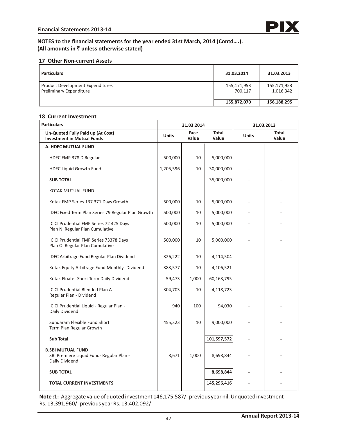### **17 Other Non-current Assets**

| <b>Particulars</b>                                          | 31.03.2014             | 31.03.2013               |
|-------------------------------------------------------------|------------------------|--------------------------|
| Product Development Expenditures<br>Preliminary Expenditure | 155,171,953<br>700.117 | 155,171,953<br>1,016,342 |
|                                                             | 155,872,070            | 156,188,295              |

#### **18 Current Investment**

| <b>Particulars</b>                                                                     | 31.03.2014   |               |                       | 31.03.2013   |                |
|----------------------------------------------------------------------------------------|--------------|---------------|-----------------------|--------------|----------------|
| Un-Quoted Fully Paid up (At Cost)<br><b>Investment in Mutual Funds</b>                 | <b>Units</b> | Face<br>Value | <b>Total</b><br>Value | <b>Units</b> | Total<br>Value |
| A. HDFC MUTUAL FUND                                                                    |              |               |                       |              |                |
| HDFC FMP 378 D Regular                                                                 | 500,000      | 10            | 5,000,000             |              |                |
| <b>HDFC Liquid Growth Fund</b>                                                         | 1,205,596    | 10            | 30,000,000            |              |                |
| <b>SUB TOTAL</b>                                                                       |              |               | 35,000,000            |              |                |
| KOTAK MUTUAL FUND                                                                      |              |               |                       |              |                |
| Kotak FMP Series 137 371 Days Growth                                                   | 500,000      | 10            | 5,000,000             |              |                |
| IDFC Fixed Term Plan Series 79 Regular Plan Growth                                     | 500,000      | 10            | 5,000,000             |              |                |
| ICICI Prudential FMP Series 72 425 Days<br>Plan N Regular Plan Cumulative              | 500,000      | 10            | 5,000,000             |              |                |
| <b>ICICI Prudential FMP Series 73378 Days</b><br>Plan O Regular Plan Cumulative        | 500,000      | 10            | 5,000,000             |              |                |
| IDFC Arbitrage Fund Regular Plan Dividend                                              | 326,222      | 10            | 4,114,504             |              |                |
| Kotak Equity Arbitrage Fund Monthly-Dividend                                           | 383,577      | 10            | 4,106,521             |              |                |
| Kotak Floater Short Term Daily Dividend                                                | 59,473       | 1,000         | 60,163,795            |              |                |
| <b>ICICI Prudential Blended Plan A -</b><br>Regular Plan - Dividend                    | 304,703      | 10            | 4,118,723             |              |                |
| ICICI Prudential Liquid - Regular Plan -<br>Daily Dividend                             | 940          | 100           | 94,030                |              |                |
| Sundaram Flexible Fund Short<br>Term Plan Regular Growth                               | 455,323      | 10            | 9,000,000             |              |                |
| <b>Sub Total</b>                                                                       |              |               | 101,597,572           |              |                |
| <b>B.SBI MUTUAL FUND</b><br>SBI Premiere Liquid Fund- Regular Plan -<br>Daily Dividend | 8,671        | 1,000         | 8,698,844             |              |                |
| <b>SUB TOTAL</b>                                                                       |              |               | 8,698,844             |              |                |
| <b>TOTAL CURRENT INVESTMENTS</b>                                                       |              |               | 145,296,416           |              |                |

**Note :1:** Aggregate value of quoted investment 146,175,587/- previous year nil. Unquoted investment Rs. 13,391,960/- previous year Rs. 13,402,092/-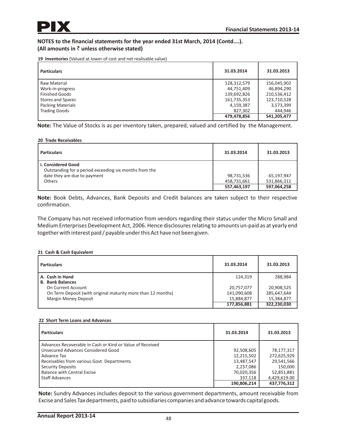**19 Inventories** (Valued at lower of cost and net realisable value)

| <b>Particulars</b>       | 31.03.2014  | 31.03.2013  |
|--------------------------|-------------|-------------|
| <b>Raw Material</b>      | 128,312,579 | 156,045,902 |
| Work-in-progress         | 44,751,409  | 46,894,290  |
| <b>Finished Goods</b>    | 139,692,826 | 210,536,412 |
| Stores and Spares        | 161,735,353 | 123,710,528 |
| <b>Packing Materials</b> | 4,159,387   | 3,573,399   |
| <b>Trading Goods</b>     | 827,302     | 444.946     |
|                          | 479,478,856 | 541,205,477 |

**Note:** The Value of Stocks is as per inventory taken, prepared, valued and certified by the Management.

#### **20 Trade Receivables**

| <b>Particulars</b>                                                                                                            | 31.03.2014                               | 31.03.2013                               |
|-------------------------------------------------------------------------------------------------------------------------------|------------------------------------------|------------------------------------------|
| i. Considered Good<br>Outstanding for a period exceeding six months from the<br>date they are due to payment<br><b>Others</b> | 98,731,536<br>458,731,661<br>557,463,197 | 65,197,947<br>531,866,311<br>597,064,258 |

**Note:** Book Debts, Advances, Bank Deposits and Credit balances are taken subject to their respective confirmation.

The Company has not received information from vendors regarding their status under the Micro Small and Medium Enterprises Development Act, 2006. Hence disclosures relating to amounts un-paid as at yearly end together with interest paid / payable under this Act have not been given.

#### **21 Cash & Cash Equivalent**

| <b>Particulars</b>                                           | 31.03.2014  | 31.03.2013  |
|--------------------------------------------------------------|-------------|-------------|
| A. Cash in Hand<br><b>B. Bank Balances</b>                   | 124,319     | 288,984     |
| On Current Account                                           | 20,757,077  | 20,908,525  |
| On Term Deposit (with original maturity more than 12 months) | 141,090,608 | 285,647,644 |
| <b>Margin Money Deposit</b>                                  | 15,884,877  | 15,384,877  |
|                                                              | 177,856,881 | 322,230,030 |

#### **22 Short Term Loans and Advances**

| <b>Particulars</b>                                        | 31.03.2014  | 31.03.2013   |
|-----------------------------------------------------------|-------------|--------------|
| Advances Recoverable in Cash or Kind or Value of Received |             |              |
| Unsecured Advances Considered Good                        | 92,508,605  | 78,177,317   |
| Advance Tax                                               | 12,215,502  | 272,625,929  |
| Receivables from various Govt. Departments                | 13,487,547  | 29,541,566   |
| <b>Security Deposits</b>                                  | 2,237,086   | 150,000      |
| <b>Balance with Central Excise</b>                        | 70,020,356  | 52,851,881   |
| <b>Staff Advances</b>                                     | 337,118     | 4,429,619.00 |
|                                                           | 190,806,214 | 437,776,312  |

**Note:** Sundry Advances includes deposit to the various government departments, amount receivable from Excise and Sales Tax departments, paid to subsidiaries companies and advance towards capital goods.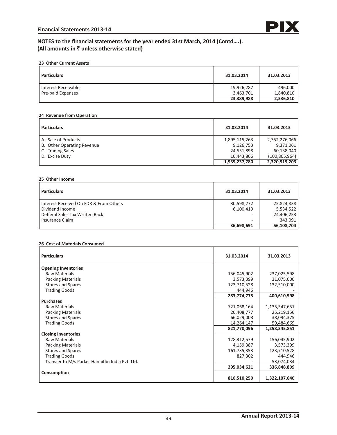#### **23 Other Current Assets**

| <b>Particulars</b>       | 31.03.2014 | 31.03.2013 |
|--------------------------|------------|------------|
| Interest Receivables     | 19,926,287 | 496.000    |
| <b>Pre-paid Expenses</b> | 3.463.701  | 1,840,810  |
|                          | 23,389,988 | 2,336,810  |

### **24 Revenue from Operation**

| <b>Particulars</b>         | 31.03.2014    | 31.03.2013    |
|----------------------------|---------------|---------------|
| A. Sale of Products        | 1,895,115,263 | 2,352,276,066 |
| B. Other Operating Revenue | 9,126,753     | 9,371,061     |
| C. Trading Sales           | 24,551,898    | 60,138,040    |
| D. Excise Duty             | 10,443,866    | (100,865,964) |
|                            | 1,939,237,780 | 2,320,919,203 |

#### **25 Other Income**

| <b>Particulars</b>                     | 31.03.2014               | 31.03.2013 |
|----------------------------------------|--------------------------|------------|
| Interest Received On FDR & From Others | 30,598,272               | 25,824,838 |
| Dividend Income                        | 6,100,419                | 5,534,522  |
| Defferal Sales Tax Written Back        |                          | 24,406,253 |
| Insurance Claim                        | $\overline{\phantom{a}}$ | 343.091    |
|                                        | 36,698,691               | 56,108,704 |

#### **26 Cost of Materials Consumed**

| <b>Particulars</b>                               | 31.03.2014  | 31.03.2013    |
|--------------------------------------------------|-------------|---------------|
| <b>Opening Inventories</b>                       |             |               |
| <b>Raw Materials</b>                             | 156,045,902 | 237,025,598   |
| <b>Packing Materials</b>                         | 3,573,399   | 31,075,000    |
| Stores and Spares                                | 123,710,528 | 132,510,000   |
| <b>Trading Goods</b>                             | 444,946     |               |
|                                                  | 283,774,775 | 400,610,598   |
| <b>Purchases</b>                                 |             |               |
| <b>Raw Materials</b>                             | 721,068,164 | 1,135,547,651 |
| <b>Packing Materials</b>                         | 20,408,777  | 25,219,156    |
| Stores and Spares                                | 66,029,008  | 38,094,375    |
| <b>Trading Goods</b>                             | 14,264,147  | 59,484,669    |
|                                                  | 821,770,096 | 1,258,345,851 |
| <b>Closing Inventories</b>                       |             |               |
| <b>Raw Materials</b>                             | 128,312,579 | 156,045,902   |
| <b>Packing Materials</b>                         | 4,159,387   | 3,573,399     |
| Stores and Spares                                | 161,735,353 | 123,710,528   |
| <b>Trading Goods</b>                             | 827,302     | 444,946       |
| Transfer to M/s Parker Hanniffin India Pvt. Ltd. |             | 53,074,034    |
|                                                  | 295,034,621 | 336,848,809   |
| Consumption                                      | 810,510,250 | 1,322,107,640 |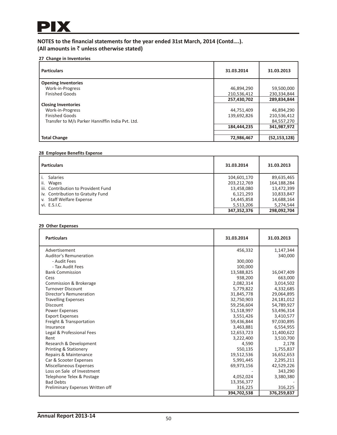#### **27 Change in Inventories**

| <b>Particulars</b>                               | 31.03.2014  | 31.03.2013     |
|--------------------------------------------------|-------------|----------------|
| <b>Opening Inventories</b>                       |             |                |
| Work-in-Progress                                 | 46,894,290  | 59,500,000     |
| <b>Finished Goods</b>                            | 210.536.412 | 230.334.844    |
|                                                  | 257,430,702 | 289,834,844    |
| <b>Closing Inventories</b>                       |             |                |
| Work-in-Progress                                 | 44,751,409  | 46,894,290     |
| <b>Finished Goods</b>                            | 139,692,826 | 210,536,412    |
| Transfer to M/s Parker Hanniffin India Pvt. Ltd. |             | 84,557,270     |
|                                                  | 184,444,235 | 341,987,972    |
|                                                  |             |                |
| <b>Total Change</b>                              | 72,986,467  | (52, 153, 128) |

### **28 Employee Benefits Expense**

| <b>Particulars</b>                  | 31.03.2014  | 31.03.2013  |
|-------------------------------------|-------------|-------------|
| <b>Salaries</b>                     | 104,601,170 | 89,635,465  |
| ii.<br><b>Wages</b>                 | 203,212,769 | 164,188,284 |
| iii. Contribution to Provident Fund | 13,458,080  | 13,472,399  |
| iv. Contribution to Gratuity Fund   | 6,121,293   | 10,833,847  |
| <b>Staff Welfare Expense</b><br>V.  | 14,445,858  | 14,688,164  |
| vi. E.S.I.C.                        | 5,513,206   | 5,274,544   |
|                                     | 347,352,376 | 298,092,704 |

#### **29 Other Expenses**

| <b>Particulars</b>               | 31.03.2014  | 31.03.2013  |
|----------------------------------|-------------|-------------|
| Advertisement                    | 456,332     | 1,147,344   |
| Auditor's Remuneration           |             | 340.000     |
| - Audit Fees                     | 300,000     |             |
| - Tax Audit Fees                 | 100,000     |             |
| <b>Bank Commission</b>           | 13,588,825  | 16,047,409  |
| Cess                             | 938,200     | 663,000     |
| Commission & Brokerage           | 2,082,314   | 3,014,502   |
| <b>Turnover Discount</b>         | 5,779,822   | 4,332,685   |
| Director's Remuneration          | 31,845,778  | 29,064,895  |
| <b>Travelling Expenses</b>       | 32,750,903  | 24,181,012  |
| <b>Discount</b>                  | 59,256,604  | 54,789,927  |
| <b>Power Expenses</b>            | 51,518,997  | 53,496,314  |
| <b>Export Expenses</b>           | 3,551,426   | 3,410,577   |
| Freight & Transportation         | 59,436,844  | 97,030,895  |
| Insurance                        | 3,463,881   | 6,554,955   |
| Legal & Professional Fees        | 12,653,723  | 11,400,622  |
| Rent                             | 3,222,400   | 3,510,700   |
| Research & Development           | 4,590       | 2,178       |
| <b>Printing &amp; Stationery</b> | 550,135     | 1,755,837   |
| Repairs & Maintenance            | 19,512,536  | 16,652,653  |
| Car & Scooter Expenses           | 5,991,445   | 2,295,211   |
| <b>Miscellaneous Expenses</b>    | 69,973,156  | 42,529,226  |
| Loss on Sale of Investment       |             | 343,290     |
| Telephone Telex & Postage        | 4,052,024   | 3,380,380   |
| <b>Bad Debts</b>                 | 13,356,377  |             |
| Preliminary Expenses Written off | 316,225     | 316,225     |
|                                  | 394,702,538 | 376,259,837 |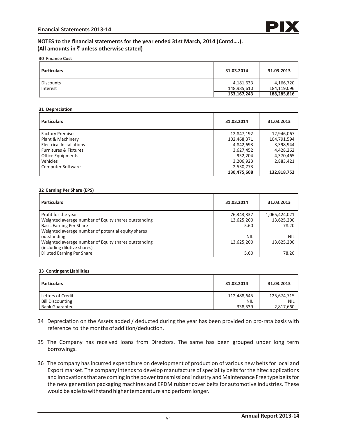**30 Finance Cost**

| <b>Particulars</b> | 31.03.2014  | 31.03.2013  |
|--------------------|-------------|-------------|
| <b>Discounts</b>   | 4,181,633   | 4,166,720   |
| Interest           | 148,985,610 | 184,119,096 |
|                    | 153,167,243 | 188,285,816 |

#### **31 Depreciation**

| <b>Particulars</b>               | 31.03.2014  | 31.03.2013  |
|----------------------------------|-------------|-------------|
| <b>Factory Premises</b>          | 12,847,192  | 12,946,067  |
| Plant & Machinery                | 102,468,371 | 104,791,594 |
| Electrical Installations         | 4,842,693   | 3,398,944   |
| <b>Furnitures &amp; Fixtures</b> | 3,627,452   | 4,428,262   |
| <b>Office Equipments</b>         | 952.204     | 4,370,465   |
| Vehicles                         | 3,206,923   | 2,883,421   |
| <b>Computer Software</b>         | 2,530,773   |             |
|                                  | 130,475,608 | 132,818,752 |

#### **32 Earning Per Share (EPS)**

| <b>Particulars</b>                                   | 31.03.2014 | 31.03.2013    |
|------------------------------------------------------|------------|---------------|
| Profit for the year                                  | 76,343,337 | 1,065,424,021 |
| Weighted average number of Equity shares outstanding | 13,625,200 | 13,625,200    |
| <b>Basic Earning Per Share</b>                       | 5.60       | 78.20         |
| Weighted average number of potential equity shares   |            |               |
| outstanding                                          | <b>NIL</b> | <b>NIL</b>    |
| Weighted average number of Equity shares outstanding | 13,625,200 | 13,625,200    |
| (including dilutive shares)                          |            |               |
| <b>Diluted Earning Per Share</b>                     | 5.60       | 78.20         |

#### **33 Contingent Liabilities**

| <b>Particulars</b>      | 31.03.2014  | 31.03.2013  |
|-------------------------|-------------|-------------|
| Letters of Credit       | 112,488,645 | 125,674,715 |
| <b>Bill Discounting</b> | <b>NIL</b>  | <b>NIL</b>  |
| <b>Bank Guarantee</b>   | 338,539     | 2,817,660   |

- 34 Depreciation on the Assets added / deducted during the year has been provided on pro-rata basis with reference to the months of addition/deduction.
- 35 The Company has received loans from Directors. The same has been grouped under long term borrowings.
- 36 The company has incurred expenditure on development of production of various new belts for local and Export market. The company intends to develop manufacture of speciality belts for the hitec applications and innovations that are coming in the power transmissions industry and Maintenance Free type belts for the new generation packaging machines and EPDM rubber cover belts for automotive industries. These would be able to withstand higher temperature and perform longer.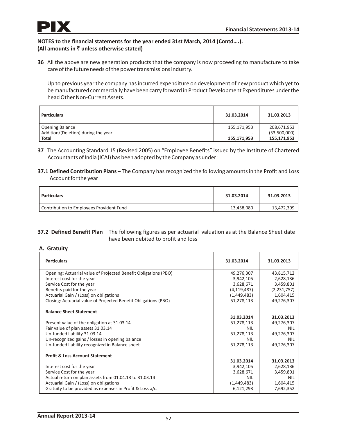

**36** All the above are new generation products that the company is now proceeding to manufacture to take care of the future needs of the power transmissions industry.

Up to previous year the company has incurred expenditure on development of new product which yet to be manufactured commercially have been carry forward in Product Development Expenditures under the head Other Non-Current Assets.

| <b>Particulars</b>                  | 31.03.2014  | 31.03.2013   |
|-------------------------------------|-------------|--------------|
| Opening Balance                     | 155,171,953 | 208,671,953  |
| Addition/(Deletion) during the year | $\sim$      | (53,500,000) |
| <b>Total</b>                        | 155,171,953 | 155,171,953  |

- **37** The Accounting Standard 15 (Revised 2005) on "Employee Benefits" issued by the Institute of Chartered Accountants of India (ICAI) has been adopted by the Company as under:
- **Defined Contribution Plans** The Company has recognized the following amounts in the Profit and Loss **37.1** Account for the year

| <b>Particulars</b>                       | 31.03.2014 | 31.03.2013 |
|------------------------------------------|------------|------------|
| Contribution to Employees Provident Fund | 13,458,080 | 13,472,399 |

### **37.2 Defined Benefit Plan** – The following figures as per actuarial valuation as at the Balance Sheet date have been debited to profit and loss

## **A. Gratuity**

| <b>Particulars</b>                                              | 31.03.2014    | 31.03.2013  |
|-----------------------------------------------------------------|---------------|-------------|
| Opening: Actuarial value of Projected Benefit Obligations (PBO) | 49,276,307    | 43,815,712  |
| Interest cost for the year                                      | 3,942,105     | 2,628,136   |
| Service Cost for the year                                       | 3,628,671     | 3,459,801   |
| Benefits paid for the year                                      | (4, 119, 487) | (2,231,757) |
| Actuarial Gain / (Loss) on obligations                          | (1,449,483)   | 1,604,415   |
| Closing: Actuarial value of Projected Benefit Obligations (PBO) | 51,278,113    | 49,276,307  |
| <b>Balance Sheet Statement</b>                                  |               |             |
|                                                                 | 31.03.2014    | 31.03.2013  |
| Present value of the obligation at 31.03.14                     | 51,278,113    | 49,276,307  |
| Fair value of plan assets 31.03.14                              | NII           | <b>NIL</b>  |
| Un-funded liability 31.03.14                                    | 51,278,113    | 49,276,307  |
| Un-recognized gains / losses in opening balance                 | NII.          | <b>NII</b>  |
| Un-funded liability recognized in Balance sheet                 | 51,278,113    | 49,276,307  |
| <b>Profit &amp; Loss Account Statement</b>                      |               |             |
|                                                                 | 31.03.2014    | 31.03.2013  |
| Interest cost for the year                                      | 3,942,105     | 2,628,136   |
| Service Cost for the year                                       | 3,628,671     | 3,459,801   |
| Actual return on plan assets from 01.04.13 to 31.03.14          | <b>NII</b>    | <b>NIL</b>  |
| Actuarial Gain / (Loss) on obligations                          | (1,449,483)   | 1,604,415   |
| Gratuity to be provided as expenses in Profit & Loss a/c.       | 6,121,293     | 7,692,352   |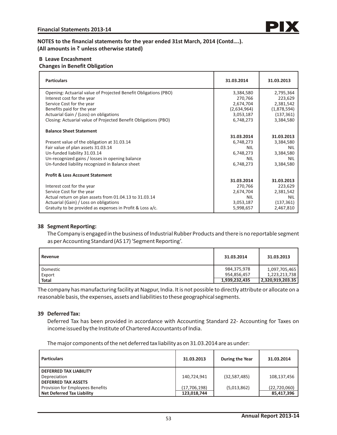## **B Leave Encashment Changes in Benefit Obligation**

| <b>Particulars</b>                                              | 31.03.2014  | 31.03.2013  |
|-----------------------------------------------------------------|-------------|-------------|
| Opening: Actuarial value of Projected Benefit Obligations (PBO) | 3,384,580   | 2,795,364   |
| Interest cost for the year                                      | 270,766     | 223,629     |
| Service Cost for the year                                       | 2,674,704   | 2,381,542   |
| Benefits paid for the year                                      | (2,634,964) | (1,878,594) |
| Actuarial Gain / (Loss) on obligations                          | 3,053,187   | (137, 361)  |
| Closing: Actuarial value of Projected Benefit Obligations (PBO) | 6,748,273   | 3,384,580   |
| <b>Balance Sheet Statement</b>                                  |             |             |
|                                                                 | 31.03.2014  | 31.03.2013  |
| Present value of the obligation at 31.03.14                     | 6,748,273   | 3,384,580   |
| Fair value of plan assets 31.03.14                              | NIL         | <b>NIL</b>  |
| Un-funded liability 31.03.14                                    | 6,748,273   | 3,384,580   |
| Un-recognized gains / losses in opening balance                 | NII         | <b>NIL</b>  |
| Un-funded liability recognized in Balance sheet                 | 6,748,273   | 3,384,580   |
| <b>Profit &amp; Loss Account Statement</b>                      |             |             |
|                                                                 | 31.03.2014  | 31.03.2013  |
| Interest cost for the year                                      | 270,766     | 223,629     |
| Service Cost for the year                                       | 2,674,704   | 2,381,542   |
| Actual return on plan assets from 01.04.13 to 31.03.14          | <b>NIL</b>  | <b>NIL</b>  |
| Actuarial (Gain) / Loss on obligations                          | 3,053,187   | (137, 361)  |
| Gratuity to be provided as expenses in Profit & Loss a/c.       | 5,998,657   | 2,467,810   |

## **38 Segment Reporting:**

The Company is engaged in the business of Industrial Rubber Products and there is no reportable segment as per Accounting Standard (AS 17) 'Segment Reporting'.

| Revenue      | 31.03.2014    | 31.03.2013       |
|--------------|---------------|------------------|
| Domestic     | 984,375,978   | 1,097,705,465    |
| Export       | 954,856,457   | 1,223,213,738    |
| <b>Total</b> | 1,939,232,435 | 2,320,919,203.35 |

The company has manufacturing facility at Nagpur, India. It is not possible to directly attribute or allocate on a reasonable basis, the expenses, assets and liabilities to these geographical segments.

## **39 Deferred Tax:**

Deferred Tax has been provided in accordance with Accounting Standard 22- Accounting for Taxes on income issued by the Institute of Chartered Accountants of India.

The major components of the net deferred tax liability as on 31.03.2014 are as under:

| l Particulars                    | 31.03.2013   | During the Year | 31.03.2014   |
|----------------------------------|--------------|-----------------|--------------|
| <b>DEFERRED TAX LIABILITY</b>    |              |                 |              |
| Depreciation                     | 140,724,941  | (32,587,485)    | 108,137,456  |
| <b>DEFERRED TAX ASSETS</b>       |              |                 |              |
| Provision for Employees Benefits | (17,706,198) | (5,013,862)     | (22,720,060) |
| Net Deferred Tax Liability       | 123,018,744  |                 | 85,417,396   |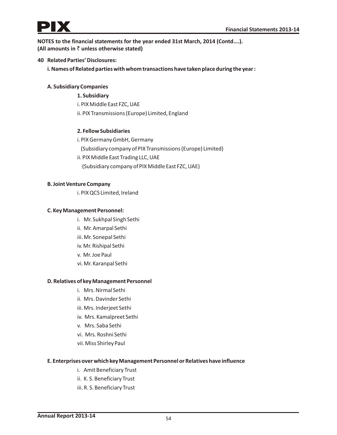

### **40 Related Parties' Disclosures:**

**i. Names of Related parties with whom transactions have taken place during the year :**

## **A. Subsidiary Companies**

- **1. Subsidiary**
- i. PIX Middle East FZC, UAE
- ii. PIX Transmissions (Europe) Limited, England

### **2. Fellow Subsidiaries**

- i. PIX Germany GmbH, Germany
	- (Subsidiary company of PIX Transmissions (Europe) Limited)
- ii. PIX Middle East Trading LLC, UAE
	- (Subsidiary company of PIX Middle East FZC, UAE)

#### **B. Joint Venture Company**

i. PIX QCS Limited, Ireland

### **C. Key Management Personnel:**

- i. Mr. Sukhpal Singh Sethi
- ii. Mr. Amarpal Sethi
- iii. Mr. Sonepal Sethi
- iv. Mr. Rishipal Sethi
- v. Mr. Joe Paul
- vi. Mr. Karanpal Sethi

#### **D. Relatives of key Management Personnel**

- i. Mrs. Nirmal Sethi
- ii. Mrs. Davinder Sethi
- iii. Mrs. Inderjeet Sethi
- iv. Mrs. Kamalpreet Sethi
- v. Mrs. Saba Sethi
- vi. Mrs. Roshni Sethi
- vii. Miss Shirley Paul

### **E. Enterprises over which key Management Personnel or Relatives have influence**

- i. Amit Beneficiary Trust
- ii. K. S. Beneficiary Trust
- iii. R. S. Beneficiary Trust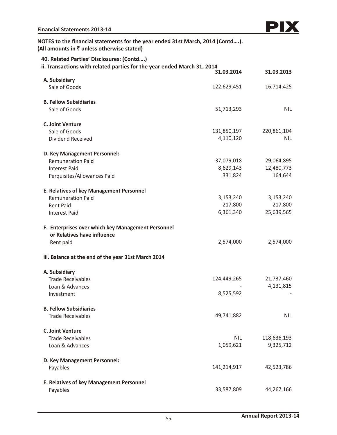| ii. Transactions with related parties for the year ended March 31, 2014<br>31.03.2014<br>31.03.2013<br>A. Subsidiary<br>Sale of Goods<br>16,714,425<br>122,629,451<br><b>B. Fellow Subsidiaries</b><br><b>NIL</b><br>51,713,293<br>Sale of Goods<br><b>C. Joint Venture</b><br>Sale of Goods<br>131,850,197<br>220,861,104<br>4,110,120<br><b>NIL</b><br>Dividend Received<br>D. Key Management Personnel:<br>29,064,895<br><b>Remuneration Paid</b><br>37,079,018<br>8,629,143<br>12,480,773<br>Interest Paid<br>164,644<br>331,824<br>Perquisites/Allowances Paid<br>E. Relatives of key Management Personnel<br>3,153,240<br>3,153,240<br><b>Remuneration Paid</b><br>217,800<br>217,800<br><b>Rent Paid</b><br>6,361,340<br>25,639,565<br><b>Interest Paid</b><br>F. Enterprises over which key Management Personnel<br>or Relatives have influence<br>2,574,000<br>2,574,000<br>Rent paid<br>iii. Balance at the end of the year 31st March 2014<br>A. Subsidiary<br>21,737,460<br><b>Trade Receivables</b><br>124,449,265<br>4,131,815<br>Loan & Advances<br>8,525,592<br>Investment<br><b>B. Fellow Subsidiaries</b><br>49,741,882<br><b>NIL</b><br><b>Trade Receivables</b><br><b>C. Joint Venture</b><br><b>NIL</b><br>118,636,193<br><b>Trade Receivables</b><br>1,059,621<br>9,325,712<br>Loan & Advances<br>D. Key Management Personnel:<br>141,214,917<br>42,523,786<br>Payables<br><b>E. Relatives of key Management Personnel</b><br>33,587,809<br>44,267,166<br>Payables | 40. Related Parties' Disclosures: (Contd) |  |
|------------------------------------------------------------------------------------------------------------------------------------------------------------------------------------------------------------------------------------------------------------------------------------------------------------------------------------------------------------------------------------------------------------------------------------------------------------------------------------------------------------------------------------------------------------------------------------------------------------------------------------------------------------------------------------------------------------------------------------------------------------------------------------------------------------------------------------------------------------------------------------------------------------------------------------------------------------------------------------------------------------------------------------------------------------------------------------------------------------------------------------------------------------------------------------------------------------------------------------------------------------------------------------------------------------------------------------------------------------------------------------------------------------------------------------------------------------------------------------------|-------------------------------------------|--|
|                                                                                                                                                                                                                                                                                                                                                                                                                                                                                                                                                                                                                                                                                                                                                                                                                                                                                                                                                                                                                                                                                                                                                                                                                                                                                                                                                                                                                                                                                          |                                           |  |
|                                                                                                                                                                                                                                                                                                                                                                                                                                                                                                                                                                                                                                                                                                                                                                                                                                                                                                                                                                                                                                                                                                                                                                                                                                                                                                                                                                                                                                                                                          |                                           |  |
|                                                                                                                                                                                                                                                                                                                                                                                                                                                                                                                                                                                                                                                                                                                                                                                                                                                                                                                                                                                                                                                                                                                                                                                                                                                                                                                                                                                                                                                                                          |                                           |  |
|                                                                                                                                                                                                                                                                                                                                                                                                                                                                                                                                                                                                                                                                                                                                                                                                                                                                                                                                                                                                                                                                                                                                                                                                                                                                                                                                                                                                                                                                                          |                                           |  |
|                                                                                                                                                                                                                                                                                                                                                                                                                                                                                                                                                                                                                                                                                                                                                                                                                                                                                                                                                                                                                                                                                                                                                                                                                                                                                                                                                                                                                                                                                          |                                           |  |
|                                                                                                                                                                                                                                                                                                                                                                                                                                                                                                                                                                                                                                                                                                                                                                                                                                                                                                                                                                                                                                                                                                                                                                                                                                                                                                                                                                                                                                                                                          |                                           |  |
|                                                                                                                                                                                                                                                                                                                                                                                                                                                                                                                                                                                                                                                                                                                                                                                                                                                                                                                                                                                                                                                                                                                                                                                                                                                                                                                                                                                                                                                                                          |                                           |  |
|                                                                                                                                                                                                                                                                                                                                                                                                                                                                                                                                                                                                                                                                                                                                                                                                                                                                                                                                                                                                                                                                                                                                                                                                                                                                                                                                                                                                                                                                                          |                                           |  |
|                                                                                                                                                                                                                                                                                                                                                                                                                                                                                                                                                                                                                                                                                                                                                                                                                                                                                                                                                                                                                                                                                                                                                                                                                                                                                                                                                                                                                                                                                          |                                           |  |
|                                                                                                                                                                                                                                                                                                                                                                                                                                                                                                                                                                                                                                                                                                                                                                                                                                                                                                                                                                                                                                                                                                                                                                                                                                                                                                                                                                                                                                                                                          |                                           |  |
|                                                                                                                                                                                                                                                                                                                                                                                                                                                                                                                                                                                                                                                                                                                                                                                                                                                                                                                                                                                                                                                                                                                                                                                                                                                                                                                                                                                                                                                                                          |                                           |  |
|                                                                                                                                                                                                                                                                                                                                                                                                                                                                                                                                                                                                                                                                                                                                                                                                                                                                                                                                                                                                                                                                                                                                                                                                                                                                                                                                                                                                                                                                                          |                                           |  |
|                                                                                                                                                                                                                                                                                                                                                                                                                                                                                                                                                                                                                                                                                                                                                                                                                                                                                                                                                                                                                                                                                                                                                                                                                                                                                                                                                                                                                                                                                          |                                           |  |
|                                                                                                                                                                                                                                                                                                                                                                                                                                                                                                                                                                                                                                                                                                                                                                                                                                                                                                                                                                                                                                                                                                                                                                                                                                                                                                                                                                                                                                                                                          |                                           |  |
|                                                                                                                                                                                                                                                                                                                                                                                                                                                                                                                                                                                                                                                                                                                                                                                                                                                                                                                                                                                                                                                                                                                                                                                                                                                                                                                                                                                                                                                                                          |                                           |  |
|                                                                                                                                                                                                                                                                                                                                                                                                                                                                                                                                                                                                                                                                                                                                                                                                                                                                                                                                                                                                                                                                                                                                                                                                                                                                                                                                                                                                                                                                                          |                                           |  |
|                                                                                                                                                                                                                                                                                                                                                                                                                                                                                                                                                                                                                                                                                                                                                                                                                                                                                                                                                                                                                                                                                                                                                                                                                                                                                                                                                                                                                                                                                          |                                           |  |
|                                                                                                                                                                                                                                                                                                                                                                                                                                                                                                                                                                                                                                                                                                                                                                                                                                                                                                                                                                                                                                                                                                                                                                                                                                                                                                                                                                                                                                                                                          |                                           |  |
|                                                                                                                                                                                                                                                                                                                                                                                                                                                                                                                                                                                                                                                                                                                                                                                                                                                                                                                                                                                                                                                                                                                                                                                                                                                                                                                                                                                                                                                                                          |                                           |  |
|                                                                                                                                                                                                                                                                                                                                                                                                                                                                                                                                                                                                                                                                                                                                                                                                                                                                                                                                                                                                                                                                                                                                                                                                                                                                                                                                                                                                                                                                                          |                                           |  |
|                                                                                                                                                                                                                                                                                                                                                                                                                                                                                                                                                                                                                                                                                                                                                                                                                                                                                                                                                                                                                                                                                                                                                                                                                                                                                                                                                                                                                                                                                          |                                           |  |
|                                                                                                                                                                                                                                                                                                                                                                                                                                                                                                                                                                                                                                                                                                                                                                                                                                                                                                                                                                                                                                                                                                                                                                                                                                                                                                                                                                                                                                                                                          |                                           |  |
|                                                                                                                                                                                                                                                                                                                                                                                                                                                                                                                                                                                                                                                                                                                                                                                                                                                                                                                                                                                                                                                                                                                                                                                                                                                                                                                                                                                                                                                                                          |                                           |  |
|                                                                                                                                                                                                                                                                                                                                                                                                                                                                                                                                                                                                                                                                                                                                                                                                                                                                                                                                                                                                                                                                                                                                                                                                                                                                                                                                                                                                                                                                                          |                                           |  |
|                                                                                                                                                                                                                                                                                                                                                                                                                                                                                                                                                                                                                                                                                                                                                                                                                                                                                                                                                                                                                                                                                                                                                                                                                                                                                                                                                                                                                                                                                          |                                           |  |
|                                                                                                                                                                                                                                                                                                                                                                                                                                                                                                                                                                                                                                                                                                                                                                                                                                                                                                                                                                                                                                                                                                                                                                                                                                                                                                                                                                                                                                                                                          |                                           |  |
|                                                                                                                                                                                                                                                                                                                                                                                                                                                                                                                                                                                                                                                                                                                                                                                                                                                                                                                                                                                                                                                                                                                                                                                                                                                                                                                                                                                                                                                                                          |                                           |  |
|                                                                                                                                                                                                                                                                                                                                                                                                                                                                                                                                                                                                                                                                                                                                                                                                                                                                                                                                                                                                                                                                                                                                                                                                                                                                                                                                                                                                                                                                                          |                                           |  |
|                                                                                                                                                                                                                                                                                                                                                                                                                                                                                                                                                                                                                                                                                                                                                                                                                                                                                                                                                                                                                                                                                                                                                                                                                                                                                                                                                                                                                                                                                          |                                           |  |
|                                                                                                                                                                                                                                                                                                                                                                                                                                                                                                                                                                                                                                                                                                                                                                                                                                                                                                                                                                                                                                                                                                                                                                                                                                                                                                                                                                                                                                                                                          |                                           |  |
|                                                                                                                                                                                                                                                                                                                                                                                                                                                                                                                                                                                                                                                                                                                                                                                                                                                                                                                                                                                                                                                                                                                                                                                                                                                                                                                                                                                                                                                                                          |                                           |  |
|                                                                                                                                                                                                                                                                                                                                                                                                                                                                                                                                                                                                                                                                                                                                                                                                                                                                                                                                                                                                                                                                                                                                                                                                                                                                                                                                                                                                                                                                                          |                                           |  |
|                                                                                                                                                                                                                                                                                                                                                                                                                                                                                                                                                                                                                                                                                                                                                                                                                                                                                                                                                                                                                                                                                                                                                                                                                                                                                                                                                                                                                                                                                          |                                           |  |
|                                                                                                                                                                                                                                                                                                                                                                                                                                                                                                                                                                                                                                                                                                                                                                                                                                                                                                                                                                                                                                                                                                                                                                                                                                                                                                                                                                                                                                                                                          |                                           |  |
|                                                                                                                                                                                                                                                                                                                                                                                                                                                                                                                                                                                                                                                                                                                                                                                                                                                                                                                                                                                                                                                                                                                                                                                                                                                                                                                                                                                                                                                                                          |                                           |  |
|                                                                                                                                                                                                                                                                                                                                                                                                                                                                                                                                                                                                                                                                                                                                                                                                                                                                                                                                                                                                                                                                                                                                                                                                                                                                                                                                                                                                                                                                                          |                                           |  |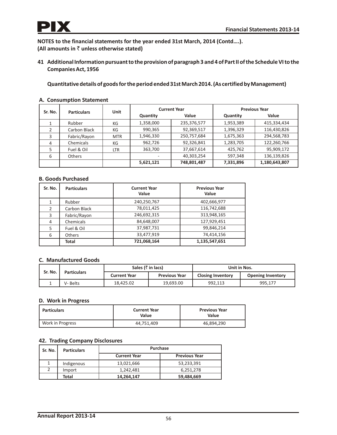**41 Additional Information pursuant to the provision of paragraph 3 and 4 of Part II of the Schedule VI to the Companies Act, 1956**

**Quantitative details of goods for the period ended 31st March 2014. (As certified by Management)**

## **A. Consumption Statement**

| Sr. No.<br><b>Particulars</b> |               | Unit       | <b>Current Year</b> |             | <b>Previous Year</b> |               |
|-------------------------------|---------------|------------|---------------------|-------------|----------------------|---------------|
|                               |               |            | Quantity            | Value       | Quantity             | Value         |
|                               | Rubber        | КG         | 1,358,000           | 235,376,577 | 1,953,389            | 415,334,434   |
| 2                             | Carbon Black  | КG         | 990,365             | 92,369,517  | 1,396,329            | 116,430,826   |
| 3                             | Fabric/Rayon  | <b>MTR</b> | 1,946,330           | 250,757,684 | 1,675,363            | 294,568,783   |
| 4                             | Chemicals     | КG         | 962,726             | 92,326,841  | 1,283,705            | 122,260,766   |
| 5                             | Fuel & Oil    | <b>LTR</b> | 363,700             | 37,667,614  | 425,762              | 95,909,172    |
| 6                             | <b>Others</b> |            |                     | 40,303,254  | 597,348              | 136,139,826   |
|                               |               |            | 5,621,121           | 748,801,487 | 7,331,896            | 1,180,643,807 |

## **B. Goods Purchased**

| Sr. No. | <b>Particulars</b> | <b>Current Year</b><br>Value | <b>Previous Year</b><br>Value |
|---------|--------------------|------------------------------|-------------------------------|
| 1       | Rubber             | 240,250,767                  | 402,666,977                   |
| 2       | Carbon Black       | 78,011,425                   | 116,742,688                   |
| 3       | Fabric/Rayon       | 246,692,315                  | 313,948,165                   |
| 4       | Chemicals          | 84,648,007                   | 127,929,451                   |
| 5       | Fuel & Oil         | 37,987,731                   | 99,846,214                    |
| 6       | <b>Others</b>      | 33,477,919                   | 74,414,156                    |
|         | <b>Total</b>       | 721,068,164                  | 1,135,547,651                 |

## **C. Manufactured Goods**

| Sr. No. |          | Sales ( $\bar{\tau}$ in lacs)<br><b>Particulars</b><br><b>Previous Year</b><br><b>Current Year</b> |           |                          |                          | Unit in Nos. |  |
|---------|----------|----------------------------------------------------------------------------------------------------|-----------|--------------------------|--------------------------|--------------|--|
|         |          |                                                                                                    |           | <b>Closing Inventory</b> | <b>Opening Inventory</b> |              |  |
|         | V- Belts | 18.425.02                                                                                          | 19.693.00 | 992.113                  | 995.177                  |              |  |

## **D. Work in Progress**

| Particulars      | <b>Current Year</b><br>Value | <b>Previous Year</b><br>Value |
|------------------|------------------------------|-------------------------------|
| Work in Progress | 44.751.409                   | 46.894.290                    |

## **42. Trading Company Disclosures**

| Sr. No. | <b>Particulars</b> | Purchase                                    |            |  |
|---------|--------------------|---------------------------------------------|------------|--|
|         |                    | <b>Current Year</b><br><b>Previous Year</b> |            |  |
|         | Indigenous         | 13,021,666                                  | 53,233,391 |  |
|         | Import             | 1.242.481                                   | 6.251.278  |  |
|         | Total              | 14.264.147                                  | 59.484.669 |  |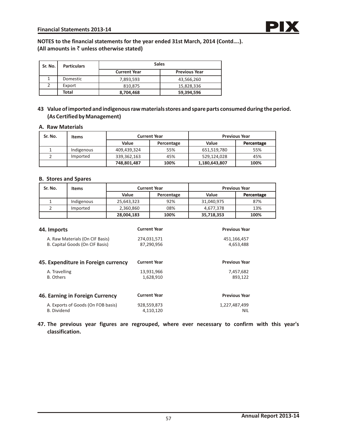| Sr. No. | <b>Particulars</b> | <b>Sales</b>        |                      |  |
|---------|--------------------|---------------------|----------------------|--|
|         |                    | <b>Current Year</b> | <b>Previous Year</b> |  |
|         | Domestic           | 7,893,593           | 43,566,260           |  |
|         | Export             | 810.875             | 15.828.336           |  |
|         | Total              | 8,704,468           | 59,394,596           |  |

## **43 Value of imported and indigenous raw materials stores and spare parts consumed during the period. (As Certified by Management)**

## **A. Raw Materials**

| Sr. No. | <b>Items</b> | <b>Current Year</b> |            |               | <b>Previous Year</b> |
|---------|--------------|---------------------|------------|---------------|----------------------|
|         |              | Value               | Percentage | Value         | Percentage           |
|         | Indigenous   | 409.439.324         | 55%        | 651,519,780   | 55%                  |
|         | Imported     | 339,362,163         | 45%        | 529.124.028   | 45%                  |
|         |              | 748,801,487         | 100%       | 1,180,643,807 | 100%                 |

## **B. Stores and Spares**

| Sr. No. | <b>Items</b> | <b>Current Year</b> |            |            | <b>Previous Year</b> |
|---------|--------------|---------------------|------------|------------|----------------------|
|         |              | Value               | Percentage | Value      | Percentage           |
|         | Indigenous   | 25,643,323          | 92%        | 31,040,975 | 87%                  |
|         | Imported     | 2,360,860           | 08%        | 4,677,378  | 13%                  |
|         |              | 28,004,183          | 100%       | 35,718,353 | 100%                 |

| 44. Imports                         | <b>Current Year</b> | <b>Previous Year</b> |
|-------------------------------------|---------------------|----------------------|
| A. Raw Materials (On CIF Basis)     | 274,031,571         | 451,166,457          |
| B. Capital Goods (On CIF Basis)     | 87,290,956          | 4,653,488            |
| 45. Expenditure in Foreign currency | <b>Current Year</b> | <b>Previous Year</b> |
| A. Travelling                       | 13,931,966          | 7,457,682            |
| <b>B.</b> Others                    | 1,628,910           | 893,122              |
| 46. Earning in Foreign Currency     | <b>Current Year</b> | <b>Previous Year</b> |
| A. Exports of Goods (On FOB basis)  | 928,559,873         | 1,227,487,499        |
| <b>B.</b> Dividend                  | 4,110,120           | NIL                  |

**47. The previous year figures are regrouped, where ever necessary to confirm with this year's classification.**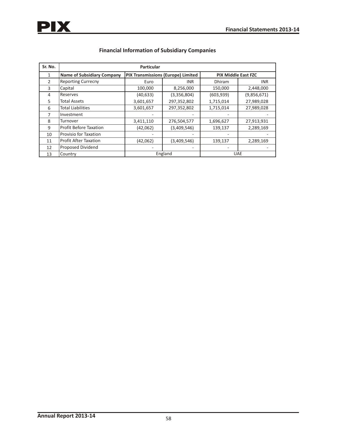| Sr. No. | <b>Particular</b>                 |                                           |                          |                            |             |  |  |  |
|---------|-----------------------------------|-------------------------------------------|--------------------------|----------------------------|-------------|--|--|--|
| 1       | <b>Name of Subsidiary Company</b> | <b>PIX Transmissions (Europe) Limited</b> |                          | <b>PIX Middle East FZC</b> |             |  |  |  |
| 2       | <b>Reporting Currecny</b>         | Euro                                      | <b>INR</b>               | <b>Dhiram</b>              | <b>INR</b>  |  |  |  |
| 3       | Capital                           | 100,000                                   | 8,256,000                | 150,000                    | 2,448,000   |  |  |  |
| 4       | Reserves                          | (40, 633)                                 | (3,356,804)              | (603,939)                  | (9,856,671) |  |  |  |
| 5       | <b>Total Assets</b>               | 3,601,657                                 | 297,352,802              | 1,715,014                  | 27,989,028  |  |  |  |
| 6       | <b>Total Liabilities</b>          | 3,601,657                                 | 297,352,802              | 1,715,014                  | 27,989,028  |  |  |  |
| 7       | Investment                        |                                           | ٠                        |                            |             |  |  |  |
| 8       | Turnover                          | 3,411,110                                 | 276,504,577              | 1,696,627                  | 27,913,931  |  |  |  |
| 9       | <b>Profit Before Taxation</b>     | (42,062)                                  | (3,409,546)              | 139,137                    | 2,289,169   |  |  |  |
| 10      | <b>Provisio for Taxation</b>      |                                           | ۰                        |                            |             |  |  |  |
| 11      | <b>Profit After Taxation</b>      | (42,062)                                  | (3,409,546)              | 139,137                    | 2,289,169   |  |  |  |
| 12      | <b>Proposed Dividend</b>          |                                           | $\overline{\phantom{a}}$ | -                          |             |  |  |  |
| 13      | Country                           | England                                   |                          | <b>UAE</b>                 |             |  |  |  |

# **Financial Information of Subsidiary Companies**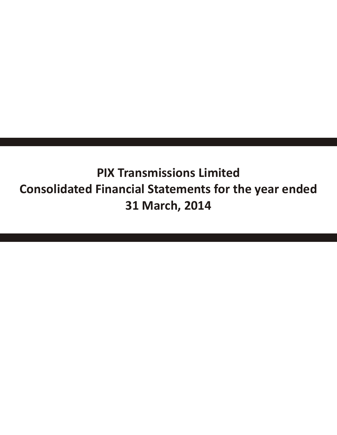**PIX Transmissions Limited Consolidated Financial Statements for the year ended 31 March, 2014**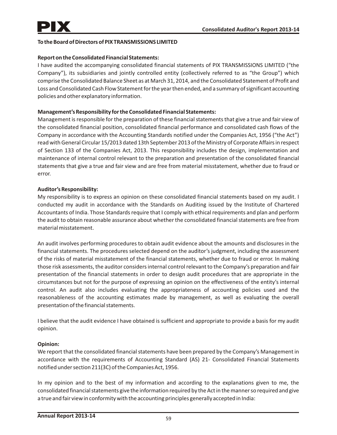## **To the Board of Directors of PIX TRANSMISSIONS LIMITED**

## **Report on the Consolidated Financial Statements:**

I have audited the accompanying consolidated financial statements of PIX TRANSMISSIONS LIMITED ("the Company"), its subsidiaries and jointly controlled entity (collectively referred to as "the Group") which comprise the Consolidated Balance Sheet as at March 31, 2014, and the Consolidated Statement of Profit and Loss and Consolidated Cash Flow Statement for the year then ended, and a summary of significant accounting policies and other explanatory information.

## **Management's Responsibility for the Consolidated Financial Statements:**

Management is responsible for the preparation of these financial statements that give a true and fair view of the consolidated financial position, consolidated financial performance and consolidated cash flows of the Company in accordance with the Accounting Standards notified under the Companies Act, 1956 ("the Act") read with General Circular 15/2013 dated 13th September 2013 of the Ministry of Corporate Affairs in respect of Section 133 of the Companies Act, 2013. This responsibility includes the design, implementation and maintenance of internal control relevant to the preparation and presentation of the consolidated financial statements that give a true and fair view and are free from material misstatement, whether due to fraud or error.

## **Auditor's Responsibility:**

My responsibility is to express an opinion on these consolidated financial statements based on my audit. I conducted my audit in accordance with the Standards on Auditing issued by the Institute of Chartered Accountants of India. Those Standards require that I comply with ethical requirements and plan and perform the audit to obtain reasonable assurance about whether the consolidated financial statements are free from material misstatement.

An audit involves performing procedures to obtain audit evidence about the amounts and disclosures in the financial statements. The procedures selected depend on the auditor's judgment, including the assessment of the risks of material misstatement of the financial statements, whether due to fraud or error. In making those risk assessments, the auditor considers internal control relevant to the Company's preparation and fair presentation of the financial statements in order to design audit procedures that are appropriate in the circumstances but not for the purpose of expressing an opinion on the effectiveness of the entity's internal control. An audit also includes evaluating the appropriateness of accounting policies used and the reasonableness of the accounting estimates made by management, as well as evaluating the overall presentation of the financial statements.

I believe that the audit evidence I have obtained is sufficient and appropriate to provide a basis for my audit opinion.

## **Opinion:**

We report that the consolidated financial statements have been prepared by the Company's Management in accordance with the requirements of Accounting Standard (AS) 21- Consolidated Financial Statements notified under section 211(3C) of the Companies Act, 1956.

In my opinion and to the best of my information and according to the explanations given to me, the consolidated financial statements give the information required by the Act in the manner so required and give a true and fair view in conformity with the accounting principles generally accepted in India: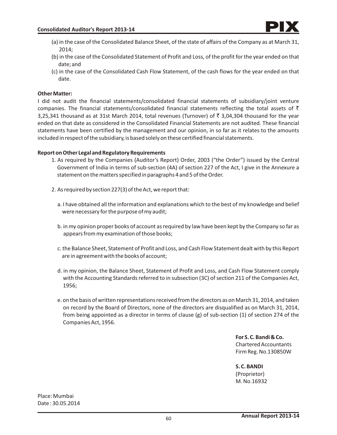- (a) in the case of the Consolidated Balance Sheet, of the state of affairs of the Company as at March 31, 2014;
- (b) in the case of the Consolidated Statement of Profit and Loss, of the profit for the year ended on that date; and
- (c) in the case of the Consolidated Cash Flow Statement, of the cash flows for the year ended on that date.

## **Other Matter:**

I did not audit the financial statements/consolidated financial statements of subsidiary/joint venture companies. The financial statements/consolidated financial statements reflecting the total assets of  $\bar{\mathfrak{Z}}$ 3,25,341 thousand as at 31st March 2014, total revenues (Turnover) of ₹ 3,04,304 thousand for the year ended on that date as considered in the Consolidated Financial Statements are not audited. These financial statements have been certified by the management and our opinion, in so far as it relates to the amounts included in respect of the subsidiary, is based solely on these certified financial statements.

## **Report on Other Legal and Regulatory Requirements**

- 1. As required by the Companies (Auditor's Report) Order, 2003 ("the Order") issued by the Central Government of India in terms of sub-section (4A) of section 227 of the Act, I give in the Annexure a statement on the matters specified in paragraphs 4 and 5 of the Order.
- 2. As required by section 227(3) of the Act, we report that:
	- a. I have obtained all the information and explanations which to the best of my knowledge and belief were necessary for the purpose of my audit;
	- b. in my opinion proper books of account as required by law have been kept by the Company so far as appears from my examination of those books;
	- c. the Balance Sheet, Statement of Profit and Loss, and Cash Flow Statement dealt with by this Report are in agreement with the books of account;
	- d. in my opinion, the Balance Sheet, Statement of Profit and Loss, and Cash Flow Statement comply with the Accounting Standards referred to in subsection (3C) of section 211 of the Companies Act, 1956;
	- e. on the basis of written representations received from the directors as on March 31, 2014, and taken on record by the Board of Directors, none of the directors are disqualified as on March 31, 2014, from being appointed as a director in terms of clause (g) of sub-section (1) of section 274 of the Companies Act, 1956.

**For S. C. Bandi & Co.** Chartered Accountants Firm Reg. No.130850W

## **S. C. BANDI**

(Proprietor) M. No.16932

Place: Mumbai Date : 30.05.2014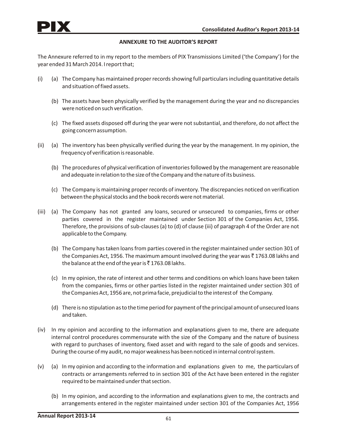## **ANNEXURE TO THE AUDITOR'S REPORT**

The Annexure referred to in my report to the members of PIX Transmissions Limited ('the Company') for the year ended 31 March 2014. I report that;

- (i) (a) The Company has maintained proper records showing full particulars including quantitative details and situation of fixed assets.
	- (b) The assets have been physically verified by the management during the year and no discrepancies were noticed on such verification.
	- (c) The fixed assets disposed off during the year were not substantial, and therefore, do not affect the going concern assumption.
- (ii) (a) The inventory has been physically verified during the year by the management. In my opinion, the frequency of verification is reasonable.
	- (b) The procedures of physical verification of inventories followed by the management are reasonable and adequate in relation to the size of the Company and the nature of its business.
	- (c) The Company is maintaining proper records of inventory. The discrepancies noticed on verification between the physical stocks and the book records were not material.
- (iii) (a) The Company has not granted any loans, secured or unsecured to companies, firms or other parties covered in the register maintained under Section 301 of the Companies Act, 1956. Therefore, the provisions of sub-clauses (a) to (d) of clause (iii) of paragraph 4 of the Order are not applicable to the Company.
	- (b) The Company has taken loans from parties covered in the register maintained under section 301 of the Companies Act, 1956. The maximum amount involved during the year was  $\bar{\bar{\tau}}$  1763.08 lakhs and the balance at the end of the year is  $\bar{\mathfrak{c}}$  1763.08 lakhs.
	- (c) In my opinion, the rate of interest and other terms and conditions on which loans have been taken from the companies, firms or other parties listed in the register maintained under section 301 of the Companies Act, 1956 are, not prima facie, prejudicial to the interest of the Company.
	- (d) There is no stipulation as to the time period for payment of the principal amount of unsecured loans and taken.
- (iv) In my opinion and according to the information and explanations given to me, there are adequate internal control procedures commensurate with the size of the Company and the nature of business with regard to purchases of inventory, fixed asset and with regard to the sale of goods and services. During the course of my audit, no major weakness has been noticed in internal control system.
- (v) (a) In my opinion and according to the information and explanations given to me, the particulars of contracts or arrangements referred to in section 301 of the Act have been entered in the register required to be maintained under that section.
	- (b) In my opinion, and according to the information and explanations given to me, the contracts and arrangements entered in the register maintained under section 301 of the Companies Act, 1956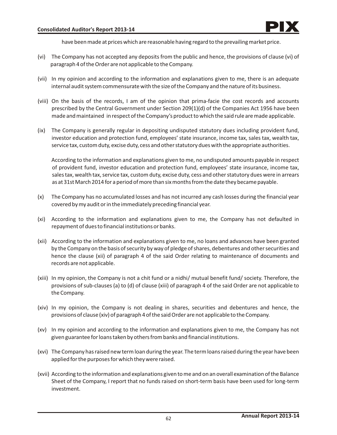have been made at prices which are reasonable having regard to the prevailing market price.

- (vi) The Company has not accepted any deposits from the public and hence, the provisions of clause (vi) of paragraph 4 of the Order are not applicable to the Company.
- (vii) In my opinion and according to the information and explanations given to me, there is an adequate internal audit system commensurate with the size of the Company and the nature of its business.
- (viii) On the basis of the records, I am of the opinion that prima-facie the cost records and accounts prescribed by the Central Government under Section 209(1)(d) of the Companies Act 1956 have been made and maintained in respect of the Company's product to which the said rule are made applicable.
- (ix) The Company is generally regular in depositing undisputed statutory dues including provident fund, investor education and protection fund, employees' state insurance, income tax, sales tax, wealth tax, service tax, custom duty, excise duty, cess and other statutory dues with the appropriate authorities.

According to the information and explanations given to me, no undisputed amounts payable in respect of provident fund, investor education and protection fund, employees' state insurance, income tax, sales tax, wealth tax, service tax, custom duty, excise duty, cess and other statutory dues were in arrears as at 31st March 2014 for a period of more than six months from the date they became payable.

- (x) The Company has no accumulated losses and has not incurred any cash losses during the financial year covered by my audit or in the immediately preceding financial year.
- (xi) According to the information and explanations given to me, the Company has not defaulted in repayment of dues to financial institutions or banks.
- (xii) According to the information and explanations given to me, no loans and advances have been granted by the Company on the basis of security by way of pledge of shares, debentures and other securities and hence the clause (xii) of paragraph 4 of the said Order relating to maintenance of documents and records are not applicable.
- (xiii) In my opinion, the Company is not a chit fund or a nidhi/ mutual benefit fund/ society. Therefore, the provisions of sub-clauses (a) to (d) of clause (xiii) of paragraph 4 of the said Order are not applicable to the Company.
- (xiv) In my opinion, the Company is not dealing in shares, securities and debentures and hence, the provisions of clause (xiv) of paragraph 4 of the said Order are not applicable to the Company.
- (xv) In my opinion and according to the information and explanations given to me, the Company has not given guarantee for loans taken by others from banks and financial institutions.
- (xvi) The Company has raised new term loan during the year. The term loans raised during the year have been applied for the purposes for which they were raised.
- (xvii) According to the information and explanations given to me and on an overall examination of the Balance Sheet of the Company, I report that no funds raised on short-term basis have been used for long-term investment.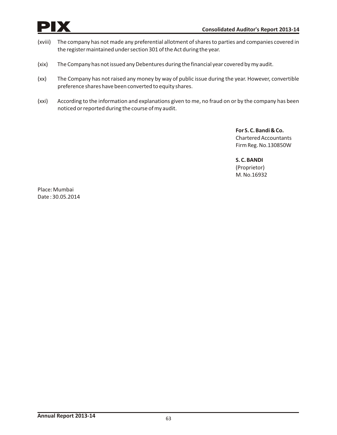

- (xviii) The company has not made any preferential allotment of shares to parties and companies covered in the register maintained under section 301 of the Act during the year.
- (xix) The Company has not issued any Debentures during the financial year covered by my audit.
- (xx) The Company has not raised any money by way of public issue during the year. However, convertible preference shares have been converted to equity shares.
- (xxi) According to the information and explanations given to me, no fraud on or by the company has been noticed or reported during the course of my audit.

**For S. C. Bandi & Co.** Chartered Accountants Firm Reg. No.130850W

**S. C. BANDI** (Proprietor) M. No.16932

Place: Mumbai Date : 30.05.2014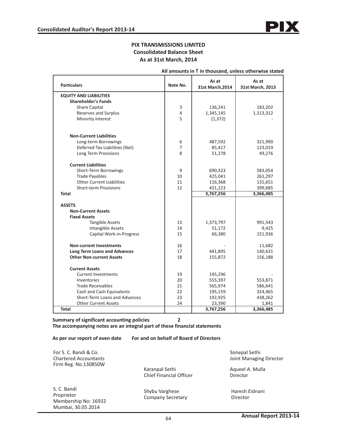## **PIX TRANSMISSIONS LIMITED Consolidated Balance Sheet As at 31st March, 2014**

| <b>Particulars</b>                  | Note No.       | As at<br>31st March, 2014 | As at<br>31st March, 2013 |  |
|-------------------------------------|----------------|---------------------------|---------------------------|--|
| <b>EQUITY AND LIABILITIES</b>       |                |                           |                           |  |
| <b>Shareholder's Funds</b>          |                |                           |                           |  |
| Share Capital                       | 3              | 136,241                   | 183,202                   |  |
| Reserves and Surplus                | $\overline{4}$ | 1,345,145                 | 1,313,312                 |  |
| Minority Interest                   | 5              | (1, 372)                  |                           |  |
| <b>Non-Current Liabilities</b>      |                |                           |                           |  |
| Long-term Borrowings                | 6              | 487,592                   | 321,990                   |  |
| Deferred Tax Liabilities (Net)      | $\overline{7}$ | 85,417                    | 123,019                   |  |
| Long Term Provisions                | 8              | 51,278                    | 49,276                    |  |
| <b>Current Liabilities</b>          |                |                           |                           |  |
| Short-Term Borrowings               | 9              | 690,323                   | 583,054                   |  |
| <b>Trade Payables</b>               | 10             | 425,041                   | 261,297                   |  |
| <b>Other Current Liabilities</b>    | 11             | 116,368                   | 131,651                   |  |
| <b>Short-term Provisions</b>        | 12             | 431,223                   | 399,685                   |  |
| <b>Total</b>                        |                | 3,767,256                 | 3,366,485                 |  |
| <b>ASSETS</b>                       |                |                           |                           |  |
| <b>Non-Current Assets</b>           |                |                           |                           |  |
| <b>Fixed Assets</b>                 |                |                           |                           |  |
| <b>Tangible Assets</b>              | 13             | 1,373,797                 | 991,543                   |  |
| <b>Intangible Assets</b>            | 14             | 51,172                    | 9,425                     |  |
| Capital Work-in-Progress            | 15             | 66,380                    | 151,936                   |  |
| <b>Non-current Investments</b>      | 16             |                           | 11,682                    |  |
| <b>Long Term Loans and Advances</b> | 17             | 441,895                   | 140,631                   |  |
| <b>Other Non-current Assets</b>     | 18             | 155,872                   | 156,188                   |  |
| <b>Current Assets</b>               |                |                           |                           |  |
| <b>Current Investments</b>          | 19             | 145,296                   |                           |  |
| Inventories                         | 20             | 555,397                   | 553,871                   |  |
| <b>Trade Receivables</b>            | 21             | 565,974                   | 586,641                   |  |
| Cash and Cash Equivalents           | 22             | 195,159                   | 324,465                   |  |
| Short-Term Loans and Advances       | 23             | 192,925                   | 438,262                   |  |
| <b>Other Current Assets</b>         | 24             | 23,390                    | 1,841                     |  |
| <b>Total</b>                        |                | 3,767,256                 | 3,366,485                 |  |

#### **All amounts in** ` **in thousand, unless otherwise stated**

**Summary of significant accounting policies 2 The accompanying notes are an integral part of these financial statements**

**As per our report of even date For and on behalf of Board of Directors**

For S. C. Bandi & Co. Chartered Accountants Firm Reg. No.130850W

Karanpal Sethi Chief Financial Officer

S. C. Bandi Proprietor Membership No: 16932 Mumbai, 30.05.2014

Shybu Varghese Company Secretary

 Sonepal Sethi Joint Managing Director

Aqueel A. Mulla Director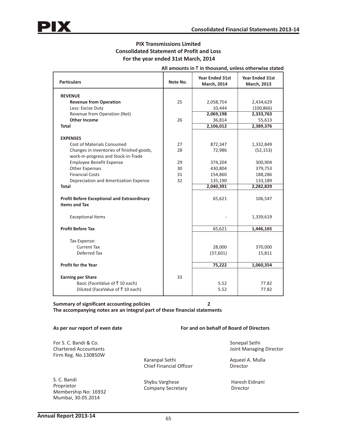## **PIX Transmissions Limited Consolidated Statement of Profit and Loss For the year ended 31st March, 2014**

|                                                                                              | All diffusities in N in Glousditu, unless otherwise stated |                                              |                                              |  |
|----------------------------------------------------------------------------------------------|------------------------------------------------------------|----------------------------------------------|----------------------------------------------|--|
| <b>Particulars</b>                                                                           | Note No.                                                   | <b>Year Ended 31st</b><br><b>March, 2014</b> | <b>Year Ended 31st</b><br><b>March, 2013</b> |  |
|                                                                                              |                                                            |                                              |                                              |  |
| <b>REVENUE</b>                                                                               |                                                            |                                              |                                              |  |
| <b>Revenue from Operation</b>                                                                | 25                                                         | 2,058,754                                    | 2,434,629                                    |  |
| Less: Excise Duty                                                                            |                                                            | 10,444                                       | (100, 866)                                   |  |
| Revenue from Operation (Net)                                                                 |                                                            | 2,069,198                                    | 2,333,763                                    |  |
| <b>Other Income</b>                                                                          | 26                                                         | 36,814                                       | 55,613                                       |  |
| Total                                                                                        |                                                            | 2,106,012                                    | 2,389,376                                    |  |
|                                                                                              |                                                            |                                              |                                              |  |
| <b>EXPENSES</b>                                                                              |                                                            |                                              |                                              |  |
| <b>Cost of Materials Consumed</b>                                                            | 27                                                         | 872,347                                      | 1,332,849                                    |  |
| Changes in inventories of finished goods,<br>work-in-progress and Stock-in-Trade             | 28                                                         | 72,986                                       | (52, 153)                                    |  |
| <b>Employee Benefit Expense</b>                                                              | 29                                                         | 374,204                                      | 300,904                                      |  |
| <b>Other Expenses</b>                                                                        | 30                                                         | 430,804                                      | 379,753                                      |  |
| <b>Financial Costs</b>                                                                       | 31                                                         | 154,860                                      | 188,286                                      |  |
| Depreciation and Amortization Expense                                                        | 32                                                         | 135,190                                      | 133,189                                      |  |
| <b>Total</b>                                                                                 |                                                            | 2,040,391                                    | 2,282,829                                    |  |
| <b>Profit Before Exceptional and Extraordinary</b><br><b>Items and Tax</b>                   |                                                            | 65,621                                       | 106,547                                      |  |
| <b>Exceptional Items</b>                                                                     |                                                            |                                              | 1,339,619                                    |  |
| <b>Profit Before Tax</b>                                                                     |                                                            | 65,621                                       | 1,446,165                                    |  |
| Tax Expense:<br><b>Current Tax</b><br>Deferred Tax                                           |                                                            | 28,000<br>(37,601)                           | 370,000<br>15,811                            |  |
| <b>Profit for the Year</b>                                                                   |                                                            | 75,222                                       | 1,060,354                                    |  |
| <b>Earning per Share</b><br>Basic (FaceValue of ₹10 each)<br>Diluted (FaceValue of ₹10 each) | 33                                                         | 5.52<br>5.52                                 | 77.82<br>77.82                               |  |
|                                                                                              |                                                            |                                              |                                              |  |

**All amounts in** ` **in thousand, unless otherwise stated**

**Summary of significant accounting policies 2**

**The accompanying notes are an integral part of these financial statements**

#### **As per our report of even date For and on behalf of Board of Directors**

For S. C. Bandi & Co. Chartered Accountants Firm Reg. No.130850W

Karanpal Sethi Chief Financial Officer

S. C. Bandi Proprietor Membership No: 16932 Mumbai, 30.05.2014

Shybu Varghese Company Secretary Sonepal Sethi

Joint Managing Director

Aqueel A. Mulla Director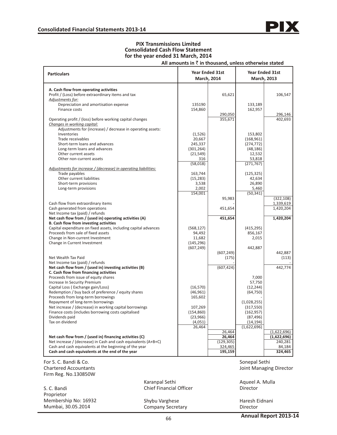#### **PIX Transmissions Limited Consolidated Cash Flow Statement for the year ended 31 March, 2014**

**All amounts in** ` **in thousand, unless otherwise stated**

| <b>Particulars</b>                                                                                         | Year Ended 31st<br><b>March, 2014</b> |                    | <b>Year Ended 31st</b><br><b>March, 2013</b> |                    |
|------------------------------------------------------------------------------------------------------------|---------------------------------------|--------------------|----------------------------------------------|--------------------|
| A. Cash flow from operating activities                                                                     |                                       |                    |                                              |                    |
| Profit / (Loss) before extraordinary items and tax                                                         |                                       | 65,621             |                                              | 106,547            |
| Adjustments for:                                                                                           |                                       |                    |                                              |                    |
| Depreciation and amortisation expense                                                                      | 135190                                |                    | 133,189                                      |                    |
| Finance costs                                                                                              | 154,860                               |                    | 162,957                                      |                    |
| Operating profit / (loss) before working capital changes                                                   |                                       | 290,050<br>355,671 |                                              | 296,146<br>402,693 |
| Changes in working capital:                                                                                |                                       |                    |                                              |                    |
| Adjustments for (increase) / decrease in operating assets:                                                 |                                       |                    |                                              |                    |
| Inventories                                                                                                | (1,526)                               |                    | 153,802                                      |                    |
| Trade receivables                                                                                          | 20,667                                |                    | (168, 961)                                   |                    |
| Short-term loans and advances                                                                              | 245,337                               |                    | (274, 772)                                   |                    |
| Long-term loans and advances<br>Other current assets                                                       | (301, 264)<br>(21, 549)               |                    | (48, 186)<br>12,532                          |                    |
| Other non-current assets                                                                                   | 316                                   |                    | 53,818                                       |                    |
|                                                                                                            | (58, 018)                             |                    | (271, 767)                                   |                    |
| Adjustments for increase / (decrease) in operating liabilities:                                            |                                       |                    |                                              |                    |
| Trade payables                                                                                             | 163,744                               |                    | (125, 325)                                   |                    |
| Other current liabilities                                                                                  | (15, 283)                             |                    | 42,634                                       |                    |
| Short-term provisions<br>Long-term provisions                                                              | 3,538<br>2,002                        |                    | 26,890<br>5,460                              |                    |
|                                                                                                            | 154,001                               |                    | (50, 341)                                    |                    |
|                                                                                                            |                                       | 95,983             |                                              | (322, 108)         |
| Cash flow from extraordinary items                                                                         |                                       |                    |                                              | 1,339,619          |
| Cash generated from operations                                                                             |                                       | 451,654            |                                              | 1,420,204          |
| Net Income tax (paid) / refunds                                                                            |                                       | 451,654            |                                              | 1,420,204          |
| Net cash flow from / (used in) operating activities (A)<br><b>B. Cash flow from investing activities</b>   |                                       |                    |                                              |                    |
| Capital expenditure on fixed assets, including capital advances                                            | (568, 127)                            |                    | (415, 295)                                   |                    |
| Proceeds from sale of fixed assets                                                                         | 94,492                                |                    | 856,167                                      |                    |
| Change in Non-current Investment                                                                           | 11,682                                |                    | 2,015                                        |                    |
| Change in Current Investment                                                                               | (145, 296)                            |                    |                                              |                    |
|                                                                                                            | (607, 249)                            | (607, 249)         | 442,887                                      | 442,887            |
| Net Wealth Tax Paid                                                                                        |                                       | (175)              |                                              | (113)              |
| Net Income tax (paid) / refunds                                                                            |                                       |                    |                                              |                    |
| Net cash flow from / (used in) investing activities (B)                                                    |                                       | (607, 424)         |                                              | 442,774            |
| C. Cash flow from financing activities                                                                     |                                       |                    |                                              |                    |
| Proceeds from issue of equity shares                                                                       |                                       |                    | 7,000                                        |                    |
| Increase In Security Premium<br>Capital Loss (Exchange gain/Loss)                                          | (16, 570)                             |                    | 57,750<br>(12, 244)                          |                    |
| Redemption / buy back of preference / equity shares                                                        | (46, 961)                             |                    | (64, 750)                                    |                    |
| Proceeds from long-term borrowings                                                                         | 165,602                               |                    |                                              |                    |
| Repayment of long-term borrowings                                                                          |                                       |                    | (1,028,255)                                  |                    |
| Net increase / (decrease) in working capital borrowings                                                    | 107,269                               |                    | (317, 550)                                   |                    |
| Finance costs (includes borrowing costs capitalised<br>Dividends paid                                      | (154, 860)<br>(23,966)                |                    | (162, 957)<br>(87, 496)                      |                    |
| Tax on dividend                                                                                            | (4,051)                               |                    | (14, 194)                                    |                    |
|                                                                                                            | 26,464                                |                    | (1,622,696)                                  |                    |
|                                                                                                            |                                       | 26,464             |                                              | (1,622,696)        |
| Net cash flow from / (used in) financing activities (C)                                                    |                                       | 26,464             |                                              | (1,622,696)        |
| Net increase / (decrease) in Cash and cash equivalents (A+B+C)                                             |                                       | (129, 305)         |                                              | 240,281            |
| Cash and cash equivalents at the beginning of the year<br>Cash and cash equivalents at the end of the year |                                       | 324,465<br>195,159 |                                              | 84,184<br>324,465  |
|                                                                                                            |                                       |                    |                                              |                    |

For S. C. Bandi & Co. Chartered Accountants Firm Reg. No.130850W

S. C. Bandi **Example 20** Chief Financial Officer **COMENT CONSUMER** Director Proprietor Membership No: 16932 Mumbai, 30.05.2014

Karanpal Sethi

Shybu Varghese Company Secretary  Sonepal Sethi Joint Managing Director

Aqueel A. Mulla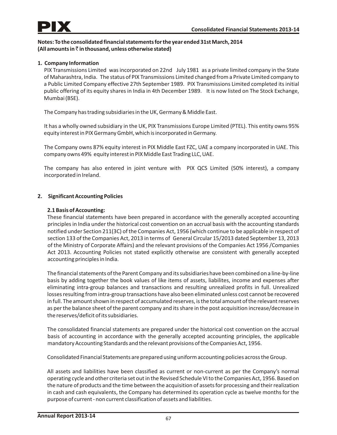

## **Notes: To the consolidated financial statements for the year ended 31st March, 2014** (All amounts in  $\bar{\tau}$  in thousand, unless otherwise stated)

# **1. Company Information**

PIX Transmissions Limited was incorporated on 22nd July 1981 as a private limited company in the State of Maharashtra, India. The status of PIX Transmissions Limited changed from a Private Limited company to a Public Limited Company effective 27th September 1989. PIX Transmissions Limited completed its initial public offering of its equity shares in India in 4th December 1989. It is now listed on The Stock Exchange, Mumbai (BSE).

The Company has trading subsidiaries in the UK, Germany & Middle East.

It has a wholly owned subsidiary in the UK, PIX Transmissions Europe Limited (PTEL). This entity owns 95% equity interest in PIX Germany GmbH, which is incorporated in Germany.

The Company owns 87% equity interest in PIX Middle East FZC, UAE a company incorporated in UAE. This company owns 49% equity interest in PIX Middle East Trading LLC, UAE.

The company has also entered in joint venture with PIX QCS Limited (50% interest), a company incorporated in Ireland.

## **2. Significant Accounting Policies**

## **2.1 Basis of Accounting:**

These financial statements have been prepared in accordance with the generally accepted accounting principles in India under the historical cost convention on an accrual basis with the accounting standards notified under Section 211(3C) of the Companies Act, 1956 (which continue to be applicable in respect of section 133 of the Companies Act, 2013 in terms of General Circular 15/2013 dated September 13, 2013 of the Ministry of Corporate Affairs) and the relevant provisions of the Companies Act 1956 /Companies Act 2013. Accounting Policies not stated explicitly otherwise are consistent with generally accepted accounting principles in India.

The financial statements of the Parent Company and its subsidiaries have been combined on a line-by-line basis by adding together the book values of like items of assets, liabilites, income and expenses after eliminating intra-group balances and transactions and resulting unrealized profits in full. Unrealized losses resulting from intra-group transactions have also been eliminated unless cost cannot be recovered in full. The amount shown in respect of accumulated reserves, is the total amount of the relevant reserves as per the balance sheet of the parent company and its share in the post acquisition increase/decrease in the reserves/deficit of its subsidiaries.

The consolidated financial statements are prepared under the historical cost convention on the accrual basis of accounting in accordance with the generally accepted accounting principles, the applicable mandatory Accounting Standards and the relevant provisions of the Companies Act, 1956.

Consolidated Financial Statements are prepared using uniform accounting policies across the Group.

All assets and liabilities have been classified as current or non-current as per the Company's normal operating cycle and other criteria set out in the Revised Schedule VI to the Companies Act, 1956. Based on the nature of products and the time between the acquisition of assets for processing and their realization in cash and cash equivalents, the Company has determined its operation cycle as twelve months for the purpose of current - non current classification of assets and liabilities.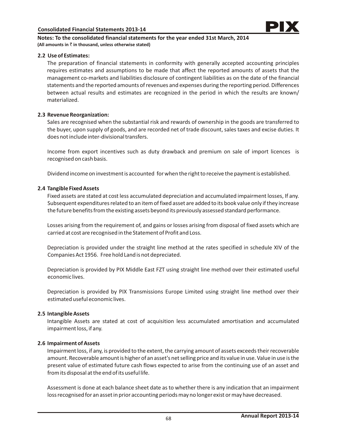## (All amounts in  $\bar{\tau}$  in thousand, unless otherwise stated) **Notes: To the consolidated financial statements for the year ended 31st March, 2014**

## **2.2 Use of Estimates:**

The preparation of financial statements in conformity with generally accepted accounting principles requires estimates and assumptions to be made that affect the reported amounts of assets that the management co-markets and liabilities disclosure of contingent liabilities as on the date of the financial statements and the reported amounts of revenues and expenses during the reporting period. Differences between actual results and estimates are recognized in the period in which the results are known/ materialized.

## **2.3 Revenue Reorganization:**

Sales are recognised when the substantial risk and rewards of ownership in the goods are transferred to the buyer, upon supply of goods, and are recorded net of trade discount, sales taxes and excise duties. It does not include inter-divisional transfers.

Income from export incentives such as duty drawback and premium on sale of import licences is recognised on cash basis.

Dividend income on investment is accounted for when the right to receive the payment is established.

## **2.4 Tangible Fixed Assets**

Fixed assets are stated at cost less accumulated depreciation and accumulated impairment losses, If any. Subsequent expenditures related to an item of fixed asset are added to its book value only if they increase the future benefits from the existing assets beyond its previously assessed standard performance.

Losses arising from the requirement of, and gains or losses arising from disposal of fixed assets which are carried at cost are recognised in the Statement of Profit and Loss.

Depreciation is provided under the straight line method at the rates specified in schedule XIV of the Companies Act 1956. Free hold Land is not depreciated.

Depreciation is provided by PIX Middle East FZT using straight line method over their estimated useful economic lives.

Depreciation is provided by PIX Transmissions Europe Limited using straight line method over their estimated useful economic lives.

## **2.5 Intangible Assets**

Intangible Assets are stated at cost of acquisition less accumulated amortisation and accumulated impairment loss, if any.

## **2.6 Impairment of Assets**

Impairment loss, if any, is provided to the extent, the carrying amount of assets exceeds their recoverable amount. Recoverable amount is higher of an asset's net selling price and its value in use. Value in use is the present value of estimated future cash flows expected to arise from the continuing use of an asset and from its disposal at the end of its useful life.

Assessment is done at each balance sheet date as to whether there is any indication that an impairment loss recognised for an asset in prior accounting periods may no longer exist or may have decreased.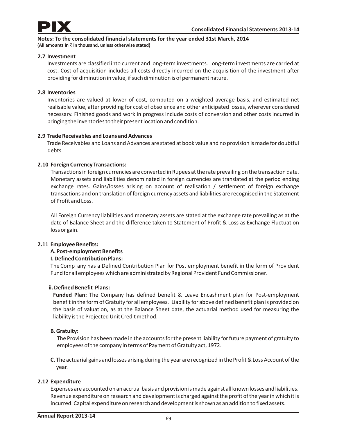

### **(All amounts in** ` **in thousand, unless otherwise stated) Notes: To the consolidated financial statements for the year ended 31st March, 2014**

## **2.7 Investment**

Investments are classified into current and long-term investments. Long-term investments are carried at cost. Cost of acquisition includes all costs directly incurred on the acquisition of the investment after providing for diminution in value, if such diminution is of permanent nature.

## **2.8 Inventories**

Inventories are valued at lower of cost, computed on a weighted average basis, and estimated net realisable value, after providing for cost of obsolence and other anticipated losses, wherever considered necessary. Finished goods and work in progress include costs of conversion and other costs incurred in bringing the inventories to their present location and condition.

## **2.9 Trade Receivables and Loans and Advances**

Trade Receivables and Loans and Advances are stated at book value and no provision is made for doubtful debts.

## **2.10 Foreign Currency Transactions:**

Transactions in foreign currencies are converted in Rupees at the rate prevailing on the transaction date. Monetary assets and liabilities denominated in foreign currencies are translated at the period ending exchange rates. Gains/losses arising on account of realisation / settlement of foreign exchange transactions and on translation of foreign currency assets and liabilities are recognised in the Statement of Profit and Loss.

All Foreign Currency liabilities and monetary assets are stated at the exchange rate prevailing as at the date of Balance Sheet and the difference taken to Statement of Profit & Loss as Exchange Fluctuation loss or gain.

## **2.11 Employee Benefits:**

## **A. Post-employment Benefits**

## **I. Defined Contribution Plans:**

The Comp any has a Defined Contribution Plan for Post employment benefit in the form of Provident Fund for all employees which are administrated by Regional Provident Fund Commissioner.

## **ii. Defined Benefit Plans:**

**Funded Plan:** The Company has defined benefit & Leave Encashment plan for Post-employment benefit in the form of Gratuity for all employees. Liability for above defined benefit plan is provided on the basis of valuation, as at the Balance Sheet date, the actuarial method used for measuring the liability is the Projected Unit Credit method.

## **B. Gratuity:**

The Provision has been made in the accounts for the present liability for future payment of gratuity to employees of the company in terms of Payment of Gratuity act, 1972.

**C.** The actuarial gains and losses arising during the year are recognized in the Profit & Loss Account of the year.

## **2.12 Expenditure**

Expenses are accounted on an accrual basis and provision is made against all known losses and liabilities. Revenue expenditure on research and development is charged against the profit of the year in which it is incurred. Capital expenditure on research and development is shown as an addition to fixed assets.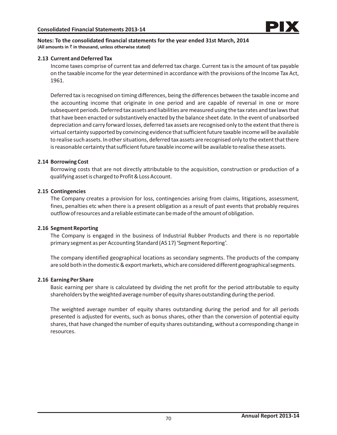## (All amounts in  $\bar{\tau}$  in thousand, unless otherwise stated) **Notes: To the consolidated financial statements for the year ended 31st March, 2014**

## **2.13 Current and Deferred Tax**

Income taxes comprise of current tax and deferred tax charge. Current tax is the amount of tax payable on the taxable income for the year determined in accordance with the provisions of the Income Tax Act, 1961.

Deferred tax is recognised on timing differences, being the differences between the taxable income and the accounting income that originate in one period and are capable of reversal in one or more subsequent periods. Deferred tax assets and liabilities are measured using the tax rates and tax laws that that have been enacted or substantively enacted by the balance sheet date. In the event of unabsorbed depreciation and carry forward losses, deferred tax assets are recognised only to the extent that there is virtual certainty supported by convincing evidence that sufficient future taxable income will be available to realise such assets. In other situations, deferred tax assets are recognised only to the extent that there is reasonable certainty that sufficient future taxable income will be available to realise these assets.

## **2.14 Borrowing Cost**

Borrowing costs that are not directly attributable to the acquisition, construction or production of a qualifying asset is charged to Profit & Loss Account.

## **2.15 Contingencies**

The Company creates a provision for loss, contingencies arising from claims, litigations, assessment, fines, penalties etc when there is a present obligation as a result of past events that probably requires outflow of resources and a reliable estimate can be made of the amount of obligation.

## **2.16 Segment Reporting**

The Company is engaged in the business of Industrial Rubber Products and there is no reportable primary segment as per Accounting Standard (AS 17) 'Segment Reporting'.

The company identified geographical locations as secondary segments. The products of the company are sold both in the domestic & export markets, which are considered different geographical segments.

## **2.16 Earning Per Share**

Basic earning per share is calculateed by dividing the net profit for the period attributable to equity shareholders by the weighted averagenumber of equity shares outstanding during the period.

The weighted average number of equity shares outstanding during the period and for all periods presented is adjusted for events, such as bonus shares, other than the conversion of potential equity shares, that have changed the number of equity shares outstanding, without a corresponding change in resources.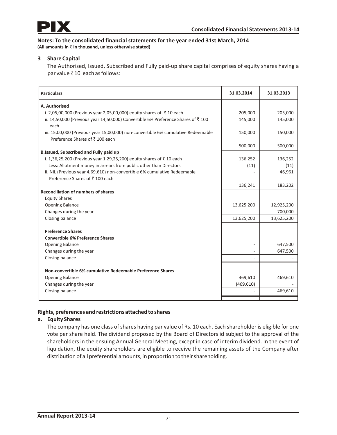# **3 Share Capital**

The Authorised, Issued, Subscribed and Fully paid-up share capital comprises of equity shares having a par value  $\overline{5}$  10 each as follows:

| <b>Particulars</b>                                                                                                  | 31.03.2014 | 31.03.2013 |
|---------------------------------------------------------------------------------------------------------------------|------------|------------|
| A. Authorised                                                                                                       |            |            |
| i. 2,05,00,000 (Previous year 2,05,00,000) equity shares of ₹10 each                                                | 205,000    | 205,000    |
| ii. 14,50,000 (Previous year 14,50,000) Convertible 6% Preference Shares of ₹100<br>each                            | 145,000    | 145,000    |
| iii. 15,00,000 (Previous year 15,00,000) non-convertible 6% cumulative Redeemable<br>Preference Shares of ₹100 each | 150,000    | 150,000    |
|                                                                                                                     | 500,000    | 500,000    |
| <b>B.Issued, Subscribed and Fully paid up</b>                                                                       |            |            |
| i. 1,36,25,200 (Previous year 1,29,25,200) equity shares of ₹10 each                                                | 136,252    | 136,252    |
| Less: Allotment money in arrears from public other than Directors                                                   | (11)       | (11)       |
| ii. NIL (Previous year 4,69,610) non-convertible 6% cumulative Redeemable                                           |            | 46,961     |
| Preference Shares of ₹100 each                                                                                      |            |            |
|                                                                                                                     | 136,241    | 183,202    |
| <b>Reconciliation of numbers of shares</b>                                                                          |            |            |
| <b>Equity Shares</b>                                                                                                |            |            |
| <b>Opening Balance</b>                                                                                              | 13,625,200 | 12,925,200 |
| Changes during the year                                                                                             |            | 700,000    |
| Closing balance                                                                                                     | 13,625,200 | 13,625,200 |
| <b>Preference Shares</b>                                                                                            |            |            |
| <b>Convertible 6% Preference Shares</b>                                                                             |            |            |
| <b>Opening Balance</b>                                                                                              |            | 647,500    |
| Changes during the year                                                                                             |            | 647,500    |
| Closing balance                                                                                                     |            |            |
| Non-convertible 6% cumulative Redeemable Preference Shares                                                          |            |            |
| <b>Opening Balance</b>                                                                                              | 469,610    | 469,610    |
| Changes during the year                                                                                             | (469, 610) |            |
| Closing balance                                                                                                     |            | 469,610    |
|                                                                                                                     |            |            |

# **Rights, preferences and restrictions attached to shares**

# **a. Equity Shares**

The company has one class of shares having par value of Rs. 10 each. Each shareholder is eligible for one vote per share held. The dividend proposed by the Board of Directors id subject to the approval of the shareholders in the ensuing Annual General Meeting, except in case of interim dividend. In the event of liquidation, the equity shareholders are eligible to receive the remaining assets of the Company after distribution of all preferential amounts, in proportion to their shareholding.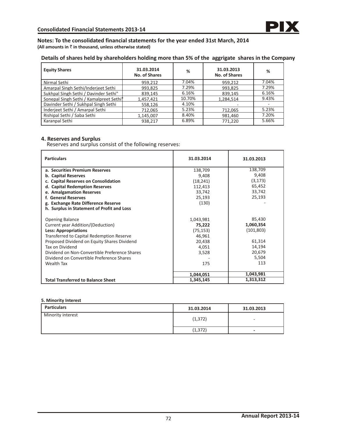# **Details of shares held by shareholders holding more than 5% of the aggrigate shares in the Company**

| <b>Equity Shares</b>                   | 31.03.2014<br>No. of Shares | %      | 31.03.2013<br><b>No. of Shares</b> | %     |
|----------------------------------------|-----------------------------|--------|------------------------------------|-------|
| Nirmal Sethi                           | 959.212                     | 7.04%  | 959.212                            | 7.04% |
| Amarpal Singh Sethi/Inderjeet Sethi    | 993.825                     | 7.29%  | 993.825                            | 7.29% |
| Sukhpal Singh Sethi / Davinder Sethi"  | 839.145                     | 6.16%  | 839.145                            | 6.16% |
| Sonepal Singh Sethi / Kamalpreet Sethi | 1.457.421                   | 10.70% | 1.284.514                          | 9.43% |
| Davinder Sethi / Sukhpal Singh Sethi   | 558.126                     | 4.10%  |                                    |       |
| Inderjeet Sethi / Amarpal Sethi        | 712,065                     | 5.23%  | 712.065                            | 5.23% |
| Rishipal Sethi / Saba Sethi            | 1,145,007                   | 8.40%  | 981.460                            | 7.20% |
| Karanpal Sethi                         | 938.217                     | 6.89%  | 771.220                            | 5.66% |

### **4. Reserves and Surplus**

Reserves and surplus consist of the following reserves:

| <b>Particulars</b>                            | 31.03.2014 | 31.03.2013 |
|-----------------------------------------------|------------|------------|
| a. Securities Premium Reserves                | 138,709    | 138,709    |
| <b>b. Capital Reserves</b>                    | 9,408      | 9.408      |
| c. Capital Reserves on Consolidation          | (18, 241)  | (3, 173)   |
| d. Capital Redemption Reserves                | 112,413    | 65,452     |
| e. Amalgamation Reserves                      | 33,742     | 33,742     |
| f. General Reserves                           | 25,193     | 25,193     |
| g. Exchange Rate Difference Reserve           | (130)      |            |
| h. Surplus in Statement of Profit and Loss    |            |            |
| <b>Opening Balance</b>                        | 1,043,981  | 85,430     |
| Current year Addition/(Deduction)             | 75,222     | 1,060,354  |
| <b>Less: Appropriations</b>                   | (75, 153)  | (101, 803) |
| Transferred to Capital Redemption Reserve     | 46,961     |            |
| Proposed Dividend on Equity Shares Dividend   | 20,438     | 61,314     |
| Tax on Dividend                               | 4,051      | 14,194     |
| Dividend on Non-Convertible Preference Shares | 3,528      | 20,679     |
| Dividend on Convertible Preference Shares     |            | 5,504      |
| Wealth Tax                                    | 175        | 113        |
|                                               | 1,044,051  | 1,043,981  |
| <b>Total Transferred to Balance Sheet</b>     | 1,345,145  | 1,313,312  |

#### **5. Minority Interest**

| <b>Particulars</b> | 31.03.2014 | 31.03.2013 |
|--------------------|------------|------------|
| Minority interest  | (1, 372)   |            |
|                    | (1, 372)   | -          |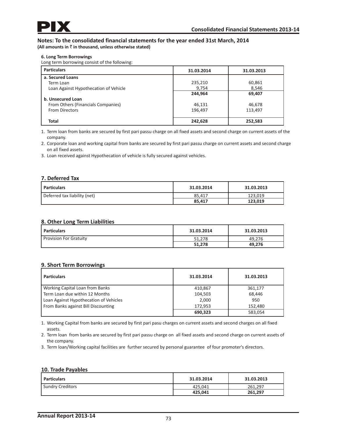#### **6. Long Term Borrowings**

Long term borrowing consist of the following:

| <b>Particulars</b>                    | 31.03.2014 | 31.03.2013 |
|---------------------------------------|------------|------------|
| a. Secured Loans                      |            |            |
| Term Loan                             | 235,210    | 60,861     |
| Loan Against Hypothecation of Vehicle | 9.754      | 8,546      |
|                                       | 244.964    | 69,407     |
| b. Unsecured Loan                     |            |            |
| From Others (Financials Companies)    | 46,131     | 46,678     |
| <b>From Directors</b>                 | 196,497    | 113,497    |
|                                       |            |            |
| Total                                 | 242,628    | 252,583    |

1. Term loan from banks are secured by first pari passu charge on all fixed assets and second charge on current assets of the company.

2. Corporate loan and working capital from banks are secured by first pari passu charge on current assets and second charge on all fixed assets.

3. Loan received against Hypothecation of vehicle is fully secured against vehicles.

## **7. Deferred Tax**

| Particulars                  | 31.03.2014 | 31.03.2013 |
|------------------------------|------------|------------|
| Deferred tax liability (net) | 85.417     | 123.019    |
|                              | 85.417     | 123.019    |

### **8. Other Long Term Liabilities**

| Particulars                   | 31.03.2014 | 31.03.2013 |
|-------------------------------|------------|------------|
| <b>Provision For Gratuity</b> | 51.278     | 49.276     |
|                               | 51.278     | 49.276     |

### **9. Short Term Borrowings**

| <b>Particulars</b>                     | 31.03.2014 | 31.03.2013 |
|----------------------------------------|------------|------------|
| Working Capital Loan from Banks        | 410.867    | 361,177    |
| Term Loan due within 12 Months         | 104.503    | 68,446     |
| Loan Against Hypothecation of Vehicles | 2.000      | 950        |
| From Banks against Bill Discounting    | 172.953    | 152.480    |
|                                        | 690.323    | 583,054    |

1. Working Capital from banks are secured by first pari pasu charges on current assets and second charges on all fixed assets.

2. Term loan from banks are secured by first pari passu charge on all fixed assets and second charge on current assets of the company.

3. Term loan/Working capital facilities are further secured by personal guarantee of four promoter's directors.

#### **10. Trade Payables**

| <b>Particulars</b>      | 31.03.2014 | 31.03.2013 |
|-------------------------|------------|------------|
| <b>Sundry Creditors</b> | 425.041    | 261.297    |
|                         | 425.041    | 261.297    |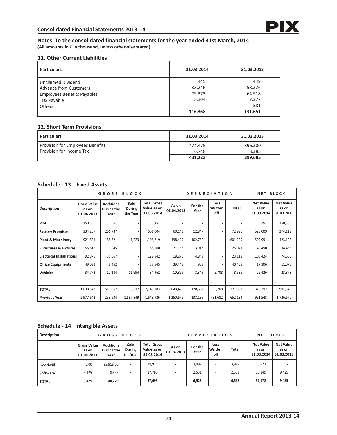### **11. Other Current Liabilities**

| <b>Particulars</b>                 | 31.03.2014 | 31.03.2013 |
|------------------------------------|------------|------------|
| <b>Unclaimed Dividend</b>          | 445        | 449        |
| <b>Advance from Customers</b>      | 33,246     | 58,326     |
| <b>Employees Benefits Payables</b> | 79,373     | 64,918     |
| TDS Payable                        | 3,304      | 7,377      |
| Others                             |            | 581        |
|                                    | 116,368    | 131,651    |

# **12. Short Term Provisions**

| <b>Particulars</b>               | 31.03.2014 | 31.03.2013 |
|----------------------------------|------------|------------|
| Provision for Employees Benefits | 424.475    | 396.300    |
| Provision for Income Tax         | 6.748      | 3.385      |
|                                  | 431.223    | 399.685    |

# **Schedule - 13 Fixed Assets**

|                                  |                                           | <b>GROSS BLOCK</b>                     |                            |                                                 | <b>DEPRECIATION</b> |                 |                          | <b>NET BLOCK</b> |                                         |                                         |
|----------------------------------|-------------------------------------------|----------------------------------------|----------------------------|-------------------------------------------------|---------------------|-----------------|--------------------------|------------------|-----------------------------------------|-----------------------------------------|
| <b>Description</b>               | <b>Gross Value</b><br>as on<br>01.04.2013 | <b>Additions</b><br>During the<br>Year | Sold<br>During<br>the Year | <b>Total Gross</b><br>Value as on<br>31.03.2014 | As on<br>01.04.2013 | For the<br>Year | Less<br>Written<br>off   | Total            | <b>Net Value</b><br>as on<br>31.03.2014 | <b>Net Value</b><br>as on<br>31.03.2013 |
| Plot                             | 150,300                                   | 51                                     |                            | 150,351                                         |                     |                 | ÷                        |                  | 150,351                                 | 150,300                                 |
| <b>Factory Premises</b>          | 334,267                                   | 266,737                                |                            | 601,004                                         | 60,148              | 12,847          | ٠                        | 72,995           | 528,009                                 | 274,119                                 |
| <b>Plant &amp; Machinery</b>     | 921,621                                   | 185,821                                | 1,223                      | 1,106,219                                       | 498,499             | 102,730         | $\overline{\phantom{a}}$ | 601,229          | 504,991                                 | 423,123                                 |
| <b>Furnitures &amp; Fixtures</b> | 55,615                                    | 9,945                                  |                            | 65,560                                          | 21,158              | 3,913           | $\overline{\phantom{a}}$ | 25,071           | 40,490                                  | 34,458                                  |
| <b>Electrical Installations</b>  | 92,875                                    | 36,667                                 |                            | 129,542                                         | 18,275              | 4,843           | ٠                        | 23,118           | 106,424                                 | 74,600                                  |
| <b>Office Equipments</b>         | 49,093                                    | 8,452                                  |                            | 57,545                                          | 39,449              | 989             | ٠                        | 40,438           | 17,106                                  | 11,070                                  |
| <b>Vehicles</b>                  | 34,772                                    | 12,184                                 | 11,994                     | 34,962                                          | 10,899              | 3,345           | 5,708                    | 8,536            | 26,426                                  | 23,873                                  |
|                                  |                                           |                                        |                            |                                                 |                     |                 |                          |                  |                                         |                                         |
| <b>TOTAL</b>                     | 1,638,543                                 | 519,857                                | 13,217                     | 2,145,183                                       | 648,428             | 128,667         | 5,708                    | 771,387          | 1,373,797                               | 991,543                                 |
| <b>Previous Year</b>             | 2,977,642                                 | 253,934                                | 1,587,849                  | 1,643,726                                       | 1,250,676           | 133,189         | 731,682                  | 652,184          | 991,543                                 | 1,726,670                               |

# **Schedule - 14 Intangible Assets**

| <b>Description</b> | <b>GROSS BLOCK</b>                        |                                        |                            | <b>DEPRECIATION</b>                             |                     |                 |                          | <b>NET BLOCK</b> |                                         |                                         |
|--------------------|-------------------------------------------|----------------------------------------|----------------------------|-------------------------------------------------|---------------------|-----------------|--------------------------|------------------|-----------------------------------------|-----------------------------------------|
|                    | <b>Gross Value</b><br>as on<br>01.04.2013 | <b>Additions</b><br>During the<br>Year | Sold<br>During<br>the Year | <b>Total Gross</b><br>Value as on<br>31.03.2014 | As on<br>01.04.2013 | For the<br>Year | Less<br>Written<br>off   | <b>Total</b>     | <b>Net Value</b><br>as on<br>31.03.2014 | <b>Net Value</b><br>as on<br>31.03.2013 |
| Goodwill           | 0.00                                      | 39,915.00                              |                            | 39,915                                          |                     | 3,992           |                          | 3,992            | 35,923                                  |                                         |
| Software           | 9,425                                     | 8,355                                  |                            | 17.780                                          |                     | 2,531           | ۰                        | 2,531            | 15.249                                  | 9,425                                   |
| <b>TOTAL</b>       | 9,425                                     | 48,270                                 | $\overline{\phantom{a}}$   | 57,695                                          |                     | 6,523           | $\overline{\phantom{a}}$ | 6,523            | 51,172                                  | 9,425                                   |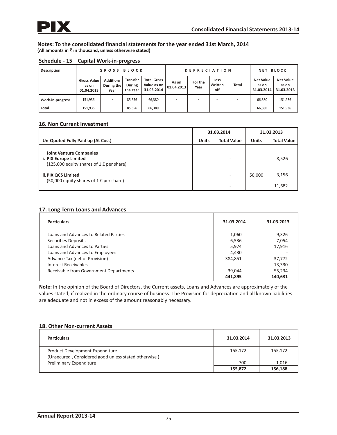|  | Schedule - 15 Capital Work-in-progress |
|--|----------------------------------------|
|--|----------------------------------------|

| <b>Description</b>      | <b>GROSS BLOCK</b>                        |                                        |                                       | <b>DEPRECIATION</b>                             |                     |                 |                          | <b>NET BLOCK</b> |                                         |                                         |
|-------------------------|-------------------------------------------|----------------------------------------|---------------------------------------|-------------------------------------------------|---------------------|-----------------|--------------------------|------------------|-----------------------------------------|-----------------------------------------|
|                         | <b>Gross Value</b><br>as on<br>01.04.2013 | <b>Additions</b><br>During the<br>Year | <b>Transfer</b><br>During<br>the Year | <b>Total Gross</b><br>Value as on<br>31.03.2014 | As on<br>01.04.2013 | For the<br>Year | Less<br>Written<br>off   | <b>Total</b>     | <b>Net Value</b><br>as on<br>31.03.2014 | <b>Net Value</b><br>as on<br>31.03.2013 |
| <b>Work-in-progress</b> | 151.936                                   |                                        | 85.556                                | 66,380                                          |                     |                 | $\overline{\phantom{a}}$ |                  | 66.380                                  | 151,936                                 |
| <b>Total</b>            | 151,936                                   | $\sim$                                 | 85.556                                | 66,380                                          |                     |                 | $\overline{\phantom{a}}$ |                  | 66.380                                  | 151,936                                 |

# **16. Non Current Investment**

|                                                                                                       | 31.03.2014   |                          |              | 31.03.2013         |
|-------------------------------------------------------------------------------------------------------|--------------|--------------------------|--------------|--------------------|
| Un-Quoted Fully Paid up (At Cost)                                                                     | <b>Units</b> | <b>Total Value</b>       | <b>Units</b> | <b>Total Value</b> |
| <b>Joint Venture Companies</b><br>i. PIX Europe Limited<br>$(125,000$ equity shares of 1 £ per share) |              | $\overline{\phantom{a}}$ |              | 8,526              |
| ii. PIX QCS Limited<br>$(50,000$ equity shares of $1 \in$ per share)                                  |              | $\sim$                   | 50,000       | 3,156              |
|                                                                                                       |              |                          |              | 11,682             |

# **17. Long Term Loans and Advances**

| <b>Particulars</b>                     | 31.03.2014 | 31.03.2013 |
|----------------------------------------|------------|------------|
| Loans and Advances to Related Parties  | 1,060      | 9,326      |
| Securities Deposits                    | 6,536      | 7,054      |
| Loans and Advances to Parties          | 5.974      | 17,916     |
| Loans and Advances to Employees        | 4,430      |            |
| Advance Tax (net of Provision)         | 384,851    | 37,772     |
| Interest Receivables                   |            | 13,330     |
| Receivable from Government Departments | 39,044     | 55,234     |
|                                        | 441.895    | 140,631    |

**Note:** In the opinion of the Board of Directors, the Current assets, Loans and Advances are approximately of the values stated, if realized in the ordinary course of business. The Provision for depreciation and all known liabilities are adequate and not in excess of the amount reasonably necessary.

### **18. Other Non-current Assets**

| <b>Particulars</b>                                                                      | 31.03.2014 | 31.03.2013 |
|-----------------------------------------------------------------------------------------|------------|------------|
| Product Development Expenditure<br>(Unsecured, Considered good unless stated otherwise) | 155,172    | 155,172    |
| <b>Preliminary Expenditure</b>                                                          | 700        | 1,016      |
|                                                                                         | 155,872    | 156,188    |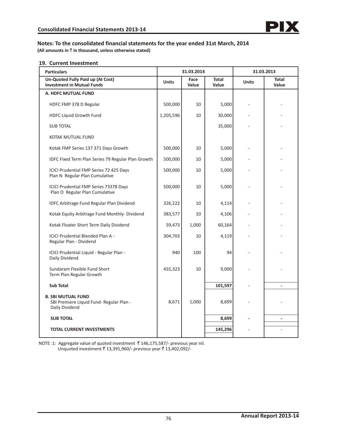

# **19. Current Investment**

| <b>Particulars</b>                                                                      |              | 31.03.2014    |                       | 31.03.2013   |                |
|-----------------------------------------------------------------------------------------|--------------|---------------|-----------------------|--------------|----------------|
| Un-Quoted Fully Paid up (At Cost)<br><b>Investment in Mutual Funds</b>                  | <b>Units</b> | Face<br>Value | <b>Total</b><br>Value | <b>Units</b> | Total<br>Value |
| A. HDFC MUTUAL FUND                                                                     |              |               |                       |              |                |
| HDFC FMP 378 D Regular                                                                  | 500,000      | 10            | 5,000                 |              |                |
| HDFC Liquid Growth Fund                                                                 | 1,205,596    | 10            | 30,000                |              |                |
| <b>SUB TOTAL</b>                                                                        |              |               | 35,000                |              |                |
| KOTAK MUTUAL FUND                                                                       |              |               |                       |              |                |
| Kotak FMP Series 137 371 Days Growth                                                    | 500,000      | 10            | 5,000                 |              |                |
| IDFC Fixed Term Plan Series 79 Regular Plan Growth                                      | 500,000      | 10            | 5,000                 |              |                |
| ICICI Prudential FMP Series 72 425 Days<br>Plan N Regular Plan Cumulative               | 500,000      | 10            | 5,000                 |              |                |
| <b>ICICI Prudential FMP Series 73378 Days</b><br>Plan O Regular Plan Cumulative         | 500,000      | 10            | 5,000                 |              |                |
| IDFC Arbitrage Fund Regular Plan Dividend                                               | 326,222      | 10            | 4,114                 |              |                |
| Kotak Equity Arbitrage Fund Monthly-Dividend                                            | 383,577      | 10            | 4,106                 |              |                |
| Kotak Floater Short Term Daily Dividend                                                 | 59,473       | 1,000         | 60,164                |              |                |
| <b>ICICI Prudential Blended Plan A -</b><br>Regular Plan - Dividend                     | 304,703      | 10            | 4,119                 |              |                |
| ICICI Prudential Liquid - Regular Plan -<br>Daily Dividend                              | 940          | 100           | 94                    |              |                |
| Sundaram Flexible Fund Short<br>Term Plan Regular Growth                                | 455,323      | 10            | 9,000                 |              |                |
| <b>Sub Total</b>                                                                        |              |               | 101,597               |              |                |
| <b>B. SBI MUTUAL FUND</b><br>SBI Premiere Liquid Fund- Regular Plan -<br>Daily Dividend | 8,671        | 1,000         | 8,699                 |              |                |
| <b>SUB TOTAL</b>                                                                        |              |               | 8,699                 |              |                |
| <b>TOTAL CURRENT INVESTMENTS</b>                                                        |              |               | 145,296               |              |                |

NOTE :1: Aggregate value of quoted investment  $\bar{\tau}$  146,175,587/- previous year nil. Unquoted investment ₹ 13,391,960/- previous year ₹ 13,402,092/-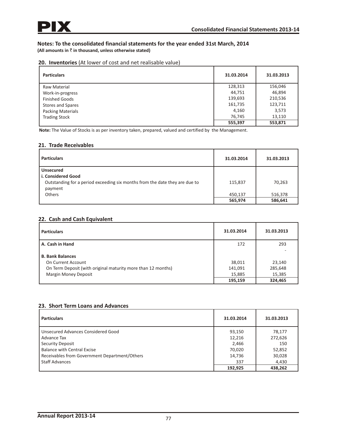# **20. Inventories** (At lower of cost and net realisable value)

| <b>Particulars</b>       | 31.03.2014 | 31.03.2013 |
|--------------------------|------------|------------|
| <b>Raw Material</b>      | 128,313    | 156,046    |
| Work-in-progress         | 44,751     | 46,894     |
| <b>Finished Goods</b>    | 139,693    | 210,536    |
| <b>Stores and Spares</b> | 161,735    | 123,711    |
| <b>Packing Materials</b> | 4,160      | 3,573      |
| <b>Trading Stock</b>     | 76,745     | 13,110     |
|                          | 555,397    | 553,871    |

**Note:** The Value of Stocks is as per inventory taken, prepared, valued and certified by the Management.

## **21. Trade Receivables**

| <b>Particulars</b>                                                                     | 31.03.2014 | 31.03.2013 |
|----------------------------------------------------------------------------------------|------------|------------|
| <b>Unsecured</b><br>Li. Considered Good                                                |            |            |
| Outstanding for a period exceeding six months from the date they are due to<br>payment | 115,837    | 70,263     |
| Others                                                                                 | 450,137    | 516,378    |
|                                                                                        | 565,974    | 586,641    |

# **22. Cash and Cash Equivalent**

| <b>Particulars</b>                                                                          | 31.03.2014                   | 31.03.2013                   |
|---------------------------------------------------------------------------------------------|------------------------------|------------------------------|
| l A. Cash in Hand                                                                           | 172                          | 293                          |
| <b>B. Bank Balances</b><br>On Current Account                                               | 38,011                       | 23,140                       |
| On Term Deposit (with original maturity more than 12 months)<br><b>Margin Money Deposit</b> | 141,091<br>15,885<br>195,159 | 285,648<br>15,385<br>324,465 |

### **23. Short Term Loans and Advances**

| <b>Particulars</b>                            | 31.03.2014 | 31.03.2013 |
|-----------------------------------------------|------------|------------|
| Unsecured Advances Considered Good            | 93,150     | 78,177     |
| Advance Tax                                   | 12,216     | 272,626    |
| <b>Security Deposit</b>                       | 2,466      | 150        |
| <b>Balance with Central Excise</b>            | 70,020     | 52,852     |
| Receivables from Government Department/Others | 14,736     | 30,028     |
| <b>Staff Advances</b>                         | 337        | 4,430      |
|                                               | 192,925    | 438,262    |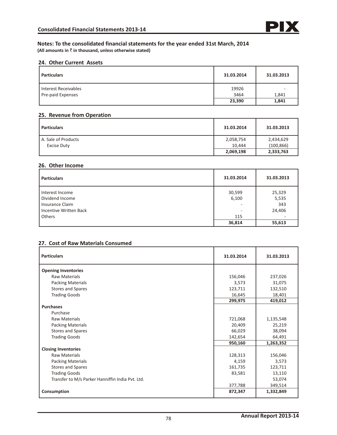

### **24. Other Current Assets**

| <b>Particulars</b>                        | 31.03.2014    | 31.03.2013 |
|-------------------------------------------|---------------|------------|
| Interest Receivables<br>Pre-paid Expenses | 19926<br>3464 | 1,841      |
|                                           | 23,390        | 1,841      |

# **25. Revenue from Operation**

| <b>Particulars</b>  | 31.03.2014 | 31.03.2013 |
|---------------------|------------|------------|
| A. Sale of Products | 2,058,754  | 2,434,629  |
| Excise Duty         | 10.444     | (100, 866) |
|                     | 2,069,198  | 2,333,763  |

### **26. Other Income**

| <b>Particulars</b>                                    | 31.03.2014                                  | 31.03.2013             |
|-------------------------------------------------------|---------------------------------------------|------------------------|
| Interest Income<br>Dividend Income<br>Insurance Claim | 30,599<br>6,100<br>$\overline{\phantom{a}}$ | 25,329<br>5,535<br>343 |
| <b>Incentive Written Back</b><br>Others               | $\overline{\phantom{a}}$<br>115<br>36,814   | 24,406<br>55,613       |

# **27. Cost of Raw Materials Consumed**

| <b>Particulars</b>                               | 31.03.2014 | 31.03.2013 |
|--------------------------------------------------|------------|------------|
| <b>Opening Inventories</b>                       |            |            |
| <b>Raw Materials</b>                             | 156,046    | 237,026    |
| <b>Packing Materials</b>                         | 3,573      | 31,075     |
| <b>Stores and Spares</b>                         | 123,711    | 132,510    |
| <b>Trading Goods</b>                             | 16,645     | 18,401     |
|                                                  | 299,975    | 419,012    |
| <b>Purchases</b>                                 |            |            |
| Purchase                                         |            |            |
| <b>Raw Materials</b>                             | 721,068    | 1,135,548  |
| <b>Packing Materials</b>                         | 20,409     | 25,219     |
| <b>Stores and Spares</b>                         | 66,029     | 38,094     |
| <b>Trading Goods</b>                             | 142,654    | 64,491     |
|                                                  | 950,160    | 1,263,352  |
| <b>Closing Inventories</b>                       |            |            |
| <b>Raw Materials</b>                             | 128,313    | 156,046    |
| <b>Packing Materials</b>                         | 4,159      | 3,573      |
| <b>Stores and Spares</b>                         | 161,735    | 123,711    |
| <b>Trading Goods</b>                             | 83,581     | 13,110     |
| Transfer to M/s Parker Hanniffin India Pvt. Ltd. |            | 53,074     |
|                                                  | 377,788    | 349,514    |
| Consumption                                      | 872,347    | 1,332,849  |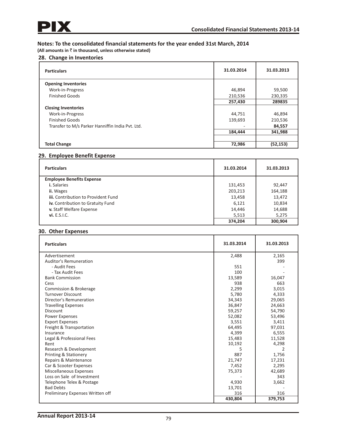# **28. Change in Inventories**

| <b>Particulars</b>                               | 31.03.2014 | 31.03.2013 |
|--------------------------------------------------|------------|------------|
| <b>Opening Inventories</b>                       |            |            |
| <b>Work-in-Progress</b>                          | 46,894     | 59,500     |
| <b>Finished Goods</b>                            | 210,536    | 230,335    |
|                                                  | 257,430    | 289835     |
| <b>Closing Inventories</b>                       |            |            |
| Work-in-Progress                                 | 44,751     | 46,894     |
| <b>Finished Goods</b>                            | 139,693    | 210,536    |
| Transfer to M/s Parker Hanniffin India Pvt. Ltd. |            | 84,557     |
|                                                  | 184.444    | 341,988    |
|                                                  |            |            |
| <b>Total Change</b>                              | 72,986     | (52, 153)  |

# **29. Employee Benefit Expense**

| <b>Particulars</b>                         | 31.03.2014 | 31.03.2013 |
|--------------------------------------------|------------|------------|
| <b>Employee Benefits Expense</b>           |            |            |
| <i>i.</i> Salaries                         | 131,453    | 92,447     |
| ii. Wages                                  | 203,213    | 164,188    |
| <b>iii.</b> Contribution to Provident Fund | 13,458     | 13,472     |
| iv. Contribution to Gratuity Fund          | 6,121      | 10,834     |
| v. Staff Welfare Expense                   | 14,446     | 14,688     |
| <b>vi.</b> E.S.I.C.                        | 5,513      | 5,275      |
|                                            | 374,204    | 300,904    |

# **30. Other Expenses**

| <b>Particulars</b>               | 31.03.2014 | 31.03.2013    |
|----------------------------------|------------|---------------|
| Advertisement                    | 2,488      | 2,165         |
| <b>Auditor's Remuneration</b>    |            | 399           |
| - Audit Fees                     | 551        |               |
| - Tax Audit Fees                 | 100        |               |
| <b>Bank Commission</b>           | 13,589     | 16,047        |
| Cess                             | 938        | 663           |
| Commission & Brokerage           | 2,299      | 3,015         |
| <b>Turnover Discount</b>         | 5.780      | 4,333         |
| Director's Remuneration          | 34,343     | 29,065        |
| <b>Travelling Expenses</b>       | 36,847     | 24,663        |
| <b>Discount</b>                  | 59,257     | 54,790        |
| <b>Power Expenses</b>            | 52,082     | 53,496        |
| <b>Export Expenses</b>           | 3,551      | 3,411         |
| Freight & Transportation         | 64,495     | 97,031        |
| Insurance                        | 4.399      | 6,555         |
| Legal & Professional Fees        | 15,483     | 11,528        |
| Rent                             | 10,192     | 4,298         |
| Research & Development           | 5          | $\mathfrak z$ |
| <b>Printing &amp; Stationery</b> | 887        | 1,756         |
| Repairs & Maintenance            | 21,747     | 17,231        |
| Car & Scooter Expenses           | 7,452      | 2,295         |
| <b>Miscellaneous Expenses</b>    | 75,373     | 42,689        |
| Loss on Sale of Investment       |            | 343           |
| Telephone Telex & Postage        | 4,930      | 3,662         |
| <b>Bad Debts</b>                 | 13,701     |               |
| Preliminary Expenses Written off | 316        | 316           |
|                                  | 430,804    | 379,753       |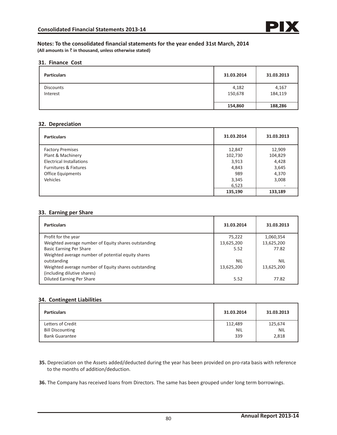

### **31. Finance Cost**

| <b>Particulars</b>           | 31.03.2014       | 31.03.2013       |
|------------------------------|------------------|------------------|
| <b>Discounts</b><br>Interest | 4,182<br>150,678 | 4,167<br>184,119 |
|                              | 154,860          | 188,286          |

# **32. Depreciation**

| <b>Particulars</b>               | 31.03.2014 | 31.03.2013 |
|----------------------------------|------------|------------|
| <b>Factory Premises</b>          | 12,847     | 12,909     |
| Plant & Machinery                | 102,730    | 104,829    |
| <b>Electrical Installations</b>  | 3,913      | 4,428      |
| <b>Furnitures &amp; Fixtures</b> | 4,843      | 3,645      |
| <b>Office Equipments</b>         | 989        | 4,370      |
| <b>Vehicles</b>                  | 3,345      | 3,008      |
|                                  | 6,523      |            |
|                                  | 135,190    | 133,189    |

## **33. Earning per Share**

| <b>Particulars</b>                                   | 31.03.2014 | 31.03.2013 |
|------------------------------------------------------|------------|------------|
| Profit for the year                                  | 75,222     | 1,060,354  |
| Weighted average number of Equity shares outstanding | 13,625,200 | 13,625,200 |
| <b>Basic Earning Per Share</b>                       | 5.52       | 77.82      |
| Weighted average number of potential equity shares   |            |            |
| outstanding                                          | <b>NIL</b> | <b>NIL</b> |
| Weighted average number of Equity shares outstanding | 13,625,200 | 13,625,200 |
| (including dilutive shares)                          |            |            |
| <b>Diluted Earning Per Share</b>                     | 5.52       | 77.82      |

### **34. Contingent Liabilities**

| <b>Particulars</b>      | 31.03.2014 | 31.03.2013 |
|-------------------------|------------|------------|
| Letters of Credit       | 112,489    | 125,674    |
| <b>Bill Discounting</b> | NIL        | <b>NIL</b> |
| <b>Bank Guarantee</b>   | 339        | 2,818      |

**35.** Depreciation on the Assets added/deducted during the year has been provided on pro-rata basis with reference to the months of addition/deduction.

**36.** The Company has received loans from Directors. The same has been grouped under long term borrowings.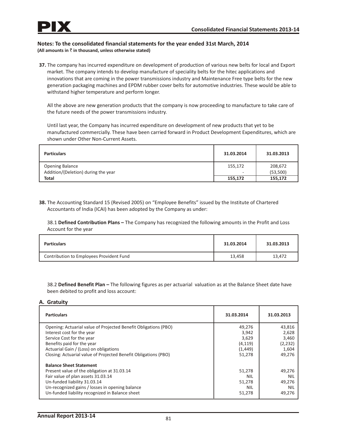**37.** The company has incurred expenditure on development of production of various new belts for local and Export market. The company intends to develop manufacture of speciality belts for the hitec applications and innovations that are coming in the power transmissions industry and Maintenance Free type belts for the new generation packaging machines and EPDM rubber cover belts for automotive industries. These would be able to withstand higher temperature and perform longer.

All the above are new generation products that the company is now proceeding to manufacture to take care of the future needs of the power transmissions industry.

Until last year, the Company has incurred expenditure on development of new products that yet to be manufactured commercially. These have been carried forward in Product Development Expenditures, which are shown under Other Non-Current Assets.

| <b>Particulars</b>                  | 31.03.2014               | 31.03.2013 |
|-------------------------------------|--------------------------|------------|
| <b>Opening Balance</b>              | 155,172                  | 208,672    |
| Addition/(Deletion) during the year | $\overline{\phantom{a}}$ | (53,500)   |
| <b>Total</b>                        | 155,172                  | 155,172    |

**38.** The Accounting Standard 15 (Revised 2005) on "Employee Benefits" issued by the Institute of Chartered Accountants of India (ICAI) has been adopted by the Company as under:

38.1 **Defined Contribution Plans –** The Company has recognized the following amounts in the Profit and Loss Account for the year

| <b>Particulars</b>                       | 31.03.2014 | 31.03.2013 |
|------------------------------------------|------------|------------|
| Contribution to Employees Provident Fund | 13,458     | 13,472     |

38.2 **Defined Benefit Plan –** The following figures as per actuarial valuation as at the Balance Sheet date have been debited to profit and loss account:

# **A. Gratuity**

| <b>Particulars</b>                                              | 31.03.2014 | 31.03.2013 |
|-----------------------------------------------------------------|------------|------------|
| Opening: Actuarial value of Projected Benefit Obligations (PBO) | 49,276     | 43,816     |
| Interest cost for the year                                      | 3,942      | 2,628      |
| Service Cost for the year                                       | 3,629      | 3,460      |
| Benefits paid for the year                                      | (4, 119)   | (2,232)    |
| Actuarial Gain / (Loss) on obligations                          | (1, 449)   | 1,604      |
| Closing: Actuarial value of Projected Benefit Obligations (PBO) | 51,278     | 49.276     |
| <b>Balance Sheet Statement</b>                                  |            |            |
| Present value of the obligation at 31.03.14                     | 51,278     | 49,276     |
| Fair value of plan assets 31.03.14                              | <b>NIL</b> | <b>NIL</b> |
| Un-funded liability 31.03.14                                    | 51,278     | 49,276     |
| Un-recognized gains / losses in opening balance                 | <b>NIL</b> | <b>NIL</b> |
| Un-funded liability recognized in Balance sheet                 | 51,278     | 49.276     |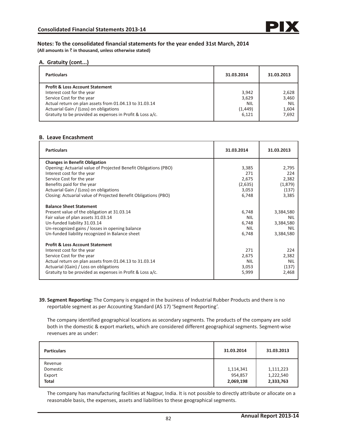# **A. Gratuity (cont...)**

| <b>Particulars</b>                                                                                                                                                                                                                                                     | 31.03.2014                                        | 31.03.2013                                     |
|------------------------------------------------------------------------------------------------------------------------------------------------------------------------------------------------------------------------------------------------------------------------|---------------------------------------------------|------------------------------------------------|
| <b>Profit &amp; Loss Account Statement</b><br>Interest cost for the year<br>Service Cost for the year<br>Actual return on plan assets from 01.04.13 to 31.03.14<br>Actuarial Gain / (Loss) on obligations<br>Gratuity to be provided as expenses in Profit & Loss a/c. | 3,942<br>3,629<br><b>NIL</b><br>(1, 449)<br>6,121 | 2,628<br>3,460<br><b>NIL</b><br>1,604<br>7,692 |

# **B. Leave Encashment**

| <b>Particulars</b>                                              | 31.03.2014 | 31.03.2013 |
|-----------------------------------------------------------------|------------|------------|
| <b>Changes in Benefit Obligation</b>                            |            |            |
| Opening: Actuarial value of Projected Benefit Obligations (PBO) | 3,385      | 2,795      |
| Interest cost for the year                                      | 271        | 224        |
| Service Cost for the year                                       | 2,675      | 2,382      |
| Benefits paid for the year                                      | (2,635)    | (1,879)    |
| Actuarial Gain / (Loss) on obligations                          | 3,053      | (137)      |
| Closing: Actuarial value of Projected Benefit Obligations (PBO) | 6,748      | 3,385      |
| <b>Balance Sheet Statement</b>                                  |            |            |
| Present value of the obligation at 31.03.14                     | 6,748      | 3,384,580  |
| Fair value of plan assets 31.03.14                              | <b>NIL</b> | <b>NIL</b> |
| Un-funded liability 31.03.14                                    | 6,748      | 3,384,580  |
| Un-recognized gains / losses in opening balance                 | <b>NIL</b> | <b>NIL</b> |
| Un-funded liability recognized in Balance sheet                 | 6,748      | 3,384,580  |
| <b>Profit &amp; Loss Account Statement</b>                      |            |            |
| Interest cost for the year                                      | 271        | 224        |
| Service Cost for the year                                       | 2,675      | 2,382      |
| Actual return on plan assets from 01.04.13 to 31.03.14          | <b>NIL</b> | <b>NIL</b> |
| Actuarial (Gain) / Loss on obligations                          | 3,053      | (137)      |
| Gratuity to be provided as expenses in Profit & Loss a/c.       | 5,999      | 2,468      |

**39. Segment Reporting:** The Company is engaged in the business of Industrial Rubber Products and there is no reportable segment as per Accounting Standard (AS 17) 'Segment Reporting'.

The company identified geographical locations as secondary segments. The products of the company are sold both in the domestic & export markets, which are considered different geographical segments. Segment-wise revenues are as under:

| <b>Particulars</b> | 31.03.2014 | 31.03.2013 |
|--------------------|------------|------------|
| Revenue            |            |            |
| Domestic           | 1,114,341  | 1,111,223  |
| Export             | 954,857    | 1,222,540  |
| <b>Total</b>       | 2,069,198  | 2,333,763  |

The company has manufacturing facilities at Nagpur, India. It is not possible to directly attribute or allocate on a reasonable basis, the expenses, assets and liabilities to these geographical segments.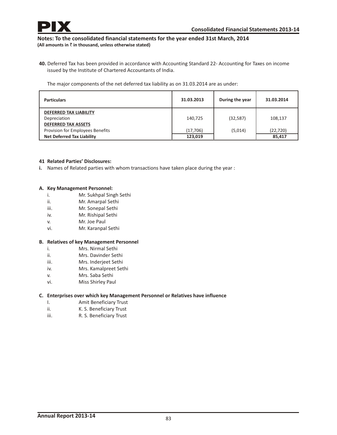

**40.** Deferred Tax has been provided in accordance with Accounting Standard 22- Accounting for Taxes on income issued by the Institute of Chartered Accountants of India.

The major components of the net deferred tax liability as on 31.03.2014 are as under:

| <b>Particulars</b>                                                          | 31.03.2013 | During the year | 31.03.2014 |
|-----------------------------------------------------------------------------|------------|-----------------|------------|
| <b>DEFERRED TAX LIABILITY</b><br>Depreciation<br><b>DEFERRED TAX ASSETS</b> | 140.725    | (32, 587)       | 108.137    |
| Provision for Employees Benefits                                            | (17,706)   | (5,014)         | (22, 720)  |
| <b>Net Deferred Tax Liability</b>                                           | 123,019    |                 | 85,417     |

# **41 Related Parties' Disclosures:**

**i.** Names of Related parties with whom transactions have taken place during the year :

### **A. Key Management Personnel:**

- i. Mr. Sukhpal Singh Sethi
- ii. Mr. Amarpal Sethi
- iii. Mr. Sonepal Sethi
- iv. Mr. Rishipal Sethi
- v. Mr. Joe Paul
- vi. Mr. Karanpal Sethi

### **B. Relatives of key Management Personnel**

- i. Mrs. Nirmal Sethi
- ii. Mrs. Davinder Sethi
- iii. Mrs. Inderjeet Sethi
- iv. Mrs. Kamalpreet Sethi
- v. Mrs. Saba Sethi
- vi. Miss Shirley Paul

### **C. Enterprises over which key Management Personnel or Relatives have influence**

- I. Amit Beneficiary Trust
- ii. K. S. Beneficiary Trust
- iii. R. S. Beneficiary Trust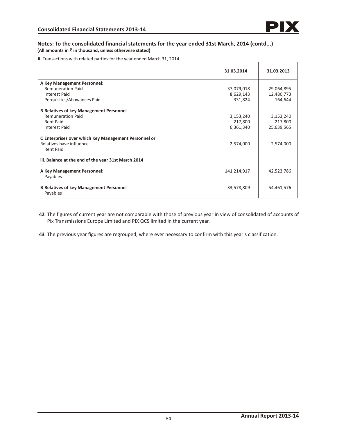**ii.** Transactions with related parties for the year ended March 31, 2014

|                                                                                                          | 31.03.2014                         | 31.03.2013                          |
|----------------------------------------------------------------------------------------------------------|------------------------------------|-------------------------------------|
| A Key Management Personnel:<br><b>Remuneration Paid</b><br>Interest Paid<br>Perquisites/Allowances Paid  | 37,079,018<br>8,629,143<br>331,824 | 29,064,895<br>12,480,773<br>164,644 |
| <b>B Relatives of key Management Personnel</b><br><b>Remuneration Paid</b><br>Rent Paid<br>Interest Paid | 3,153,240<br>217,800<br>6,361,340  | 3,153,240<br>217,800<br>25,639,565  |
| C Enterprises over which Key Management Personnel or<br>Relatives have influence<br>Rent Paid            | 2,574,000                          | 2,574,000                           |
| iii. Balance at the end of the year 31st March 2014                                                      |                                    |                                     |
| A Key Management Personnel:<br>Payables                                                                  | 141,214,917                        | 42,523,786                          |
| <b>B Relatives of key Management Personnel</b><br>Payables                                               | 33,578,809                         | 54,461,576                          |

**42** The figures of current year are not comparable with those of previous year in view of consolidated of accounts of Pix Transmissions Europe Limited and PIX QCS limited in the current year.

**43** The previous year figures are regrouped, where ever necessary to confirm with this year's classification.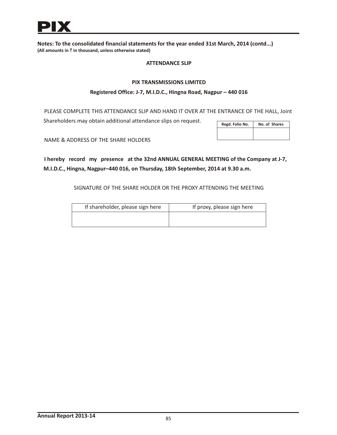

# **ATTENDANCE SLIP**

### **PIX TRANSMISSIONS LIMITED**

# **Registered Office: J-7, M.I.D.C., Hingna Road, Nagpur – 440 016**

PLEASE COMPLETE THIS ATTENDANCE SLIP AND HAND IT OVER AT THE ENTRANCE OF THE HALL, Joint

Shareholders may obtain additional attendance slips on request.

| Regd. Folio No. | No. of Shares |
|-----------------|---------------|
|                 |               |

NAME & ADDRESS OF THE SHARE HOLDERS

**I hereby record my presence at the 32nd ANNUAL GENERAL MEETING of the Company at J-7, M.I.D.C., Hingna, Nagpur–440 016, on Thursday, 18th September, 2014 at 9.30 a.m.**

SIGNATURE OF THE SHARE HOLDER OR THE PROXY ATTENDING THE MEETING

| If shareholder, please sign here | If proxy, please sign here |
|----------------------------------|----------------------------|
|                                  |                            |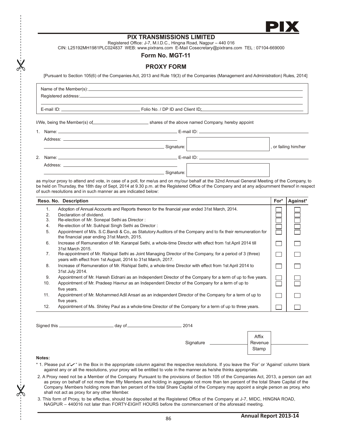

# **PIX TRANSMISSIONS LIMITED**

Registered Office: J-7, M.I.D.C., Hingna Road, Nagpur – 440 016

CIN: L25192MH1981PLC024837 WEB: www.pixtrans.com E-Mail Cosecretary@pixtrans.com TEL : 07104-669000

#### **Form No. MGT-11**

# **PROXY FORM**

[Pursuant to Section 105(6) of the Companies Act, 2013 and Rule 19(3) of the Companies (Management and Administration) Rules, 2014]

|                                                                                                      | I/We, being the Member(s) of sales and shares of the above named Company, hereby appoint |                      |
|------------------------------------------------------------------------------------------------------|------------------------------------------------------------------------------------------|----------------------|
|                                                                                                      |                                                                                          |                      |
|                                                                                                      | Signature:                                                                               | , or failing him/her |
|                                                                                                      |                                                                                          |                      |
| Address: Address: Address: Address: Address: Address: Address: Address: Address: Address: Address: A | Signature:                                                                               |                      |

as my/our proxy to attend and vote, in case of a poll, for me/us and on my/our behalf at the 32nd Annual General Meeting of the Company, to be held on Thursday, the 18th day of Sept, 2014 at 9.30 p.m. at the Registered Office of the Company and at any adjournment thereof in respect of such resolutions and in such manner as are indicated below:

|                | Reso. No. Description                                                                                                                                                     | $For*$ | Against* |
|----------------|---------------------------------------------------------------------------------------------------------------------------------------------------------------------------|--------|----------|
| 1.             | Adoption of Annual Accounts and Reports thereon for the financial year ended 31st March, 2014.                                                                            |        |          |
| 2.             | Declaration of dividend.                                                                                                                                                  |        |          |
| 3.             | Re-election of Mr. Sonepal Sethi as Director:                                                                                                                             |        |          |
| 4.             | Re-election of Mr. Sukhpal Singh Sethi as Director:                                                                                                                       |        |          |
| 5.             | Appointment of M/s. S.C.Bandi & Co., as Statutory Auditors of the Company and to fix their remuneration for<br>the financial year ending 31st March, 2015.                |        |          |
| 6.             | Increase of Remuneration of Mr. Karanpal Sethi, a whole-time Director with effect from 1st April 2014 till<br>31st March 2015.                                            |        |          |
| 7 <sub>1</sub> | Re-appointment of Mr. Rishipal Sethi as Joint Managing Director of the Company, for a period of 3 (three)<br>years with effect from 1st August, 2014 to 31st March, 2017. |        |          |
| 8.             | Increase of Remuneration of Mr. Rishipal Sethi, a whole-time Director with effect from 1st April 2014 to<br>31st July 2014.                                               |        |          |
| 9.             | Appointment of Mr. Haresh Eidnani as an Independent Director of the Company for a term of up to five years.                                                               |        |          |
| 10.            | Appointment of Mr. Pradeep Havnur as an Independent Director of the Company for a term of up to<br>five years.                                                            |        |          |
| 11.            | Appointment of Mr. Mohammed Adil Ansari as an independent Director of the Company for a term of up to<br>five years.                                                      |        |          |
| 12.            | Appointment of Ms. Shirley Paul as a whole-time Director of the Company for a term of up to three years.                                                                  |        |          |
|                |                                                                                                                                                                           |        |          |

| Signed this | dav of | 2014 |
|-------------|--------|------|
|             |        |      |

|           | Affix   |  |
|-----------|---------|--|
| Signature | Revenue |  |
|           | Stamp   |  |
|           |         |  |

#### **Notes:**

- \* 1. Please put a" in the Box in the appropriate column against the respective resolutions. If you leave the 'For' or 'Against' column blank against any or all the resolutions, your proxy will be entitled to vote in the manner as he/she thinks appropriate.
- 2. A Proxy need not be a Member of the Company. Pursuant to the provisions of Section 105 of the Companies Act, 2013, a person can act as proxy on behalf of not more than fifty Members and holding in aggregate not more than ten percent of the total Share Capital of the Company. Members holding more than ten percent of the total Share Capital of the Company may appoint a single person as proxy, who shall not act as proxy for any other Member.
- 3. This form of Proxy, to be effective, should be deposited at the Registered Office of the Company at J-7, MIDC, HINGNA ROAD, NAGPUR – 440016 not later than FORTY-EIGHT HOURS before the commencement of the aforesaid meeting.